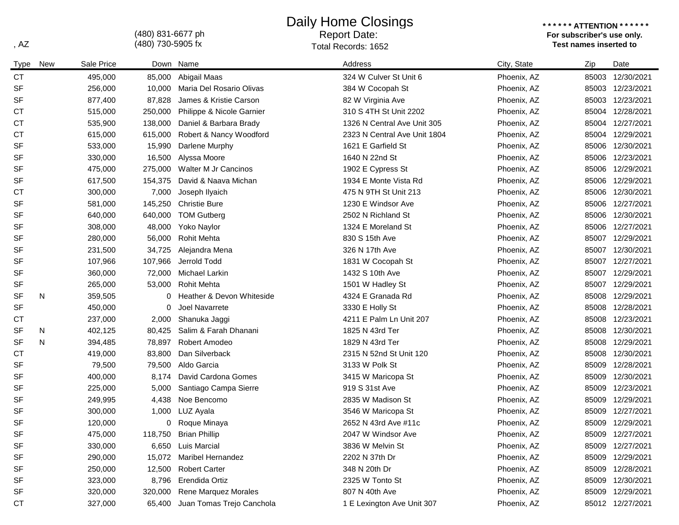(480) 831-6677 ph

## Daily Home Closings

## Report Date:

**\* \* \* \* \* \* ATTENTION \* \* \* \* \* \* For subscriber's use only.**  , AZ **Test names inserted to** a state of the Cords of Total Records: 1652

| Type      | <b>New</b> | Sale Price |         | Down Name                   | Address                      | City, State | Zip   | Date             |
|-----------|------------|------------|---------|-----------------------------|------------------------------|-------------|-------|------------------|
| <b>CT</b> |            | 495,000    | 85,000  | Abigail Maas                | 324 W Culver St Unit 6       | Phoenix, AZ | 85003 | 12/30/2021       |
| <b>SF</b> |            | 256,000    | 10,000  | Maria Del Rosario Olivas    | 384 W Cocopah St             | Phoenix, AZ |       | 85003 12/23/2021 |
| <b>SF</b> |            | 877,400    | 87,828  | James & Kristie Carson      | 82 W Virginia Ave            | Phoenix, AZ |       | 85003 12/23/2021 |
| <b>CT</b> |            | 515,000    | 250,000 | Philippe & Nicole Garnier   | 310 S 4TH St Unit 2202       | Phoenix, AZ |       | 85004 12/28/2021 |
| <b>CT</b> |            | 535,900    | 138,000 | Daniel & Barbara Brady      | 1326 N Central Ave Unit 305  | Phoenix, AZ | 85004 | 12/27/2021       |
| <b>CT</b> |            | 615,000    | 615,000 | Robert & Nancy Woodford     | 2323 N Central Ave Unit 1804 | Phoenix, AZ |       | 85004 12/29/2021 |
| <b>SF</b> |            | 533,000    | 15,990  | Darlene Murphy              | 1621 E Garfield St           | Phoenix, AZ | 85006 | 12/30/2021       |
| <b>SF</b> |            | 330,000    | 16,500  | Alyssa Moore                | 1640 N 22nd St               | Phoenix, AZ | 85006 | 12/23/2021       |
| <b>SF</b> |            | 475,000    | 275,000 | Walter M Jr Cancinos        | 1902 E Cypress St            | Phoenix, AZ | 85006 | 12/29/2021       |
| <b>SF</b> |            | 617,500    | 154,375 | David & Naava Michan        | 1934 E Monte Vista Rd        | Phoenix, AZ | 85006 | 12/29/2021       |
| СT        |            | 300,000    | 7,000   | Joseph Ilyaich              | 475 N 9TH St Unit 213        | Phoenix, AZ | 85006 | 12/30/2021       |
| <b>SF</b> |            | 581,000    | 145,250 | <b>Christie Bure</b>        | 1230 E Windsor Ave           | Phoenix, AZ | 85006 | 12/27/2021       |
| <b>SF</b> |            | 640,000    | 640,000 | <b>TOM Gutberg</b>          | 2502 N Richland St           | Phoenix, AZ | 85006 | 12/30/2021       |
| <b>SF</b> |            | 308,000    | 48,000  | Yoko Naylor                 | 1324 E Moreland St           | Phoenix, AZ | 85006 | 12/27/2021       |
| SF        |            | 280,000    | 56,000  | <b>Rohit Mehta</b>          | 830 S 15th Ave               | Phoenix, AZ |       | 85007 12/29/2021 |
| SF        |            | 231,500    | 34,725  | Alejandra Mena              | 326 N 17th Ave               | Phoenix, AZ |       | 85007 12/30/2021 |
| SF        |            | 107,966    | 107,966 | Jerrold Todd                | 1831 W Cocopah St            | Phoenix, AZ |       | 85007 12/27/2021 |
| <b>SF</b> |            | 360,000    | 72,000  | Michael Larkin              | 1432 S 10th Ave              | Phoenix, AZ | 85007 | 12/29/2021       |
| SF        |            | 265,000    | 53,000  | <b>Rohit Mehta</b>          | 1501 W Hadley St             | Phoenix, AZ |       | 85007 12/29/2021 |
| <b>SF</b> | N          | 359,505    | 0       | Heather & Devon Whiteside   | 4324 E Granada Rd            | Phoenix, AZ | 85008 | 12/29/2021       |
| SF        |            | 450,000    | 0       | Joel Navarrete              | 3330 E Holly St              | Phoenix, AZ | 85008 | 12/28/2021       |
| СT        |            | 237,000    | 2,000   | Shanuka Jaggi               | 4211 E Palm Ln Unit 207      | Phoenix, AZ | 85008 | 12/23/2021       |
| SF        | N          | 402,125    | 80,425  | Salim & Farah Dhanani       | 1825 N 43rd Ter              | Phoenix, AZ | 85008 | 12/30/2021       |
| <b>SF</b> | N          | 394,485    | 78,897  | Robert Amodeo               | 1829 N 43rd Ter              | Phoenix, AZ | 85008 | 12/29/2021       |
| <b>CT</b> |            | 419,000    | 83,800  | Dan Silverback              | 2315 N 52nd St Unit 120      | Phoenix, AZ | 85008 | 12/30/2021       |
| <b>SF</b> |            | 79,500     | 79,500  | Aldo Garcia                 | 3133 W Polk St               | Phoenix, AZ | 85009 | 12/28/2021       |
| <b>SF</b> |            | 400,000    | 8,174   | David Cardona Gomes         | 3415 W Maricopa St           | Phoenix, AZ | 85009 | 12/30/2021       |
| <b>SF</b> |            | 225,000    | 5,000   | Santiago Campa Sierre       | 919 S 31st Ave               | Phoenix, AZ | 85009 | 12/23/2021       |
| SF        |            | 249,995    | 4,438   | Noe Bencomo                 | 2835 W Madison St            | Phoenix, AZ | 85009 | 12/29/2021       |
| <b>SF</b> |            | 300,000    | 1,000   | LUZ Ayala                   | 3546 W Maricopa St           | Phoenix, AZ | 85009 | 12/27/2021       |
| <b>SF</b> |            | 120,000    | 0       | Roque Minaya                | 2652 N 43rd Ave #11c         | Phoenix, AZ | 85009 | 12/29/2021       |
| <b>SF</b> |            | 475,000    |         | 118,750 Brian Phillip       | 2047 W Windsor Ave           | Phoenix, AZ |       | 85009 12/27/2021 |
| <b>SF</b> |            | 330,000    |         | 6,650 Luis Marcial          | 3836 W Melvin St             | Phoenix, AZ |       | 85009 12/27/2021 |
| <b>SF</b> |            | 290,000    |         | 15,072 Maribel Hernandez    | 2202 N 37th Dr               | Phoenix, AZ | 85009 | 12/29/2021       |
| <b>SF</b> |            | 250,000    |         | 12,500 Robert Carter        | 348 N 20th Dr                | Phoenix, AZ | 85009 | 12/28/2021       |
| <b>SF</b> |            | 323,000    | 8,796   | Erendida Ortiz              | 2325 W Tonto St              | Phoenix, AZ | 85009 | 12/30/2021       |
| SF        |            | 320,000    | 320,000 | <b>Rene Marquez Morales</b> | 807 N 40th Ave               | Phoenix, AZ |       | 85009 12/29/2021 |
| <b>CT</b> |            | 327,000    | 65,400  | Juan Tomas Trejo Canchola   | 1 E Lexington Ave Unit 307   | Phoenix, AZ |       | 85012 12/27/2021 |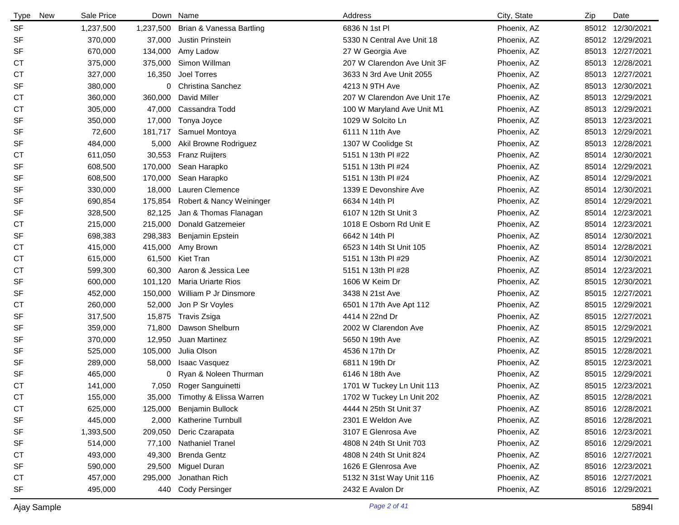| <b>Type</b><br>New | Sale Price |           | Down Name                 | Address                      | City, State | Zip | Date             |
|--------------------|------------|-----------|---------------------------|------------------------------|-------------|-----|------------------|
| <b>SF</b>          | 1,237,500  | 1,237,500 | Brian & Vanessa Bartling  | 6836 N 1st Pl                | Phoenix, AZ |     | 85012 12/30/2021 |
| SF                 | 370,000    | 37,000    | Justin Prinstein          | 5330 N Central Ave Unit 18   | Phoenix, AZ |     | 85012 12/29/2021 |
| SF                 | 670,000    | 134,000   | Amy Ladow                 | 27 W Georgia Ave             | Phoenix, AZ |     | 85013 12/27/2021 |
| СT                 | 375,000    | 375,000   | Simon Willman             | 207 W Clarendon Ave Unit 3F  | Phoenix, AZ |     | 85013 12/28/2021 |
| СT                 | 327,000    | 16,350    | Joel Torres               | 3633 N 3rd Ave Unit 2055     | Phoenix, AZ |     | 85013 12/27/2021 |
| SF                 | 380,000    | 0         | <b>Christina Sanchez</b>  | 4213 N 9TH Ave               | Phoenix, AZ |     | 85013 12/30/2021 |
| <b>CT</b>          | 360,000    | 360,000   | David Miller              | 207 W Clarendon Ave Unit 17e | Phoenix, AZ |     | 85013 12/29/2021 |
| СT                 | 305,000    | 47,000    | Cassandra Todd            | 100 W Maryland Ave Unit M1   | Phoenix, AZ |     | 85013 12/29/2021 |
| SF                 | 350,000    | 17,000    | Tonya Joyce               | 1029 W Solcito Ln            | Phoenix, AZ |     | 85013 12/23/2021 |
| SF                 | 72,600     | 181,717   | Samuel Montoya            | 6111 N 11th Ave              | Phoenix, AZ |     | 85013 12/29/2021 |
| SF                 | 484,000    | 5,000     | Akil Browne Rodriguez     | 1307 W Coolidge St           | Phoenix, AZ |     | 85013 12/28/2021 |
| СT                 | 611,050    | 30,553    | <b>Franz Ruijters</b>     | 5151 N 13th PI #22           | Phoenix, AZ |     | 85014 12/30/2021 |
| SF                 | 608,500    | 170,000   | Sean Harapko              | 5151 N 13th PI #24           | Phoenix, AZ |     | 85014 12/29/2021 |
| SF                 | 608,500    | 170,000   | Sean Harapko              | 5151 N 13th PI #24           | Phoenix, AZ |     | 85014 12/29/2021 |
| SF                 | 330,000    | 18,000    | Lauren Clemence           | 1339 E Devonshire Ave        | Phoenix, AZ |     | 85014 12/30/2021 |
| SF                 | 690,854    | 175,854   | Robert & Nancy Weininger  | 6634 N 14th PI               | Phoenix, AZ |     | 85014 12/29/2021 |
| SF                 | 328,500    | 82,125    | Jan & Thomas Flanagan     | 6107 N 12th St Unit 3        | Phoenix, AZ |     | 85014 12/23/2021 |
| СT                 | 215,000    | 215,000   | Donald Gatzemeier         | 1018 E Osborn Rd Unit E      | Phoenix, AZ |     | 85014 12/23/2021 |
| SF                 | 698,383    | 298,383   | Benjamin Epstein          | 6642 N 14th Pl               | Phoenix, AZ |     | 85014 12/30/2021 |
| СT                 | 415,000    | 415,000   | Amy Brown                 | 6523 N 14th St Unit 105      | Phoenix, AZ |     | 85014 12/28/2021 |
| СT                 | 615,000    | 61,500    | <b>Kiet Tran</b>          | 5151 N 13th PI #29           | Phoenix, AZ |     | 85014 12/30/2021 |
| <b>CT</b>          | 599,300    | 60,300    | Aaron & Jessica Lee       | 5151 N 13th PI #28           | Phoenix, AZ |     | 85014 12/23/2021 |
| SF                 | 600,000    | 101,120   | <b>Maria Uriarte Rios</b> | 1606 W Keim Dr               | Phoenix, AZ |     | 85015 12/30/2021 |
| SF                 | 452,000    | 150,000   | William P Jr Dinsmore     | 3438 N 21st Ave              | Phoenix, AZ |     | 85015 12/27/2021 |
| <b>CT</b>          | 260,000    | 52,000    | Jon P Sr Voyles           | 6501 N 17th Ave Apt 112      | Phoenix, AZ |     | 85015 12/29/2021 |
| SF                 | 317,500    | 15,875    | Travis Zsiga              | 4414 N 22nd Dr               | Phoenix, AZ |     | 85015 12/27/2021 |
| SF                 | 359,000    | 71,800    | Dawson Shelburn           | 2002 W Clarendon Ave         | Phoenix, AZ |     | 85015 12/29/2021 |
| SF                 | 370,000    | 12,950    | Juan Martinez             | 5650 N 19th Ave              | Phoenix, AZ |     | 85015 12/29/2021 |
| SF                 | 525,000    | 105,000   | Julia Olson               | 4536 N 17th Dr               | Phoenix, AZ |     | 85015 12/28/2021 |
| SF                 | 289,000    | 58,000    | <b>Isaac Vasquez</b>      | 6811 N 19th Dr               | Phoenix, AZ |     | 85015 12/23/2021 |
| <b>SF</b>          | 465,000    | 0         | Ryan & Noleen Thurman     | 6146 N 18th Ave              | Phoenix, AZ |     | 85015 12/29/2021 |
| <b>CT</b>          | 141,000    | 7,050     | Roger Sanguinetti         | 1701 W Tuckey Ln Unit 113    | Phoenix, AZ |     | 85015 12/23/2021 |
| <b>CT</b>          | 155,000    | 35,000    | Timothy & Elissa Warren   | 1702 W Tuckey Ln Unit 202    | Phoenix, AZ |     | 85015 12/28/2021 |
| <b>CT</b>          | 625,000    | 125,000   | Benjamin Bullock          | 4444 N 25th St Unit 37       | Phoenix, AZ |     | 85016 12/28/2021 |
| SF                 | 445,000    | 2,000     | Katherine Turnbull        | 2301 E Weldon Ave            | Phoenix, AZ |     | 85016 12/28/2021 |
| SF                 | 1,393,500  | 209,050   | Deric Czarapata           | 3107 E Glenrosa Ave          | Phoenix, AZ |     | 85016 12/23/2021 |
| SF                 | 514,000    | 77,100    | <b>Nathaniel Tranel</b>   | 4808 N 24th St Unit 703      | Phoenix, AZ |     | 85016 12/29/2021 |
| <b>CT</b>          | 493,000    | 49,300    | <b>Brenda Gentz</b>       | 4808 N 24th St Unit 824      | Phoenix, AZ |     | 85016 12/27/2021 |
| SF                 | 590,000    | 29,500    | Miguel Duran              | 1626 E Glenrosa Ave          | Phoenix, AZ |     | 85016 12/23/2021 |
| <b>CT</b>          | 457,000    | 295,000   | Jonathan Rich             | 5132 N 31st Way Unit 116     | Phoenix, AZ |     | 85016 12/27/2021 |
| SF                 | 495,000    | 440       | Cody Persinger            | 2432 E Avalon Dr             | Phoenix, AZ |     | 85016 12/29/2021 |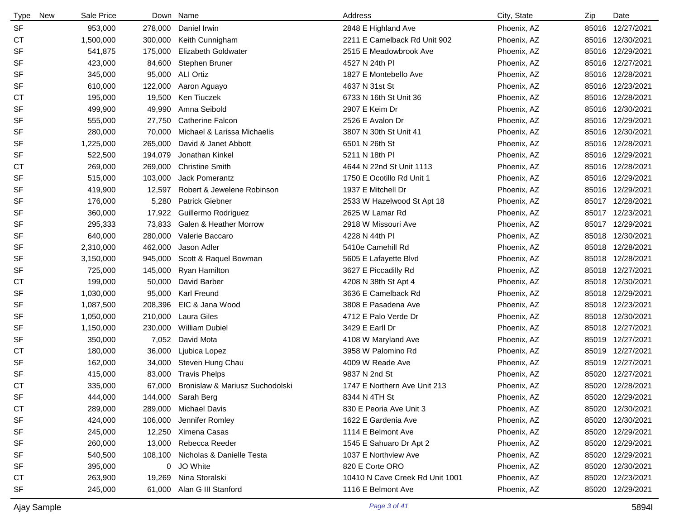| <b>Type</b><br><b>New</b> | Sale Price |         | Down Name                         | Address                         | City, State | Zip | Date             |
|---------------------------|------------|---------|-----------------------------------|---------------------------------|-------------|-----|------------------|
| <b>SF</b>                 | 953,000    | 278,000 | Daniel Irwin                      | 2848 E Highland Ave             | Phoenix, AZ |     | 85016 12/27/2021 |
| <b>CT</b>                 | 1,500,000  | 300,000 | Keith Cunnigham                   | 2211 E Camelback Rd Unit 902    | Phoenix, AZ |     | 85016 12/30/2021 |
| <b>SF</b>                 | 541,875    | 175,000 | <b>Elizabeth Goldwater</b>        | 2515 E Meadowbrook Ave          | Phoenix, AZ |     | 85016 12/29/2021 |
| <b>SF</b>                 | 423,000    | 84,600  | Stephen Bruner                    | 4527 N 24th PI                  | Phoenix, AZ |     | 85016 12/27/2021 |
| SF                        | 345,000    | 95,000  | <b>ALI Ortiz</b>                  | 1827 E Montebello Ave           | Phoenix, AZ |     | 85016 12/28/2021 |
| <b>SF</b>                 | 610,000    | 122,000 | Aaron Aguayo                      | 4637 N 31st St                  | Phoenix, AZ |     | 85016 12/23/2021 |
| СT                        | 195,000    | 19,500  | Ken Tiuczek                       | 6733 N 16th St Unit 36          | Phoenix, AZ |     | 85016 12/28/2021 |
| <b>SF</b>                 | 499,900    | 49,990  | Amna Seibold                      | 2907 E Keim Dr                  | Phoenix, AZ |     | 85016 12/30/2021 |
| <b>SF</b>                 | 555,000    | 27,750  | <b>Catherine Falcon</b>           | 2526 E Avalon Dr                | Phoenix, AZ |     | 85016 12/29/2021 |
| <b>SF</b>                 | 280,000    | 70,000  | Michael & Larissa Michaelis       | 3807 N 30th St Unit 41          | Phoenix, AZ |     | 85016 12/30/2021 |
| <b>SF</b>                 | 1,225,000  | 265,000 | David & Janet Abbott              | 6501 N 26th St                  | Phoenix, AZ |     | 85016 12/28/2021 |
| <b>SF</b>                 | 522,500    | 194,079 | Jonathan Kinkel                   | 5211 N 18th PI                  | Phoenix, AZ |     | 85016 12/29/2021 |
| <b>CT</b>                 | 269,000    | 269,000 | <b>Christine Smith</b>            | 4644 N 22nd St Unit 1113        | Phoenix, AZ |     | 85016 12/28/2021 |
| SF                        | 515,000    | 103,000 | Jack Pomerantz                    | 1750 E Ocotillo Rd Unit 1       | Phoenix, AZ |     | 85016 12/29/2021 |
| <b>SF</b>                 | 419,900    | 12,597  | Robert & Jewelene Robinson        | 1937 E Mitchell Dr              | Phoenix, AZ |     | 85016 12/29/2021 |
| SF                        | 176,000    | 5,280   | <b>Patrick Giebner</b>            | 2533 W Hazelwood St Apt 18      | Phoenix, AZ |     | 85017 12/28/2021 |
| SF                        | 360,000    | 17,922  | Guillermo Rodriguez               | 2625 W Lamar Rd                 | Phoenix, AZ |     | 85017 12/23/2021 |
| SF                        | 295,333    | 73,833  | <b>Galen &amp; Heather Morrow</b> | 2918 W Missouri Ave             | Phoenix, AZ |     | 85017 12/29/2021 |
| <b>SF</b>                 | 640,000    | 280,000 | Valerie Baccaro                   | 4228 N 44th Pl                  | Phoenix, AZ |     | 85018 12/30/2021 |
| <b>SF</b>                 | 2,310,000  | 462,000 | Jason Adler                       | 5410e Camehill Rd               | Phoenix, AZ |     | 85018 12/28/2021 |
| <b>SF</b>                 | 3,150,000  | 945,000 | Scott & Raquel Bowman             | 5605 E Lafayette Blvd           | Phoenix, AZ |     | 85018 12/28/2021 |
| SF                        | 725,000    | 145,000 | Ryan Hamilton                     | 3627 E Piccadilly Rd            | Phoenix, AZ |     | 85018 12/27/2021 |
| <b>CT</b>                 | 199,000    | 50,000  | David Barber                      | 4208 N 38th St Apt 4            | Phoenix, AZ |     | 85018 12/30/2021 |
| <b>SF</b>                 | 1,030,000  | 95,000  | <b>Karl Freund</b>                | 3636 E Camelback Rd             | Phoenix, AZ |     | 85018 12/29/2021 |
| <b>SF</b>                 | 1,087,500  | 208,396 | EIC & Jana Wood                   | 3808 E Pasadena Ave             | Phoenix, AZ |     | 85018 12/23/2021 |
| <b>SF</b>                 | 1,050,000  | 210,000 | Laura Giles                       | 4712 E Palo Verde Dr            | Phoenix, AZ |     | 85018 12/30/2021 |
| <b>SF</b>                 | 1,150,000  | 230,000 | William Dubiel                    | 3429 E Earll Dr                 | Phoenix, AZ |     | 85018 12/27/2021 |
| <b>SF</b>                 | 350,000    | 7,052   | David Mota                        | 4108 W Maryland Ave             | Phoenix, AZ |     | 85019 12/27/2021 |
| СT                        | 180,000    | 36,000  | Ljubica Lopez                     | 3958 W Palomino Rd              | Phoenix, AZ |     | 85019 12/27/2021 |
| SF                        | 162,000    | 34,000  | Steven Hung Chau                  | 4009 W Reade Ave                | Phoenix, AZ |     | 85019 12/27/2021 |
| <b>SF</b>                 | 415,000    | 83,000  | <b>Travis Phelps</b>              | 9837 N 2nd St                   | Phoenix, AZ |     | 85020 12/27/2021 |
| <b>CT</b>                 | 335,000    | 67,000  | Bronislaw & Mariusz Suchodolski   | 1747 E Northern Ave Unit 213    | Phoenix, AZ |     | 85020 12/28/2021 |
| <b>SF</b>                 | 444,000    |         | 144,000 Sarah Berg                | 8344 N 4TH St                   | Phoenix, AZ |     | 85020 12/29/2021 |
| СT                        | 289,000    |         | 289,000 Michael Davis             | 830 E Peoria Ave Unit 3         | Phoenix, AZ |     | 85020 12/30/2021 |
| <b>SF</b>                 | 424,000    | 106,000 | Jennifer Romley                   | 1622 E Gardenia Ave             | Phoenix, AZ |     | 85020 12/30/2021 |
| SF                        | 245,000    |         | 12,250 Ximena Casas               | 1114 E Belmont Ave              | Phoenix, AZ |     | 85020 12/29/2021 |
| SF                        | 260,000    | 13,000  | Rebecca Reeder                    | 1545 E Sahuaro Dr Apt 2         | Phoenix, AZ |     | 85020 12/29/2021 |
| SF                        | 540,500    |         | 108,100 Nicholas & Danielle Testa | 1037 E Northview Ave            | Phoenix, AZ |     | 85020 12/29/2021 |
| SF                        | 395,000    | 0       | JO White                          | 820 E Corte ORO                 | Phoenix, AZ |     | 85020 12/30/2021 |
| СT                        | 263,900    | 19,269  | Nina Storalski                    | 10410 N Cave Creek Rd Unit 1001 | Phoenix, AZ |     | 85020 12/23/2021 |
| <b>SF</b>                 | 245,000    | 61,000  | Alan G III Stanford               | 1116 E Belmont Ave              | Phoenix, AZ |     | 85020 12/29/2021 |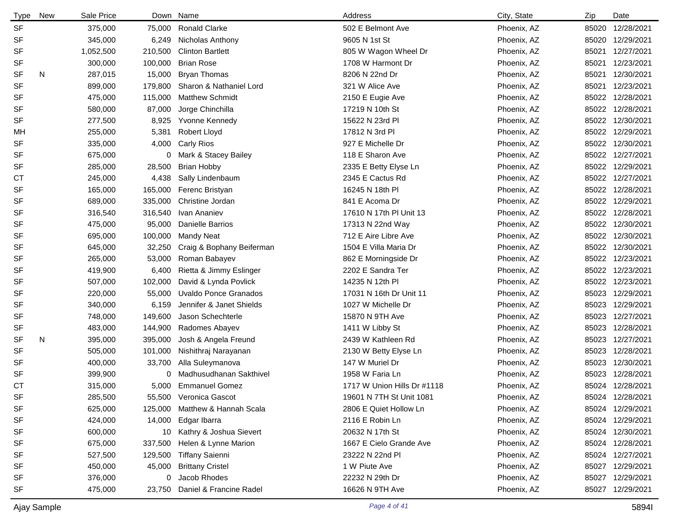| <b>Type</b> | <b>New</b> | Sale Price |         | Down Name                      | Address                     | City, State | Zip   | Date             |
|-------------|------------|------------|---------|--------------------------------|-----------------------------|-------------|-------|------------------|
| <b>SF</b>   |            | 375,000    | 75,000  | <b>Ronald Clarke</b>           | 502 E Belmont Ave           | Phoenix, AZ |       | 85020 12/28/2021 |
| <b>SF</b>   |            | 345,000    | 6,249   | Nicholas Anthony               | 9605 N 1st St               | Phoenix, AZ |       | 85020 12/29/2021 |
| SF          |            | 1,052,500  | 210,500 | <b>Clinton Bartlett</b>        | 805 W Wagon Wheel Dr        | Phoenix, AZ |       | 85021 12/27/2021 |
| <b>SF</b>   |            | 300,000    | 100,000 | <b>Brian Rose</b>              | 1708 W Harmont Dr           | Phoenix, AZ | 85021 | 12/23/2021       |
| <b>SF</b>   | N          | 287,015    | 15,000  | <b>Bryan Thomas</b>            | 8206 N 22nd Dr              | Phoenix, AZ | 85021 | 12/30/2021       |
| <b>SF</b>   |            | 899,000    | 179,800 | Sharon & Nathaniel Lord        | 321 W Alice Ave             | Phoenix, AZ | 85021 | 12/23/2021       |
| <b>SF</b>   |            | 475,000    | 115,000 | <b>Matthew Schmidt</b>         | 2150 E Eugie Ave            | Phoenix, AZ |       | 85022 12/28/2021 |
| <b>SF</b>   |            | 580,000    | 87,000  | Jorge Chinchilla               | 17219 N 10th St             | Phoenix, AZ |       | 85022 12/28/2021 |
| <b>SF</b>   |            | 277,500    | 8,925   | <b>Yvonne Kennedy</b>          | 15622 N 23rd PI             | Phoenix, AZ |       | 85022 12/30/2021 |
| MН          |            | 255,000    | 5,381   | Robert Lloyd                   | 17812 N 3rd Pl              | Phoenix, AZ |       | 85022 12/29/2021 |
| SF          |            | 335,000    | 4,000   | <b>Carly Rios</b>              | 927 E Michelle Dr           | Phoenix, AZ |       | 85022 12/30/2021 |
| <b>SF</b>   |            | 675,000    | 0       | Mark & Stacey Bailey           | 118 E Sharon Ave            | Phoenix, AZ |       | 85022 12/27/2021 |
| SF          |            | 285,000    | 28,500  | <b>Brian Hobby</b>             | 2335 E Betty Elyse Ln       | Phoenix, AZ |       | 85022 12/29/2021 |
| СT          |            | 245,000    | 4,438   | Sally Lindenbaum               | 2345 E Cactus Rd            | Phoenix, AZ |       | 85022 12/27/2021 |
| <b>SF</b>   |            | 165,000    | 165,000 | Ferenc Bristyan                | 16245 N 18th PI             | Phoenix, AZ |       | 85022 12/28/2021 |
| <b>SF</b>   |            | 689,000    | 335,000 | Christine Jordan               | 841 E Acoma Dr              | Phoenix, AZ |       | 85022 12/29/2021 |
| <b>SF</b>   |            | 316,540    | 316,540 | Ivan Ananiev                   | 17610 N 17th PI Unit 13     | Phoenix, AZ |       | 85022 12/28/2021 |
| <b>SF</b>   |            | 475,000    | 95,000  | Danielle Barrios               | 17313 N 22nd Way            | Phoenix, AZ |       | 85022 12/30/2021 |
| <b>SF</b>   |            | 695,000    | 100,000 | <b>Mandy Neat</b>              | 712 E Aire Libre Ave        | Phoenix, AZ |       | 85022 12/30/2021 |
| SF          |            | 645,000    | 32,250  | Craig & Bophany Beiferman      | 1504 E Villa Maria Dr       | Phoenix, AZ |       | 85022 12/30/2021 |
| <b>SF</b>   |            | 265,000    | 53,000  | Roman Babayev                  | 862 E Morningside Dr        | Phoenix, AZ |       | 85022 12/23/2021 |
| <b>SF</b>   |            | 419,900    | 6,400   | Rietta & Jimmy Eslinger        | 2202 E Sandra Ter           | Phoenix, AZ |       | 85022 12/23/2021 |
| SF          |            | 507,000    | 102,000 | David & Lynda Povlick          | 14235 N 12th PI             | Phoenix, AZ |       | 85022 12/23/2021 |
| <b>SF</b>   |            | 220,000    | 55,000  | <b>Uvaldo Ponce Granados</b>   | 17031 N 16th Dr Unit 11     | Phoenix, AZ |       | 85023 12/29/2021 |
| SF          |            | 340,000    | 6,159   | Jennifer & Janet Shields       | 1027 W Michelle Dr          | Phoenix, AZ |       | 85023 12/29/2021 |
| SF          |            | 748,000    | 149,600 | Jason Schechterle              | 15870 N 9TH Ave             | Phoenix, AZ |       | 85023 12/27/2021 |
| <b>SF</b>   |            | 483,000    | 144,900 | Radomes Abayev                 | 1411 W Libby St             | Phoenix, AZ |       | 85023 12/28/2021 |
| <b>SF</b>   | N          | 395,000    | 395,000 | Josh & Angela Freund           | 2439 W Kathleen Rd          | Phoenix, AZ |       | 85023 12/27/2021 |
| <b>SF</b>   |            | 505,000    | 101,000 | Nishithraj Narayanan           | 2130 W Betty Elyse Ln       | Phoenix, AZ |       | 85023 12/28/2021 |
| <b>SF</b>   |            | 400,000    | 33,700  | Alla Suleymanova               | 147 W Muriel Dr             | Phoenix, AZ |       | 85023 12/30/2021 |
| <b>SF</b>   |            | 399,900    | 0       | Madhusudhanan Sakthivel        | 1958 W Faria Ln             | Phoenix, AZ |       | 85023 12/28/2021 |
| <b>CT</b>   |            | 315,000    | 5,000   | <b>Emmanuel Gomez</b>          | 1717 W Union Hills Dr #1118 | Phoenix, AZ |       | 85024 12/28/2021 |
| SF          |            | 285,500    |         | 55,500 Veronica Gascot         | 19601 N 7TH St Unit 1081    | Phoenix, AZ |       | 85024 12/28/2021 |
| SF          |            | 625,000    |         | 125,000 Matthew & Hannah Scala | 2806 E Quiet Hollow Ln      | Phoenix, AZ |       | 85024 12/29/2021 |
| SF          |            | 424,000    |         | 14,000 Edgar Ibarra            | 2116 E Robin Ln             | Phoenix, AZ |       | 85024 12/29/2021 |
| SF          |            | 600,000    |         | 10 Kathry & Joshua Sievert     | 20632 N 17th St             | Phoenix, AZ |       | 85024 12/30/2021 |
| SF          |            | 675,000    | 337,500 | Helen & Lynne Marion           | 1667 E Cielo Grande Ave     | Phoenix, AZ |       | 85024 12/28/2021 |
| SF          |            | 527,500    | 129,500 | <b>Tiffany Saienni</b>         | 23222 N 22nd Pl             | Phoenix, AZ |       | 85024 12/27/2021 |
| <b>SF</b>   |            | 450,000    | 45,000  | <b>Brittany Cristel</b>        | 1 W Piute Ave               | Phoenix, AZ |       | 85027 12/29/2021 |
| SF          |            | 376,000    | 0       | Jacob Rhodes                   | 22232 N 29th Dr             | Phoenix, AZ |       | 85027 12/29/2021 |
| SF          |            | 475,000    | 23,750  | Daniel & Francine Radel        | 16626 N 9TH Ave             | Phoenix, AZ |       | 85027 12/29/2021 |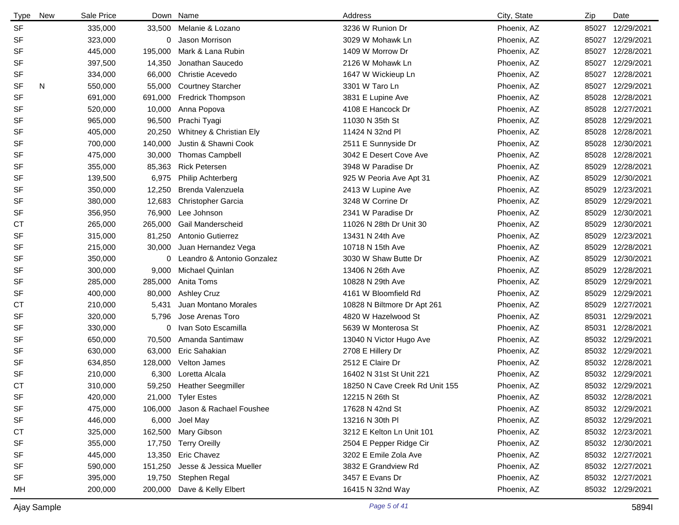| <b>Type</b> | New | Sale Price |         | Down Name                       | Address                        | City, State | Zip   | Date             |
|-------------|-----|------------|---------|---------------------------------|--------------------------------|-------------|-------|------------------|
| <b>SF</b>   |     | 335,000    | 33,500  | Melanie & Lozano                | 3236 W Runion Dr               | Phoenix, AZ | 85027 | 12/29/2021       |
| <b>SF</b>   |     | 323,000    | 0       | Jason Morrison                  | 3029 W Mohawk Ln               | Phoenix, AZ | 85027 | 12/29/2021       |
| SF          |     | 445,000    | 195,000 | Mark & Lana Rubin               | 1409 W Morrow Dr               | Phoenix, AZ | 85027 | 12/28/2021       |
| <b>SF</b>   |     | 397,500    | 14,350  | Jonathan Saucedo                | 2126 W Mohawk Ln               | Phoenix, AZ | 85027 | 12/29/2021       |
| SF          |     | 334,000    | 66,000  | Christie Acevedo                | 1647 W Wickieup Ln             | Phoenix, AZ | 85027 | 12/28/2021       |
| <b>SF</b>   | N   | 550,000    | 55,000  | <b>Courtney Starcher</b>        | 3301 W Taro Ln                 | Phoenix, AZ | 85027 | 12/29/2021       |
| <b>SF</b>   |     | 691,000    | 691,000 | <b>Fredrick Thompson</b>        | 3831 E Lupine Ave              | Phoenix, AZ | 85028 | 12/28/2021       |
| <b>SF</b>   |     | 520,000    | 10,000  | Anna Popova                     | 4108 E Hancock Dr              | Phoenix, AZ | 85028 | 12/27/2021       |
| <b>SF</b>   |     | 965,000    | 96,500  | Prachi Tyagi                    | 11030 N 35th St                | Phoenix, AZ | 85028 | 12/29/2021       |
| <b>SF</b>   |     | 405,000    | 20,250  | Whitney & Christian Ely         | 11424 N 32nd Pl                | Phoenix, AZ | 85028 | 12/28/2021       |
| <b>SF</b>   |     | 700,000    | 140,000 | Justin & Shawni Cook            | 2511 E Sunnyside Dr            | Phoenix, AZ | 85028 | 12/30/2021       |
| <b>SF</b>   |     | 475,000    | 30,000  | <b>Thomas Campbell</b>          | 3042 E Desert Cove Ave         | Phoenix, AZ | 85028 | 12/28/2021       |
| <b>SF</b>   |     | 355,000    | 85,363  | <b>Rick Petersen</b>            | 3948 W Paradise Dr             | Phoenix, AZ | 85029 | 12/28/2021       |
| <b>SF</b>   |     | 139,500    | 6,975   | <b>Philip Achterberg</b>        | 925 W Peoria Ave Apt 31        | Phoenix, AZ | 85029 | 12/30/2021       |
| SF          |     | 350,000    | 12,250  | Brenda Valenzuela               | 2413 W Lupine Ave              | Phoenix, AZ | 85029 | 12/23/2021       |
| <b>SF</b>   |     | 380,000    | 12,683  | <b>Christopher Garcia</b>       | 3248 W Corrine Dr              | Phoenix, AZ | 85029 | 12/29/2021       |
| <b>SF</b>   |     | 356,950    | 76,900  | Lee Johnson                     | 2341 W Paradise Dr             | Phoenix, AZ | 85029 | 12/30/2021       |
| СT          |     | 265,000    | 265,000 | Gail Manderscheid               | 11026 N 28th Dr Unit 30        | Phoenix, AZ | 85029 | 12/30/2021       |
| <b>SF</b>   |     | 315,000    | 81,250  | Antonio Gutierrez               | 13431 N 24th Ave               | Phoenix, AZ | 85029 | 12/23/2021       |
| <b>SF</b>   |     | 215,000    | 30,000  | Juan Hernandez Vega             | 10718 N 15th Ave               | Phoenix, AZ | 85029 | 12/28/2021       |
| SF          |     | 350,000    | 0       | Leandro & Antonio Gonzalez      | 3030 W Shaw Butte Dr           | Phoenix, AZ | 85029 | 12/30/2021       |
| <b>SF</b>   |     | 300,000    | 9,000   | Michael Quinlan                 | 13406 N 26th Ave               | Phoenix, AZ | 85029 | 12/28/2021       |
| <b>SF</b>   |     | 285,000    | 285,000 | Anita Toms                      | 10828 N 29th Ave               | Phoenix, AZ | 85029 | 12/29/2021       |
| SF          |     | 400,000    | 80,000  | <b>Ashley Cruz</b>              | 4161 W Bloomfield Rd           | Phoenix, AZ | 85029 | 12/29/2021       |
| <b>CT</b>   |     | 210,000    | 5,431   | Juan Montano Morales            | 10828 N Biltmore Dr Apt 261    | Phoenix, AZ | 85029 | 12/27/2021       |
| SF          |     | 320,000    | 5,796   | Jose Arenas Toro                | 4820 W Hazelwood St            | Phoenix, AZ | 85031 | 12/29/2021       |
| <b>SF</b>   |     | 330,000    | 0       | Ivan Soto Escamilla             | 5639 W Monterosa St            | Phoenix, AZ | 85031 | 12/28/2021       |
| <b>SF</b>   |     | 650,000    | 70,500  | Amanda Santimaw                 | 13040 N Victor Hugo Ave        | Phoenix, AZ |       | 85032 12/29/2021 |
| <b>SF</b>   |     | 630,000    | 63,000  | Eric Sahakian                   | 2708 E Hillery Dr              | Phoenix, AZ |       | 85032 12/29/2021 |
| <b>SF</b>   |     | 634,850    | 128,000 | Velton James                    | 2512 E Claire Dr               | Phoenix, AZ |       | 85032 12/28/2021 |
| <b>SF</b>   |     | 210,000    | 6,300   | Loretta Alcala                  | 16402 N 31st St Unit 221       | Phoenix, AZ |       | 85032 12/29/2021 |
| <b>CT</b>   |     | 310,000    |         | 59,250 Heather Seegmiller       | 18250 N Cave Creek Rd Unit 155 | Phoenix, AZ |       | 85032 12/29/2021 |
| SF          |     | 420,000    |         | 21,000 Tyler Estes              | 12215 N 26th St                | Phoenix, AZ |       | 85032 12/28/2021 |
| SF          |     | 475,000    |         | 106,000 Jason & Rachael Foushee | 17628 N 42nd St                | Phoenix, AZ |       | 85032 12/29/2021 |
| SF          |     | 446,000    | 6,000   | Joel May                        | 13216 N 30th PI                | Phoenix, AZ |       | 85032 12/29/2021 |
| <b>CT</b>   |     | 325,000    |         | 162,500 Mary Gibson             | 3212 E Kelton Ln Unit 101      | Phoenix, AZ |       | 85032 12/23/2021 |
| SF          |     | 355,000    |         | 17,750 Terry Oreilly            | 2504 E Pepper Ridge Cir        | Phoenix, AZ |       | 85032 12/30/2021 |
| SF          |     | 445,000    |         | 13,350 Eric Chavez              | 3202 E Emile Zola Ave          | Phoenix, AZ |       | 85032 12/27/2021 |
| <b>SF</b>   |     | 590,000    | 151,250 | Jesse & Jessica Mueller         | 3832 E Grandview Rd            | Phoenix, AZ |       | 85032 12/27/2021 |
| SF          |     | 395,000    |         | 19,750 Stephen Regal            | 3457 E Evans Dr                | Phoenix, AZ |       | 85032 12/27/2021 |
| MН          |     | 200,000    | 200,000 | Dave & Kelly Elbert             | 16415 N 32nd Way               | Phoenix, AZ |       | 85032 12/29/2021 |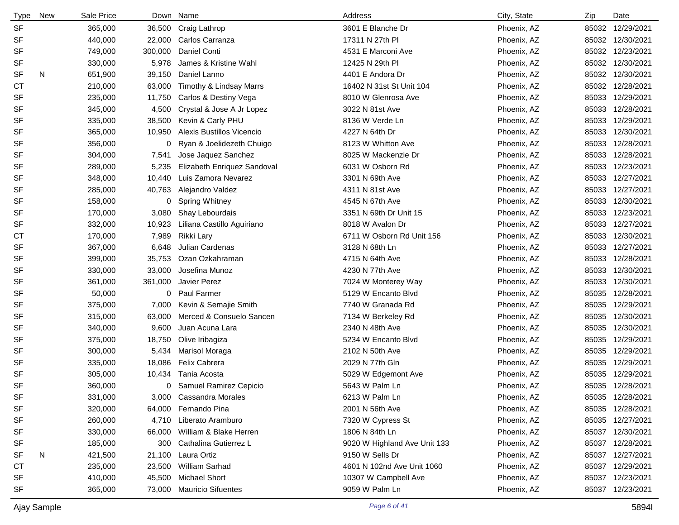| <b>Type</b> | New | Sale Price |         | Down Name                     | Address                      | City, State | Zip | Date             |
|-------------|-----|------------|---------|-------------------------------|------------------------------|-------------|-----|------------------|
| <b>SF</b>   |     | 365,000    |         | 36,500 Craig Lathrop          | 3601 E Blanche Dr            | Phoenix, AZ |     | 85032 12/29/2021 |
| <b>SF</b>   |     | 440,000    | 22,000  | Carlos Carranza               | 17311 N 27th PI              | Phoenix, AZ |     | 85032 12/30/2021 |
| SF          |     | 749,000    | 300,000 | Daniel Conti                  | 4531 E Marconi Ave           | Phoenix, AZ |     | 85032 12/23/2021 |
| <b>SF</b>   |     | 330,000    | 5,978   | James & Kristine Wahl         | 12425 N 29th PI              | Phoenix, AZ |     | 85032 12/30/2021 |
| SF          | N   | 651,900    | 39,150  | Daniel Lanno                  | 4401 E Andora Dr             | Phoenix, AZ |     | 85032 12/30/2021 |
| СT          |     | 210,000    | 63,000  | Timothy & Lindsay Marrs       | 16402 N 31st St Unit 104     | Phoenix, AZ |     | 85032 12/28/2021 |
| <b>SF</b>   |     | 235,000    | 11,750  | Carlos & Destiny Vega         | 8010 W Glenrosa Ave          | Phoenix, AZ |     | 85033 12/29/2021 |
| <b>SF</b>   |     | 345,000    | 4,500   | Crystal & Jose A Jr Lopez     | 3022 N 81st Ave              | Phoenix, AZ |     | 85033 12/28/2021 |
| <b>SF</b>   |     | 335,000    | 38,500  | Kevin & Carly PHU             | 8136 W Verde Ln              | Phoenix, AZ |     | 85033 12/29/2021 |
| <b>SF</b>   |     | 365,000    | 10,950  | Alexis Bustillos Vicencio     | 4227 N 64th Dr               | Phoenix, AZ |     | 85033 12/30/2021 |
| <b>SF</b>   |     | 356,000    | 0       | Ryan & Joelidezeth Chuigo     | 8123 W Whitton Ave           | Phoenix, AZ |     | 85033 12/28/2021 |
| <b>SF</b>   |     | 304,000    | 7,541   | Jose Jaquez Sanchez           | 8025 W Mackenzie Dr          | Phoenix, AZ |     | 85033 12/28/2021 |
| <b>SF</b>   |     | 289,000    | 5,235   | Elizabeth Enriquez Sandoval   | 6031 W Osborn Rd             | Phoenix, AZ |     | 85033 12/23/2021 |
| SF          |     | 348,000    | 10,440  | Luis Zamora Nevarez           | 3301 N 69th Ave              | Phoenix, AZ |     | 85033 12/27/2021 |
| <b>SF</b>   |     | 285,000    | 40,763  | Alejandro Valdez              | 4311 N 81st Ave              | Phoenix, AZ |     | 85033 12/27/2021 |
| <b>SF</b>   |     | 158,000    | 0       | <b>Spring Whitney</b>         | 4545 N 67th Ave              | Phoenix, AZ |     | 85033 12/30/2021 |
| <b>SF</b>   |     | 170,000    | 3,080   | Shay Lebourdais               | 3351 N 69th Dr Unit 15       | Phoenix, AZ |     | 85033 12/23/2021 |
| SF          |     | 332,000    | 10,923  | Liliana Castillo Aguiriano    | 8018 W Avalon Dr             | Phoenix, AZ |     | 85033 12/27/2021 |
| <b>CT</b>   |     | 170,000    | 7,989   | Rikki Lary                    | 6711 W Osborn Rd Unit 156    | Phoenix, AZ |     | 85033 12/30/2021 |
| <b>SF</b>   |     | 367,000    | 6,648   | Julian Cardenas               | 3128 N 68th Ln               | Phoenix, AZ |     | 85033 12/27/2021 |
| <b>SF</b>   |     | 399,000    | 35,753  | Ozan Ozkahraman               | 4715 N 64th Ave              | Phoenix, AZ |     | 85033 12/28/2021 |
| <b>SF</b>   |     | 330,000    | 33,000  | Josefina Munoz                | 4230 N 77th Ave              | Phoenix, AZ |     | 85033 12/30/2021 |
| <b>SF</b>   |     | 361,000    | 361,000 | Javier Perez                  | 7024 W Monterey Way          | Phoenix, AZ |     | 85033 12/30/2021 |
| <b>SF</b>   |     | 50,000     |         | 0 Paul Farmer                 | 5129 W Encanto Blvd          | Phoenix, AZ |     | 85035 12/28/2021 |
| <b>SF</b>   |     | 375,000    | 7,000   | Kevin & Semajie Smith         | 7740 W Granada Rd            | Phoenix, AZ |     | 85035 12/29/2021 |
| <b>SF</b>   |     | 315,000    | 63,000  | Merced & Consuelo Sancen      | 7134 W Berkeley Rd           | Phoenix, AZ |     | 85035 12/30/2021 |
| <b>SF</b>   |     | 340,000    | 9,600   | Juan Acuna Lara               | 2340 N 48th Ave              | Phoenix, AZ |     | 85035 12/30/2021 |
| <b>SF</b>   |     | 375,000    | 18,750  | Olive Iribagiza               | 5234 W Encanto Blvd          | Phoenix, AZ |     | 85035 12/29/2021 |
| <b>SF</b>   |     | 300,000    | 5,434   | Marisol Moraga                | 2102 N 50th Ave              | Phoenix, AZ |     | 85035 12/29/2021 |
| <b>SF</b>   |     | 335,000    | 18,086  | Felix Cabrera                 | 2029 N 77th Gln              | Phoenix, AZ |     | 85035 12/29/2021 |
| <b>SF</b>   |     | 305,000    | 10,434  | Tania Acosta                  | 5029 W Edgemont Ave          | Phoenix, AZ |     | 85035 12/29/2021 |
| <b>SF</b>   |     | 360,000    |         | 0 Samuel Ramirez Cepicio      | 5643 W Palm Ln               | Phoenix, AZ |     | 85035 12/28/2021 |
| <b>SF</b>   |     | 331,000    |         | 3,000 Cassandra Morales       | 6213 W Palm Ln               | Phoenix, AZ |     | 85035 12/28/2021 |
| SF          |     | 320,000    |         | 64,000 Fernando Pina          | 2001 N 56th Ave              | Phoenix, AZ |     | 85035 12/28/2021 |
| SF          |     | 260,000    | 4,710   | Liberato Aramburo             | 7320 W Cypress St            | Phoenix, AZ |     | 85035 12/27/2021 |
| SF          |     | 330,000    |         | 66,000 William & Blake Herren | 1806 N 84th Ln               | Phoenix, AZ |     | 85037 12/30/2021 |
| SF          |     | 185,000    | 300     | Cathalina Gutierrez L         | 9020 W Highland Ave Unit 133 | Phoenix, AZ |     | 85037 12/28/2021 |
| SF          | N   | 421,500    | 21,100  | Laura Ortiz                   | 9150 W Sells Dr              | Phoenix, AZ |     | 85037 12/27/2021 |
| СT          |     | 235,000    | 23,500  | William Sarhad                | 4601 N 102nd Ave Unit 1060   | Phoenix, AZ |     | 85037 12/29/2021 |
| SF          |     | 410,000    | 45,500  | Michael Short                 | 10307 W Campbell Ave         | Phoenix, AZ |     | 85037 12/23/2021 |
| SF          |     | 365,000    |         | 73,000 Mauricio Sifuentes     | 9059 W Palm Ln               | Phoenix, AZ |     | 85037 12/23/2021 |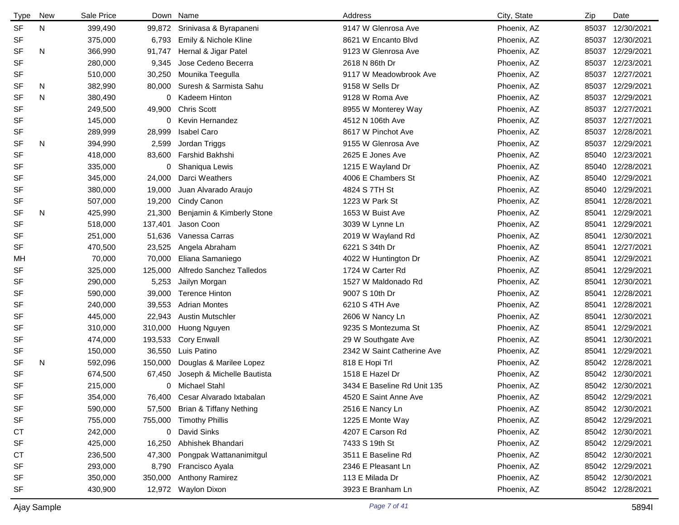| Type      | New | Sale Price |         | Down Name                  | Address                     | City, State | Zip   | Date             |
|-----------|-----|------------|---------|----------------------------|-----------------------------|-------------|-------|------------------|
| <b>SF</b> | N   | 399,490    | 99,872  | Srinivasa & Byrapaneni     | 9147 W Glenrosa Ave         | Phoenix, AZ | 85037 | 12/30/2021       |
| <b>SF</b> |     | 375,000    | 6,793   | Emily & Nichole Kline      | 8621 W Encanto Blvd         | Phoenix, AZ | 85037 | 12/30/2021       |
| <b>SF</b> | N   | 366,990    | 91,747  | Hernal & Jigar Patel       | 9123 W Glenrosa Ave         | Phoenix, AZ | 85037 | 12/29/2021       |
| SF        |     | 280,000    | 9,345   | Jose Cedeno Becerra        | 2618 N 86th Dr              | Phoenix, AZ | 85037 | 12/23/2021       |
| SF        |     | 510,000    | 30,250  | Mounika Teegulla           | 9117 W Meadowbrook Ave      | Phoenix, AZ | 85037 | 12/27/2021       |
| SF        | N   | 382,990    | 80,000  | Suresh & Sarmista Sahu     | 9158 W Sells Dr             | Phoenix, AZ | 85037 | 12/29/2021       |
| <b>SF</b> | N   | 380,490    | 0       | Kadeem Hinton              | 9128 W Roma Ave             | Phoenix, AZ | 85037 | 12/29/2021       |
| SF        |     | 249,500    | 49,900  | <b>Chris Scott</b>         | 8955 W Monterey Way         | Phoenix, AZ | 85037 | 12/27/2021       |
| SF        |     | 145,000    | 0       | Kevin Hernandez            | 4512 N 106th Ave            | Phoenix, AZ | 85037 | 12/27/2021       |
| SF        |     | 289,999    | 28,999  | <b>Isabel Caro</b>         | 8617 W Pinchot Ave          | Phoenix, AZ | 85037 | 12/28/2021       |
| SF        | N   | 394,990    | 2,599   | Jordan Triggs              | 9155 W Glenrosa Ave         | Phoenix, AZ | 85037 | 12/29/2021       |
| SF        |     | 418,000    | 83,600  | Farshid Bakhshi            | 2625 E Jones Ave            | Phoenix, AZ | 85040 | 12/23/2021       |
| SF        |     | 335,000    | 0       | Shaniqua Lewis             | 1215 E Wayland Dr           | Phoenix, AZ | 85040 | 12/28/2021       |
| SF        |     | 345,000    | 24,000  | Darci Weathers             | 4006 E Chambers St          | Phoenix, AZ | 85040 | 12/29/2021       |
| SF        |     | 380,000    | 19,000  | Juan Alvarado Araujo       | 4824 S 7TH St               | Phoenix, AZ | 85040 | 12/29/2021       |
| SF        |     | 507,000    | 19,200  | Cindy Canon                | 1223 W Park St              | Phoenix, AZ | 85041 | 12/28/2021       |
| SF        | N   | 425,990    | 21,300  | Benjamin & Kimberly Stone  | 1653 W Buist Ave            | Phoenix, AZ | 85041 | 12/29/2021       |
| <b>SF</b> |     | 518,000    | 137,401 | Jason Coon                 | 3039 W Lynne Ln             | Phoenix, AZ | 85041 | 12/29/2021       |
| SF        |     | 251,000    | 51,636  | Vanessa Carras             | 2019 W Wayland Rd           | Phoenix, AZ | 85041 | 12/30/2021       |
| SF        |     | 470,500    | 23,525  | Angela Abraham             | 6221 S 34th Dr              | Phoenix, AZ | 85041 | 12/27/2021       |
| МH        |     | 70,000     | 70,000  | Eliana Samaniego           | 4022 W Huntington Dr        | Phoenix, AZ | 85041 | 12/29/2021       |
| SF        |     | 325,000    | 125,000 | Alfredo Sanchez Talledos   | 1724 W Carter Rd            | Phoenix, AZ | 85041 | 12/29/2021       |
| SF        |     | 290,000    | 5,253   | Jailyn Morgan              | 1527 W Maldonado Rd         | Phoenix, AZ | 85041 | 12/30/2021       |
| SF        |     | 590,000    | 39,000  | <b>Terence Hinton</b>      | 9007 S 10th Dr              | Phoenix, AZ | 85041 | 12/28/2021       |
| SF        |     | 240,000    | 39,553  | <b>Adrian Montes</b>       | 6210 S 4TH Ave              | Phoenix, AZ | 85041 | 12/28/2021       |
| SF        |     | 445,000    | 22,943  | <b>Austin Mutschler</b>    | 2606 W Nancy Ln             | Phoenix, AZ | 85041 | 12/30/2021       |
| SF        |     | 310,000    | 310,000 | Huong Nguyen               | 9235 S Montezuma St         | Phoenix, AZ | 85041 | 12/29/2021       |
| SF        |     | 474,000    | 193,533 | <b>Cory Enwall</b>         | 29 W Southgate Ave          | Phoenix, AZ | 85041 | 12/30/2021       |
| SF        |     | 150,000    | 36,550  | Luis Patino                | 2342 W Saint Catherine Ave  | Phoenix, AZ | 85041 | 12/29/2021       |
| SF        | N   | 592,096    | 150,000 | Douglas & Marilee Lopez    | 818 E Hopi Trl              | Phoenix, AZ | 85042 | 12/28/2021       |
| <b>SF</b> |     | 674,500    | 67,450  | Joseph & Michelle Bautista | 1518 E Hazel Dr             | Phoenix, AZ |       | 85042 12/30/2021 |
| SF        |     | 215,000    | 0       | <b>Michael Stahl</b>       | 3434 E Baseline Rd Unit 135 | Phoenix, AZ |       | 85042 12/30/2021 |
| <b>SF</b> |     | 354,000    | 76,400  | Cesar Alvarado Ixtabalan   | 4520 E Saint Anne Ave       | Phoenix, AZ |       | 85042 12/29/2021 |
| SF        |     | 590,000    | 57,500  | Brian & Tiffany Nething    | 2516 E Nancy Ln             | Phoenix, AZ |       | 85042 12/30/2021 |
| SF        |     | 755,000    | 755,000 | <b>Timothy Phillis</b>     | 1225 E Monte Way            | Phoenix, AZ |       | 85042 12/29/2021 |
| <b>CT</b> |     | 242,000    | 0       | David Sinks                | 4207 E Carson Rd            | Phoenix, AZ |       | 85042 12/30/2021 |
| SF        |     | 425,000    | 16,250  | Abhishek Bhandari          | 7433 S 19th St              | Phoenix, AZ |       | 85042 12/29/2021 |
| <b>CT</b> |     | 236,500    | 47,300  | Pongpak Wattananimitgul    | 3511 E Baseline Rd          | Phoenix, AZ |       | 85042 12/30/2021 |
| SF        |     | 293,000    | 8,790   | Francisco Ayala            | 2346 E Pleasant Ln          | Phoenix, AZ | 85042 | 12/29/2021       |
| SF        |     | 350,000    | 350,000 | <b>Anthony Ramirez</b>     | 113 E Milada Dr             | Phoenix, AZ |       | 85042 12/30/2021 |
| SF        |     | 430,900    | 12,972  | Waylon Dixon               | 3923 E Branham Ln           | Phoenix, AZ |       | 85042 12/28/2021 |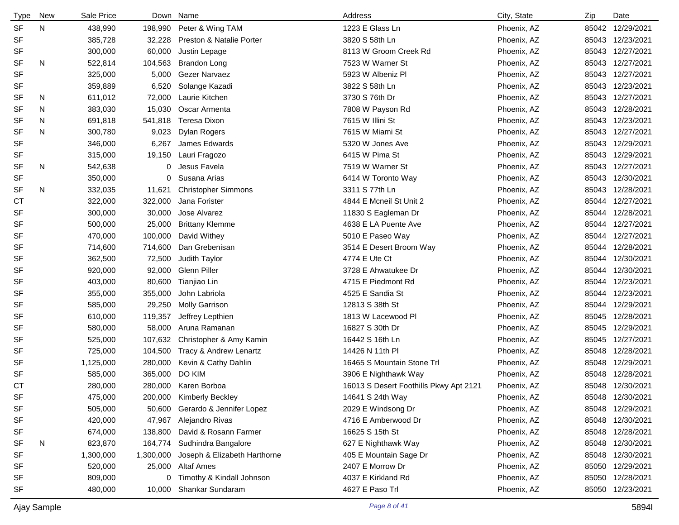| <b>Type</b> | <b>New</b> | Sale Price | Down      | Name                         | Address                                | City, State | Zip   | Date             |
|-------------|------------|------------|-----------|------------------------------|----------------------------------------|-------------|-------|------------------|
| <b>SF</b>   | N          | 438,990    | 198,990   | Peter & Wing TAM             | 1223 E Glass Ln                        | Phoenix, AZ | 85042 | 12/29/2021       |
| SF          |            | 385,728    | 32,228    | Preston & Natalie Porter     | 3820 S 58th Ln                         | Phoenix, AZ |       | 85043 12/23/2021 |
| SF          |            | 300,000    | 60,000    | Justin Lepage                | 8113 W Groom Creek Rd                  | Phoenix, AZ |       | 85043 12/27/2021 |
| <b>SF</b>   | N          | 522,814    | 104,563   | <b>Brandon Long</b>          | 7523 W Warner St                       | Phoenix, AZ | 85043 | 12/27/2021       |
| <b>SF</b>   |            | 325,000    | 5,000     | Gezer Narvaez                | 5923 W Albeniz PI                      | Phoenix, AZ |       | 85043 12/27/2021 |
| <b>SF</b>   |            | 359,889    | 6,520     | Solange Kazadi               | 3822 S 58th Ln                         | Phoenix, AZ | 85043 | 12/23/2021       |
| <b>SF</b>   | N          | 611,012    | 72,000    | Laurie Kitchen               | 3730 S 76th Dr                         | Phoenix, AZ |       | 85043 12/27/2021 |
| <b>SF</b>   | N          | 383,030    | 15,030    | Oscar Armenta                | 7808 W Payson Rd                       | Phoenix, AZ |       | 85043 12/28/2021 |
| <b>SF</b>   | N          | 691,818    | 541,818   | Teresa Dixon                 | 7615 W Illini St                       | Phoenix, AZ |       | 85043 12/23/2021 |
| <b>SF</b>   | N          | 300,780    | 9,023     | Dylan Rogers                 | 7615 W Miami St                        | Phoenix, AZ |       | 85043 12/27/2021 |
| SF          |            | 346,000    | 6,267     | James Edwards                | 5320 W Jones Ave                       | Phoenix, AZ |       | 85043 12/29/2021 |
| SF          |            | 315,000    | 19,150    | Lauri Fragozo                | 6415 W Pima St                         | Phoenix, AZ |       | 85043 12/29/2021 |
| <b>SF</b>   | N          | 542,638    | 0         | Jesus Favela                 | 7519 W Warner St                       | Phoenix, AZ |       | 85043 12/27/2021 |
| <b>SF</b>   |            | 350,000    | 0         | Susana Arias                 | 6414 W Toronto Way                     | Phoenix, AZ | 85043 | 12/30/2021       |
| <b>SF</b>   | N          | 332,035    | 11,621    | <b>Christopher Simmons</b>   | 3311 S 77th Ln                         | Phoenix, AZ |       | 85043 12/28/2021 |
| <b>CT</b>   |            | 322,000    | 322,000   | Jana Forister                | 4844 E Mcneil St Unit 2                | Phoenix, AZ |       | 85044 12/27/2021 |
| <b>SF</b>   |            | 300,000    | 30,000    | Jose Alvarez                 | 11830 S Eagleman Dr                    | Phoenix, AZ |       | 85044 12/28/2021 |
| <b>SF</b>   |            | 500,000    | 25,000    | <b>Brittany Klemme</b>       | 4638 E LA Puente Ave                   | Phoenix, AZ |       | 85044 12/27/2021 |
| <b>SF</b>   |            | 470,000    | 100,000   | David Withey                 | 5010 E Paseo Way                       | Phoenix, AZ |       | 85044 12/27/2021 |
| SF          |            | 714,600    | 714,600   | Dan Grebenisan               | 3514 E Desert Broom Way                | Phoenix, AZ |       | 85044 12/28/2021 |
| <b>SF</b>   |            | 362,500    | 72,500    | Judith Taylor                | 4774 E Ute Ct                          | Phoenix, AZ | 85044 | 12/30/2021       |
| <b>SF</b>   |            | 920,000    | 92,000    | Glenn Piller                 | 3728 E Ahwatukee Dr                    | Phoenix, AZ | 85044 | 12/30/2021       |
| SF          |            | 403,000    | 80,600    | Tianjiao Lin                 | 4715 E Piedmont Rd                     | Phoenix, AZ | 85044 | 12/23/2021       |
| <b>SF</b>   |            | 355,000    | 355,000   | John Labriola                | 4525 E Sandia St                       | Phoenix, AZ | 85044 | 12/23/2021       |
| SF          |            | 585,000    | 29,250    | <b>Molly Garrison</b>        | 12813 S 38th St                        | Phoenix, AZ | 85044 | 12/29/2021       |
| <b>SF</b>   |            | 610,000    | 119,357   | Jeffrey Lepthien             | 1813 W Lacewood Pl                     | Phoenix, AZ | 85045 | 12/28/2021       |
| SF          |            | 580,000    | 58,000    | Aruna Ramanan                | 16827 S 30th Dr                        | Phoenix, AZ | 85045 | 12/29/2021       |
| <b>SF</b>   |            | 525,000    | 107,632   | Christopher & Amy Kamin      | 16442 S 16th Ln                        | Phoenix, AZ | 85045 | 12/27/2021       |
| SF          |            | 725,000    | 104,500   | Tracy & Andrew Lenartz       | 14426 N 11th PI                        | Phoenix, AZ | 85048 | 12/28/2021       |
| <b>SF</b>   |            | 1,125,000  | 280,000   | Kevin & Cathy Dahlin         | 16465 S Mountain Stone Trl             | Phoenix, AZ | 85048 | 12/29/2021       |
| <b>SF</b>   |            | 585,000    | 365,000   | DO KIM                       | 3906 E Nighthawk Way                   | Phoenix, AZ | 85048 | 12/28/2021       |
| <b>CT</b>   |            | 280,000    | 280,000   | Karen Borboa                 | 16013 S Desert Foothills Pkwy Apt 2121 | Phoenix, AZ |       | 85048 12/30/2021 |
| SF          |            | 475,000    |           | 200,000 Kimberly Beckley     | 14641 S 24th Way                       | Phoenix, AZ |       | 85048 12/30/2021 |
| SF          |            | 505,000    | 50,600    | Gerardo & Jennifer Lopez     | 2029 E Windsong Dr                     | Phoenix, AZ |       | 85048 12/29/2021 |
| SF          |            | 420,000    | 47,967    | Alejandro Rivas              | 4716 E Amberwood Dr                    | Phoenix, AZ |       | 85048 12/30/2021 |
| SF          |            | 674,000    | 138,800   | David & Rosann Farmer        | 16625 S 15th St                        | Phoenix, AZ |       | 85048 12/28/2021 |
| SF          | N          | 823,870    | 164,774   | Sudhindra Bangalore          | 627 E Nighthawk Way                    | Phoenix, AZ |       | 85048 12/30/2021 |
| <b>SF</b>   |            | 1,300,000  | 1,300,000 | Joseph & Elizabeth Harthorne | 405 E Mountain Sage Dr                 | Phoenix, AZ |       | 85048 12/30/2021 |
| SF          |            | 520,000    | 25,000    | Altaf Ames                   | 2407 E Morrow Dr                       | Phoenix, AZ |       | 85050 12/29/2021 |
| SF          |            | 809,000    |           | 0 Timothy & Kindall Johnson  | 4037 E Kirkland Rd                     | Phoenix, AZ |       | 85050 12/28/2021 |
| SF          |            | 480,000    | 10,000    | Shankar Sundaram             | 4627 E Paso Trl                        | Phoenix, AZ |       | 85050 12/23/2021 |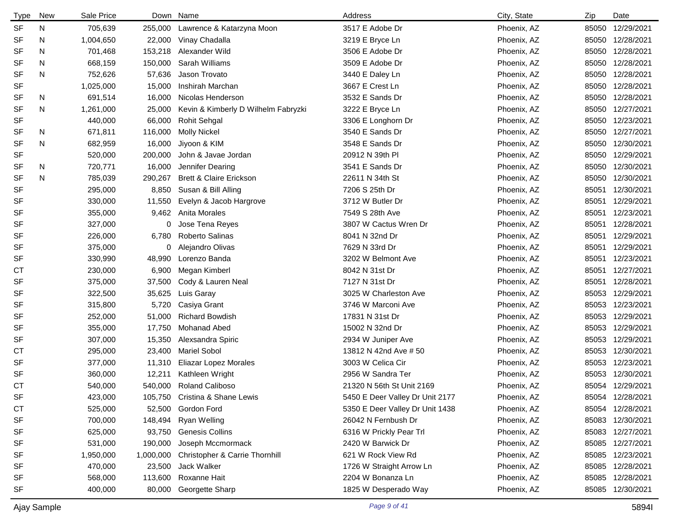| <b>Type</b> | <b>New</b> | Sale Price | Down      | Name                                | Address                         | City, State | Zip   | Date             |
|-------------|------------|------------|-----------|-------------------------------------|---------------------------------|-------------|-------|------------------|
| <b>SF</b>   | N          | 705,639    | 255,000   | Lawrence & Katarzyna Moon           | 3517 E Adobe Dr                 | Phoenix, AZ | 85050 | 12/29/2021       |
| SF          | N          | 1,004,650  | 22,000    | Vinay Chadalla                      | 3219 E Bryce Ln                 | Phoenix, AZ | 85050 | 12/28/2021       |
| <b>SF</b>   | N          | 701,468    | 153,218   | Alexander Wild                      | 3506 E Adobe Dr                 | Phoenix, AZ | 85050 | 12/28/2021       |
| <b>SF</b>   | N          | 668,159    | 150,000   | Sarah Williams                      | 3509 E Adobe Dr                 | Phoenix, AZ | 85050 | 12/28/2021       |
| <b>SF</b>   | N          | 752,626    | 57,636    | Jason Trovato                       | 3440 E Daley Ln                 | Phoenix, AZ | 85050 | 12/28/2021       |
| <b>SF</b>   |            | 1,025,000  | 15,000    | Inshirah Marchan                    | 3667 E Crest Ln                 | Phoenix, AZ | 85050 | 12/28/2021       |
| SF          | N          | 691,514    | 16,000    | Nicolas Henderson                   | 3532 E Sands Dr                 | Phoenix, AZ | 85050 | 12/28/2021       |
| <b>SF</b>   | N          | 1,261,000  | 25,000    | Kevin & Kimberly D Wilhelm Fabryzki | 3222 E Bryce Ln                 | Phoenix, AZ |       | 85050 12/27/2021 |
| <b>SF</b>   |            | 440,000    | 66,000    | <b>Rohit Sehgal</b>                 | 3306 E Longhorn Dr              | Phoenix, AZ |       | 85050 12/23/2021 |
| SF          | N          | 671,811    | 116,000   | <b>Molly Nickel</b>                 | 3540 E Sands Dr                 | Phoenix, AZ | 85050 | 12/27/2021       |
| <b>SF</b>   | N          | 682,959    | 16,000    | Jiyoon & KIM                        | 3548 E Sands Dr                 | Phoenix, AZ | 85050 | 12/30/2021       |
| <b>SF</b>   |            | 520,000    | 200,000   | John & Javae Jordan                 | 20912 N 39th PI                 | Phoenix, AZ | 85050 | 12/29/2021       |
| SF          | N          | 720,771    | 16,000    | Jennifer Dearing                    | 3541 E Sands Dr                 | Phoenix, AZ | 85050 | 12/30/2021       |
| <b>SF</b>   | N          | 785,039    | 290,267   | <b>Brett &amp; Claire Erickson</b>  | 22611 N 34th St                 | Phoenix, AZ | 85050 | 12/30/2021       |
| <b>SF</b>   |            | 295,000    | 8,850     | Susan & Bill Alling                 | 7206 S 25th Dr                  | Phoenix, AZ | 85051 | 12/30/2021       |
| <b>SF</b>   |            | 330,000    | 11,550    | Evelyn & Jacob Hargrove             | 3712 W Butler Dr                | Phoenix, AZ | 85051 | 12/29/2021       |
| SF          |            | 355,000    | 9,462     | Anita Morales                       | 7549 S 28th Ave                 | Phoenix, AZ | 85051 | 12/23/2021       |
| <b>SF</b>   |            | 327,000    | 0         | Jose Tena Reyes                     | 3807 W Cactus Wren Dr           | Phoenix, AZ | 85051 | 12/28/2021       |
| <b>SF</b>   |            | 226,000    | 6,780     | Roberto Salinas                     | 8041 N 32nd Dr                  | Phoenix, AZ | 85051 | 12/29/2021       |
| <b>SF</b>   |            | 375,000    | 0         | Alejandro Olivas                    | 7629 N 33rd Dr                  | Phoenix, AZ | 85051 | 12/29/2021       |
| <b>SF</b>   |            | 330,990    | 48,990    | Lorenzo Banda                       | 3202 W Belmont Ave              | Phoenix, AZ | 85051 | 12/23/2021       |
| СT          |            | 230,000    | 6,900     | Megan Kimberl                       | 8042 N 31st Dr                  | Phoenix, AZ | 85051 | 12/27/2021       |
| <b>SF</b>   |            | 375,000    | 37,500    | Cody & Lauren Neal                  | 7127 N 31st Dr                  | Phoenix, AZ | 85051 | 12/28/2021       |
| <b>SF</b>   |            | 322,500    | 35,625    | Luis Garay                          | 3025 W Charleston Ave           | Phoenix, AZ | 85053 | 12/29/2021       |
| <b>SF</b>   |            | 315,800    | 5,720     | Casiya Grant                        | 3746 W Marconi Ave              | Phoenix, AZ | 85053 | 12/23/2021       |
| <b>SF</b>   |            | 252,000    | 51,000    | <b>Richard Bowdish</b>              | 17831 N 31st Dr                 | Phoenix, AZ | 85053 | 12/29/2021       |
| <b>SF</b>   |            | 355,000    | 17,750    | <b>Mohanad Abed</b>                 | 15002 N 32nd Dr                 | Phoenix, AZ | 85053 | 12/29/2021       |
| SF          |            | 307,000    | 15,350    | Alexsandra Spiric                   | 2934 W Juniper Ave              | Phoenix, AZ | 85053 | 12/29/2021       |
| <b>CT</b>   |            | 295,000    | 23,400    | <b>Mariel Sobol</b>                 | 13812 N 42nd Ave # 50           | Phoenix, AZ | 85053 | 12/30/2021       |
| SF          |            | 377,000    | 11,310    | Eliazar Lopez Morales               | 3003 W Celica Cir               | Phoenix, AZ | 85053 | 12/23/2021       |
| <b>SF</b>   |            | 360,000    | 12,211    | Kathleen Wright                     | 2956 W Sandra Ter               | Phoenix, AZ | 85053 | 12/30/2021       |
| <b>CT</b>   |            | 540,000    | 540,000   | <b>Roland Caliboso</b>              | 21320 N 56th St Unit 2169       | Phoenix, AZ |       | 85054 12/29/2021 |
| SF          |            | 423,000    |           | 105,750 Cristina & Shane Lewis      | 5450 E Deer Valley Dr Unit 2177 | Phoenix, AZ |       | 85054 12/28/2021 |
| <b>CT</b>   |            | 525,000    | 52,500    | Gordon Ford                         | 5350 E Deer Valley Dr Unit 1438 | Phoenix, AZ |       | 85054 12/28/2021 |
| <b>SF</b>   |            | 700,000    | 148,494   | <b>Ryan Welling</b>                 | 26042 N Fernbush Dr             | Phoenix, AZ | 85083 | 12/30/2021       |
| <b>SF</b>   |            | 625,000    | 93,750    | <b>Genesis Collins</b>              | 6316 W Prickly Pear Trl         | Phoenix, AZ | 85083 | 12/27/2021       |
| <b>SF</b>   |            | 531,000    | 190,000   | Joseph Mccmormack                   | 2420 W Barwick Dr               | Phoenix, AZ |       | 85085 12/27/2021 |
| SF          |            | 1,950,000  | 1,000,000 | Christopher & Carrie Thornhill      | 621 W Rock View Rd              | Phoenix, AZ |       | 85085 12/23/2021 |
| <b>SF</b>   |            | 470,000    | 23,500    | Jack Walker                         | 1726 W Straight Arrow Ln        | Phoenix, AZ | 85085 | 12/28/2021       |
| <b>SF</b>   |            | 568,000    | 113,600   | Roxanne Hait                        | 2204 W Bonanza Ln               | Phoenix, AZ | 85085 | 12/28/2021       |
| <b>SF</b>   |            | 400,000    | 80,000    | Georgette Sharp                     | 1825 W Desperado Way            | Phoenix, AZ |       | 85085 12/30/2021 |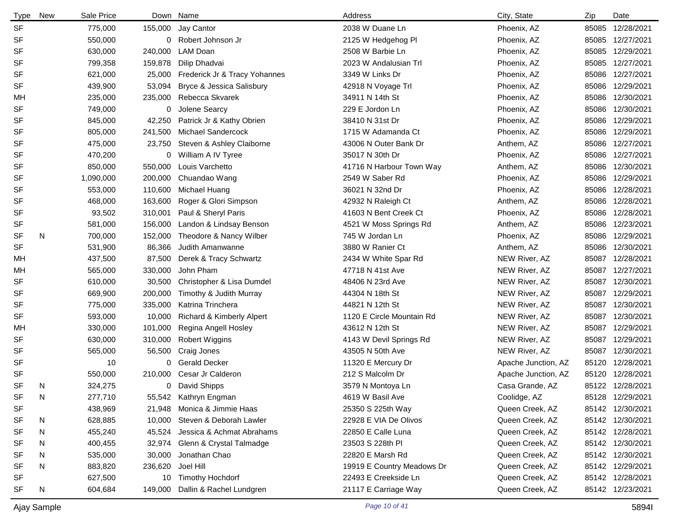| <b>Type</b> | New | Sale Price |         | Down Name                            | Address                    | City, State         | Zip   | Date             |
|-------------|-----|------------|---------|--------------------------------------|----------------------------|---------------------|-------|------------------|
| <b>SF</b>   |     | 775,000    |         | 155,000 Jay Cantor                   | 2038 W Duane Ln            | Phoenix, AZ         |       | 85085 12/28/2021 |
| <b>SF</b>   |     | 550,000    |         | 0 Robert Johnson Jr                  | 2125 W Hedgehog PI         | Phoenix, AZ         |       | 85085 12/27/2021 |
| SF          |     | 630,000    | 240,000 | LAM Doan                             | 2508 W Barbie Ln           | Phoenix, AZ         |       | 85085 12/29/2021 |
| SF          |     | 799,358    | 159,878 | Dilip Dhadvai                        | 2023 W Andalusian Trl      | Phoenix, AZ         |       | 85085 12/27/2021 |
| <b>SF</b>   |     | 621,000    |         | 25,000 Frederick Jr & Tracy Yohannes | 3349 W Links Dr            | Phoenix, AZ         |       | 85086 12/27/2021 |
| SF          |     | 439,900    | 53,094  | Bryce & Jessica Salisbury            | 42918 N Voyage Trl         | Phoenix, AZ         |       | 85086 12/29/2021 |
| MН          |     | 235,000    | 235,000 | Rebecca Skvarek                      | 34911 N 14th St            | Phoenix, AZ         |       | 85086 12/30/2021 |
| <b>SF</b>   |     | 749,000    | 0       | Jolene Searcy                        | 229 E Jordon Ln            | Phoenix, AZ         |       | 85086 12/30/2021 |
| SF          |     | 845,000    | 42,250  | Patrick Jr & Kathy Obrien            | 38410 N 31st Dr            | Phoenix, AZ         |       | 85086 12/29/2021 |
| SF          |     | 805,000    | 241,500 | <b>Michael Sandercock</b>            | 1715 W Adamanda Ct         | Phoenix, AZ         |       | 85086 12/29/2021 |
| <b>SF</b>   |     | 475,000    | 23,750  | Steven & Ashley Claiborne            | 43006 N Outer Bank Dr      | Anthem, AZ          |       | 85086 12/27/2021 |
| SF          |     | 470,200    | 0       | William A IV Tyree                   | 35017 N 30th Dr            | Phoenix, AZ         |       | 85086 12/27/2021 |
| <b>SF</b>   |     | 850,000    | 550,000 | Louis Varchetto                      | 41716 N Harbour Town Way   | Anthem, AZ          |       | 85086 12/30/2021 |
| <b>SF</b>   |     | 1,090,000  | 200,000 | Chuandao Wang                        | 2549 W Saber Rd            | Phoenix, AZ         |       | 85086 12/29/2021 |
| <b>SF</b>   |     | 553,000    |         | 110,600 Michael Huang                | 36021 N 32nd Dr            | Phoenix, AZ         |       | 85086 12/28/2021 |
| SF          |     | 468,000    | 163,600 | Roger & Glori Simpson                | 42932 N Raleigh Ct         | Anthem, AZ          |       | 85086 12/28/2021 |
| SF          |     | 93,502     | 310,001 | Paul & Sheryl Paris                  | 41603 N Bent Creek Ct      | Phoenix, AZ         |       | 85086 12/28/2021 |
| <b>SF</b>   |     | 581,000    | 156,000 | Landon & Lindsay Benson              | 4521 W Moss Springs Rd     | Anthem, AZ          |       | 85086 12/23/2021 |
| <b>SF</b>   | N   | 700,000    | 152,000 | Theodore & Nancy Wilber              | 745 W Jordan Ln            | Phoenix, AZ         |       | 85086 12/29/2021 |
| SF          |     | 531,900    | 86,366  | Judith Amanwanne                     | 3880 W Ranier Ct           | Anthem, AZ          |       | 85086 12/30/2021 |
| MН          |     | 437,500    | 87,500  | Derek & Tracy Schwartz               | 2434 W White Spar Rd       | NEW River, AZ       |       | 85087 12/28/2021 |
| MН          |     | 565,000    | 330,000 | John Pham                            | 47718 N 41st Ave           | NEW River, AZ       |       | 85087 12/27/2021 |
| <b>SF</b>   |     | 610,000    | 30,500  | Christopher & Lisa Dumdel            | 48406 N 23rd Ave           | NEW River, AZ       |       | 85087 12/30/2021 |
| SF          |     | 669,900    | 200,000 | Timothy & Judith Murray              | 44304 N 18th St            | NEW River, AZ       | 85087 | 12/29/2021       |
| <b>SF</b>   |     | 775,000    | 335,000 | Katrina Trinchera                    | 44821 N 12th St            | NEW River, AZ       |       | 85087 12/30/2021 |
| <b>SF</b>   |     | 593,000    | 10,000  | Richard & Kimberly Alpert            | 1120 E Circle Mountain Rd  | NEW River, AZ       | 85087 | 12/30/2021       |
| MН          |     | 330,000    | 101,000 | Regina Angell Hosley                 | 43612 N 12th St            | NEW River, AZ       | 85087 | 12/29/2021       |
| SF          |     | 630,000    | 310,000 | <b>Robert Wiggins</b>                | 4143 W Devil Springs Rd    | NEW River, AZ       | 85087 | 12/29/2021       |
| SF          |     | 565,000    | 56,500  | Craig Jones                          | 43505 N 50th Ave           | NEW River, AZ       | 85087 | 12/30/2021       |
| SF          |     | 10         | 0       | <b>Gerald Decker</b>                 | 11320 E Mercury Dr         | Apache Junction, AZ |       | 85120 12/28/2021 |
| SF          |     | 550,000    | 210,000 | Cesar Jr Calderon                    | 212 S Malcolm Dr           | Apache Junction, AZ |       | 85120 12/28/2021 |
| <b>SF</b>   | N   | 324,275    |         | 0 David Shipps                       | 3579 N Montoya Ln          | Casa Grande, AZ     |       | 85122 12/28/2021 |
| <b>SF</b>   | N   | 277,710    |         | 55,542 Kathryn Engman                | 4619 W Basil Ave           | Coolidge, AZ        |       | 85128 12/29/2021 |
| SF          |     | 438,969    | 21,948  | Monica & Jimmie Haas                 | 25350 S 225th Way          | Queen Creek, AZ     |       | 85142 12/30/2021 |
| <b>SF</b>   | N   | 628,885    | 10,000  | Steven & Deborah Lawler              | 22928 E VIA De Olivos      | Queen Creek, AZ     |       | 85142 12/30/2021 |
| <b>SF</b>   | N   | 455,240    | 45,524  | Jessica & Achmat Abrahams            | 22850 E Calle Luna         | Queen Creek, AZ     |       | 85142 12/28/2021 |
| SF          | N   | 400,455    | 32,974  | Glenn & Crystal Talmadge             | 23503 S 228th PI           | Queen Creek, AZ     |       | 85142 12/30/2021 |
| SF          | N   | 535,000    | 30,000  | Jonathan Chao                        | 22820 E Marsh Rd           | Queen Creek, AZ     |       | 85142 12/30/2021 |
| <b>SF</b>   | N   | 883,820    | 236,620 | Joel Hill                            | 19919 E Country Meadows Dr | Queen Creek, AZ     |       | 85142 12/29/2021 |
| SF          |     | 627,500    | 10      | <b>Timothy Hochdorf</b>              | 22493 E Creekside Ln       | Queen Creek, AZ     |       | 85142 12/28/2021 |
| SF          | N   | 604,684    | 149,000 | Dallin & Rachel Lundgren             | 21117 E Carriage Way       | Queen Creek, AZ     |       | 85142 12/23/2021 |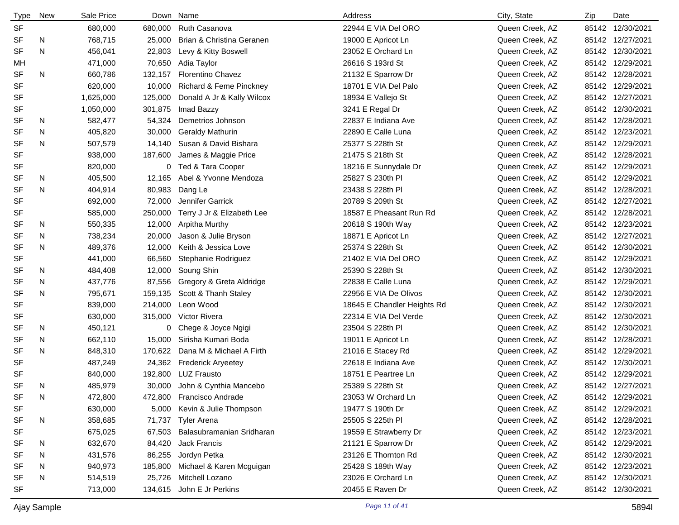| <b>Type</b> | New | Sale Price |         | Down Name                     | Address                     | City, State     | Zip | Date             |
|-------------|-----|------------|---------|-------------------------------|-----------------------------|-----------------|-----|------------------|
| <b>SF</b>   |     | 680,000    | 680,000 | <b>Ruth Casanova</b>          | 22944 E VIA Del ORO         | Queen Creek, AZ |     | 85142 12/30/2021 |
| <b>SF</b>   | N   | 768,715    | 25,000  | Brian & Christina Geranen     | 19000 E Apricot Ln          | Queen Creek, AZ |     | 85142 12/27/2021 |
| <b>SF</b>   | N   | 456,041    | 22,803  | Levy & Kitty Boswell          | 23052 E Orchard Ln          | Queen Creek, AZ |     | 85142 12/30/2021 |
| МH          |     | 471,000    | 70,650  | Adia Taylor                   | 26616 S 193rd St            | Queen Creek, AZ |     | 85142 12/29/2021 |
| <b>SF</b>   | N   | 660,786    | 132,157 | <b>Florentino Chavez</b>      | 21132 E Sparrow Dr          | Queen Creek, AZ |     | 85142 12/28/2021 |
| <b>SF</b>   |     | 620,000    | 10,000  | Richard & Feme Pinckney       | 18701 E VIA Del Palo        | Queen Creek, AZ |     | 85142 12/29/2021 |
| <b>SF</b>   |     | 1,625,000  | 125,000 | Donald A Jr & Kally Wilcox    | 18934 E Vallejo St          | Queen Creek, AZ |     | 85142 12/27/2021 |
| <b>SF</b>   |     | 1,050,000  | 301,875 | Imad Bazzy                    | 3241 E Regal Dr             | Queen Creek, AZ |     | 85142 12/30/2021 |
| SF          | N   | 582,477    | 54,324  | Demetrios Johnson             | 22837 E Indiana Ave         | Queen Creek, AZ |     | 85142 12/28/2021 |
| <b>SF</b>   | N   | 405,820    | 30,000  | <b>Geraldy Mathurin</b>       | 22890 E Calle Luna          | Queen Creek, AZ |     | 85142 12/23/2021 |
| <b>SF</b>   | N   | 507,579    | 14,140  | Susan & David Bishara         | 25377 S 228th St            | Queen Creek, AZ |     | 85142 12/29/2021 |
| <b>SF</b>   |     | 938,000    | 187,600 | James & Maggie Price          | 21475 S 218th St            | Queen Creek, AZ |     | 85142 12/28/2021 |
| <b>SF</b>   |     | 820,000    |         | 0 Ted & Tara Cooper           | 18216 E Sunnydale Dr        | Queen Creek, AZ |     | 85142 12/29/2021 |
| SF          | N   | 405,500    | 12,165  | Abel & Yvonne Mendoza         | 25827 S 230th PI            | Queen Creek, AZ |     | 85142 12/29/2021 |
| <b>SF</b>   | N   | 404,914    | 80,983  | Dang Le                       | 23438 S 228th PI            | Queen Creek, AZ |     | 85142 12/28/2021 |
| <b>SF</b>   |     | 692,000    | 72,000  | Jennifer Garrick              | 20789 S 209th St            | Queen Creek, AZ |     | 85142 12/27/2021 |
| <b>SF</b>   |     | 585,000    | 250,000 | Terry J Jr & Elizabeth Lee    | 18587 E Pheasant Run Rd     | Queen Creek, AZ |     | 85142 12/28/2021 |
| SF          | N   | 550,335    | 12,000  | Arpitha Murthy                | 20618 S 190th Way           | Queen Creek, AZ |     | 85142 12/23/2021 |
| SF          | N   | 738,234    | 20,000  | Jason & Julie Bryson          | 18871 E Apricot Ln          | Queen Creek, AZ |     | 85142 12/27/2021 |
| <b>SF</b>   | N   | 489,376    | 12,000  | Keith & Jessica Love          | 25374 S 228th St            | Queen Creek, AZ |     | 85142 12/30/2021 |
| <b>SF</b>   |     | 441,000    | 66,560  | Stephanie Rodriguez           | 21402 E VIA Del ORO         | Queen Creek, AZ |     | 85142 12/29/2021 |
| SF          | N   | 484,408    | 12,000  | Soung Shin                    | 25390 S 228th St            | Queen Creek, AZ |     | 85142 12/30/2021 |
| SF          | N   | 437,776    | 87,556  | Gregory & Greta Aldridge      | 22838 E Calle Luna          | Queen Creek, AZ |     | 85142 12/29/2021 |
| SF          | N   | 795,671    | 159,135 | Scott & Thanh Staley          | 22956 E VIA De Olivos       | Queen Creek, AZ |     | 85142 12/30/2021 |
| <b>SF</b>   |     | 839,000    | 214,000 | Leon Wood                     | 18645 E Chandler Heights Rd | Queen Creek, AZ |     | 85142 12/30/2021 |
| SF          |     | 630,000    | 315,000 | Victor Rivera                 | 22314 E VIA Del Verde       | Queen Creek, AZ |     | 85142 12/30/2021 |
| <b>SF</b>   | N   | 450,121    | 0       | Chege & Joyce Ngigi           | 23504 S 228th PI            | Queen Creek, AZ |     | 85142 12/30/2021 |
| <b>SF</b>   | N   | 662,110    | 15,000  | Sirisha Kumari Boda           | 19011 E Apricot Ln          | Queen Creek, AZ |     | 85142 12/28/2021 |
| <b>SF</b>   | N   | 848,310    | 170,622 | Dana M & Michael A Firth      | 21016 E Stacey Rd           | Queen Creek, AZ |     | 85142 12/29/2021 |
| <b>SF</b>   |     | 487,249    |         | 24,362 Frederick Aryeetey     | 22618 E Indiana Ave         | Queen Creek, AZ |     | 85142 12/30/2021 |
| <b>SF</b>   |     | 840,000    | 192,800 | <b>LUZ Frausto</b>            | 18751 E Peartree Ln         | Queen Creek, AZ |     | 85142 12/29/2021 |
| <b>SF</b>   | N   | 485,979    |         | 30,000 John & Cynthia Mancebo | 25389 S 228th St            | Queen Creek, AZ |     | 85142 12/27/2021 |
| <b>SF</b>   | N   | 472,800    |         | 472,800 Francisco Andrade     | 23053 W Orchard Ln          | Queen Creek, AZ |     | 85142 12/29/2021 |
| SF          |     | 630,000    |         | 5,000 Kevin & Julie Thompson  | 19477 S 190th Dr            | Queen Creek, AZ |     | 85142 12/29/2021 |
| <b>SF</b>   | N   | 358,685    |         | 71,737 Tyler Arena            | 25505 S 225th PI            | Queen Creek, AZ |     | 85142 12/28/2021 |
| <b>SF</b>   |     | 675,025    | 67,503  | Balasubramanian Sridharan     | 19559 E Strawberry Dr       | Queen Creek, AZ |     | 85142 12/23/2021 |
| SF          | N   | 632,670    | 84,420  | Jack Francis                  | 21121 E Sparrow Dr          | Queen Creek, AZ |     | 85142 12/29/2021 |
| SF          | N   | 431,576    | 86,255  | Jordyn Petka                  | 23126 E Thornton Rd         | Queen Creek, AZ |     | 85142 12/30/2021 |
| SF          | N   | 940,973    | 185,800 | Michael & Karen Mcguigan      | 25428 S 189th Way           | Queen Creek, AZ |     | 85142 12/23/2021 |
| SF          | N   | 514,519    | 25,726  | Mitchell Lozano               | 23026 E Orchard Ln          | Queen Creek, AZ |     | 85142 12/30/2021 |
| <b>SF</b>   |     | 713,000    |         | 134,615 John E Jr Perkins     | 20455 E Raven Dr            | Queen Creek, AZ |     | 85142 12/30/2021 |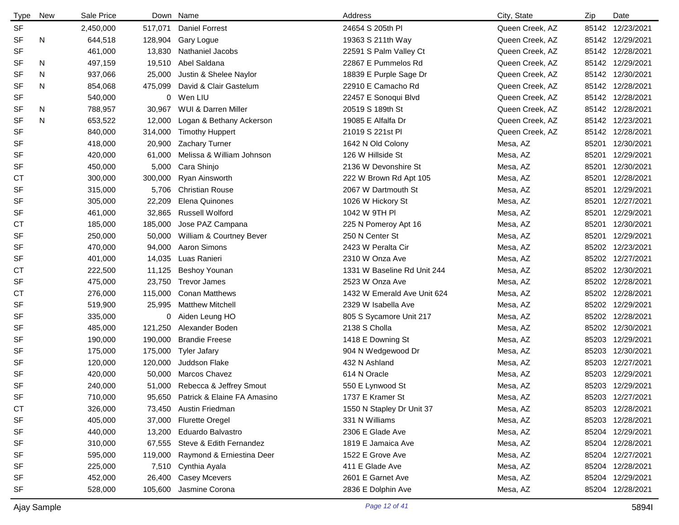| <b>Type</b> | <b>New</b> | Sale Price |         | Down Name                          | Address                     | City, State     | Zip   | Date             |
|-------------|------------|------------|---------|------------------------------------|-----------------------------|-----------------|-------|------------------|
| <b>SF</b>   |            | 2,450,000  | 517,071 | <b>Daniel Forrest</b>              | 24654 S 205th PI            | Queen Creek, AZ |       | 85142 12/23/2021 |
| <b>SF</b>   | N          | 644,518    | 128,904 | Gary Logue                         | 19363 S 211th Way           | Queen Creek, AZ |       | 85142 12/29/2021 |
| <b>SF</b>   |            | 461,000    | 13,830  | Nathaniel Jacobs                   | 22591 S Palm Valley Ct      | Queen Creek, AZ |       | 85142 12/28/2021 |
| <b>SF</b>   | N          | 497,159    | 19,510  | Abel Saldana                       | 22867 E Pummelos Rd         | Queen Creek, AZ |       | 85142 12/29/2021 |
| <b>SF</b>   | N          | 937,066    | 25,000  | Justin & Shelee Naylor             | 18839 E Purple Sage Dr      | Queen Creek, AZ |       | 85142 12/30/2021 |
| <b>SF</b>   | N          | 854,068    | 475,099 | David & Clair Gastelum             | 22910 E Camacho Rd          | Queen Creek, AZ |       | 85142 12/28/2021 |
| <b>SF</b>   |            | 540,000    |         | 0 Wen LIU                          | 22457 E Sonoqui Blvd        | Queen Creek, AZ |       | 85142 12/28/2021 |
| <b>SF</b>   | N          | 788,957    | 30,967  | WUI & Darren Miller                | 20519 S 189th St            | Queen Creek, AZ |       | 85142 12/28/2021 |
| <b>SF</b>   | N          | 653,522    | 12,000  | Logan & Bethany Ackerson           | 19085 E Alfalfa Dr          | Queen Creek, AZ |       | 85142 12/23/2021 |
| <b>SF</b>   |            | 840,000    | 314,000 | <b>Timothy Huppert</b>             | 21019 S 221st PI            | Queen Creek, AZ |       | 85142 12/28/2021 |
| SF          |            | 418,000    | 20,900  | Zachary Turner                     | 1642 N Old Colony           | Mesa, AZ        |       | 85201 12/30/2021 |
| <b>SF</b>   |            | 420,000    | 61,000  | Melissa & William Johnson          | 126 W Hillside St           | Mesa, AZ        | 85201 | 12/29/2021       |
| <b>SF</b>   |            | 450,000    | 5,000   | Cara Shinjo                        | 2136 W Devonshire St        | Mesa, AZ        | 85201 | 12/30/2021       |
| СT          |            | 300,000    | 300,000 | Ryan Ainsworth                     | 222 W Brown Rd Apt 105      | Mesa, AZ        | 85201 | 12/28/2021       |
| <b>SF</b>   |            | 315,000    | 5,706   | <b>Christian Rouse</b>             | 2067 W Dartmouth St         | Mesa, AZ        | 85201 | 12/29/2021       |
| <b>SF</b>   |            | 305,000    | 22,209  | Elena Quinones                     | 1026 W Hickory St           | Mesa, AZ        | 85201 | 12/27/2021       |
| <b>SF</b>   |            | 461,000    | 32,865  | <b>Russell Wolford</b>             | 1042 W 9TH PI               | Mesa, AZ        | 85201 | 12/29/2021       |
| СT          |            | 185,000    | 185,000 | Jose PAZ Campana                   | 225 N Pomeroy Apt 16        | Mesa, AZ        | 85201 | 12/30/2021       |
| <b>SF</b>   |            | 250,000    | 50,000  | William & Courtney Bever           | 250 N Center St             | Mesa, AZ        |       | 85201 12/29/2021 |
| SF          |            | 470,000    | 94,000  | Aaron Simons                       | 2423 W Peralta Cir          | Mesa, AZ        |       | 85202 12/23/2021 |
| <b>SF</b>   |            | 401,000    | 14,035  | Luas Ranieri                       | 2310 W Onza Ave             | Mesa, AZ        |       | 85202 12/27/2021 |
| СT          |            | 222,500    | 11,125  | <b>Beshoy Younan</b>               | 1331 W Baseline Rd Unit 244 | Mesa, AZ        |       | 85202 12/30/2021 |
| <b>SF</b>   |            | 475,000    | 23,750  | <b>Trevor James</b>                | 2523 W Onza Ave             | Mesa, AZ        |       | 85202 12/28/2021 |
| СT          |            | 276,000    | 115,000 | <b>Conan Matthews</b>              | 1432 W Emerald Ave Unit 624 | Mesa, AZ        |       | 85202 12/28/2021 |
| <b>SF</b>   |            | 519,900    | 25,995  | <b>Matthew Mitchell</b>            | 2329 W Isabella Ave         | Mesa, AZ        |       | 85202 12/29/2021 |
| SF          |            | 335,000    | 0       | Aiden Leung HO                     | 805 S Sycamore Unit 217     | Mesa, AZ        |       | 85202 12/28/2021 |
| <b>SF</b>   |            | 485,000    | 121,250 | Alexander Boden                    | 2138 S Cholla               | Mesa, AZ        |       | 85202 12/30/2021 |
| <b>SF</b>   |            | 190,000    | 190,000 | <b>Brandie Freese</b>              | 1418 E Downing St           | Mesa, AZ        |       | 85203 12/29/2021 |
| <b>SF</b>   |            | 175,000    | 175,000 | <b>Tyler Jafary</b>                | 904 N Wedgewood Dr          | Mesa, AZ        |       | 85203 12/30/2021 |
| <b>SF</b>   |            | 120,000    | 120,000 | Juddson Flake                      | 432 N Ashland               | Mesa, AZ        |       | 85203 12/27/2021 |
| <b>SF</b>   |            | 420,000    | 50,000  | Marcos Chavez                      | 614 N Oracle                | Mesa, AZ        |       | 85203 12/29/2021 |
| <b>SF</b>   |            | 240,000    |         | 51,000 Rebecca & Jeffrey Smout     | 550 E Lynwood St            | Mesa, AZ        |       | 85203 12/29/2021 |
| SF          |            | 710,000    |         | 95,650 Patrick & Elaine FA Amasino | 1737 E Kramer St            | Mesa, AZ        |       | 85203 12/27/2021 |
| СT          |            | 326,000    | 73,450  | Austin Friedman                    | 1550 N Stapley Dr Unit 37   | Mesa, AZ        |       | 85203 12/28/2021 |
| SF          |            | 405,000    | 37,000  | <b>Flurette Oregel</b>             | 331 N Williams              | Mesa, AZ        |       | 85203 12/28/2021 |
| SF          |            | 440,000    | 13,200  | Eduardo Balvastro                  | 2306 E Glade Ave            | Mesa, AZ        |       | 85204 12/29/2021 |
| SF          |            | 310,000    | 67,555  | Steve & Edith Fernandez            | 1819 E Jamaica Ave          | Mesa, AZ        |       | 85204 12/28/2021 |
| SF          |            | 595,000    |         | 119,000 Raymond & Erniestina Deer  | 1522 E Grove Ave            | Mesa, AZ        |       | 85204 12/27/2021 |
| SF          |            | 225,000    |         | 7,510 Cynthia Ayala                | 411 E Glade Ave             | Mesa, AZ        |       | 85204 12/28/2021 |
| SF          |            | 452,000    |         | 26,400 Casey Mcevers               | 2601 E Garnet Ave           | Mesa, AZ        |       | 85204 12/29/2021 |
| SF          |            | 528,000    | 105,600 | Jasmine Corona                     | 2836 E Dolphin Ave          | Mesa, AZ        |       | 85204 12/28/2021 |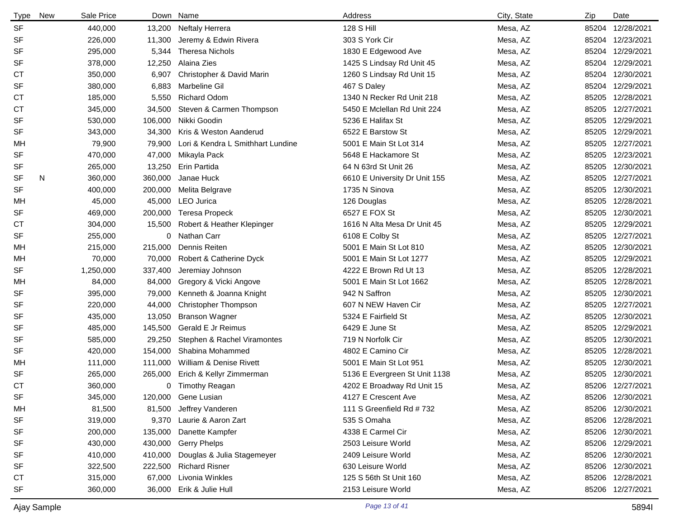| <b>Type</b> | New | Sale Price |         | Down Name                         | Address                       | City, State | Zip   | Date             |
|-------------|-----|------------|---------|-----------------------------------|-------------------------------|-------------|-------|------------------|
| <b>SF</b>   |     | 440,000    | 13,200  | <b>Neftaly Herrera</b>            | <b>128 S Hill</b>             | Mesa, AZ    | 85204 | 12/28/2021       |
| <b>SF</b>   |     | 226,000    | 11,300  | Jeremy & Edwin Rivera             | 303 S York Cir                | Mesa, AZ    | 85204 | 12/23/2021       |
| SF          |     | 295,000    | 5,344   | <b>Theresa Nichols</b>            | 1830 E Edgewood Ave           | Mesa, AZ    |       | 85204 12/29/2021 |
| <b>SF</b>   |     | 378,000    | 12,250  | Alaina Zies                       | 1425 S Lindsay Rd Unit 45     | Mesa, AZ    | 85204 | 12/29/2021       |
| <b>CT</b>   |     | 350,000    | 6,907   | Christopher & David Marin         | 1260 S Lindsay Rd Unit 15     | Mesa, AZ    | 85204 | 12/30/2021       |
| <b>SF</b>   |     | 380,000    | 6,883   | Marbeline Gil                     | 467 S Daley                   | Mesa, AZ    | 85204 | 12/29/2021       |
| СT          |     | 185,000    | 5,550   | <b>Richard Odom</b>               | 1340 N Recker Rd Unit 218     | Mesa, AZ    | 85205 | 12/28/2021       |
| <b>CT</b>   |     | 345,000    | 34,500  | Steven & Carmen Thompson          | 5450 E Mclellan Rd Unit 224   | Mesa, AZ    | 85205 | 12/27/2021       |
| SF          |     | 530,000    | 106,000 | Nikki Goodin                      | 5236 E Halifax St             | Mesa, AZ    | 85205 | 12/29/2021       |
| <b>SF</b>   |     | 343,000    | 34,300  | Kris & Weston Aanderud            | 6522 E Barstow St             | Mesa, AZ    | 85205 | 12/29/2021       |
| MН          |     | 79,900     | 79,900  | Lori & Kendra L Smithhart Lundine | 5001 E Main St Lot 314        | Mesa, AZ    | 85205 | 12/27/2021       |
| <b>SF</b>   |     | 470,000    | 47,000  | Mikayla Pack                      | 5648 E Hackamore St           | Mesa, AZ    | 85205 | 12/23/2021       |
| SF          |     | 265,000    | 13,250  | Erin Partida                      | 64 N 63rd St Unit 26          | Mesa, AZ    | 85205 | 12/30/2021       |
| <b>SF</b>   | N   | 360,000    | 360,000 | Janae Huck                        | 6610 E University Dr Unit 155 | Mesa, AZ    | 85205 | 12/27/2021       |
| <b>SF</b>   |     | 400,000    | 200,000 | Melita Belgrave                   | 1735 N Sinova                 | Mesa, AZ    | 85205 | 12/30/2021       |
| МH          |     | 45,000     | 45,000  | LEO Jurica                        | 126 Douglas                   | Mesa, AZ    | 85205 | 12/28/2021       |
| SF          |     | 469,000    | 200,000 | <b>Teresa Propeck</b>             | 6527 E FOX St                 | Mesa, AZ    | 85205 | 12/30/2021       |
| СT          |     | 304,000    | 15,500  | Robert & Heather Klepinger        | 1616 N Alta Mesa Dr Unit 45   | Mesa, AZ    | 85205 | 12/29/2021       |
| <b>SF</b>   |     | 255,000    | 0       | Nathan Carr                       | 6108 E Colby St               | Mesa, AZ    |       | 85205 12/27/2021 |
| МH          |     | 215,000    | 215,000 | Dennis Reiten                     | 5001 E Main St Lot 810        | Mesa, AZ    | 85205 | 12/30/2021       |
| MH.         |     | 70,000     | 70,000  | Robert & Catherine Dyck           | 5001 E Main St Lot 1277       | Mesa, AZ    | 85205 | 12/29/2021       |
| <b>SF</b>   |     | 1,250,000  | 337,400 | Jeremiay Johnson                  | 4222 E Brown Rd Ut 13         | Mesa, AZ    | 85205 | 12/28/2021       |
| МH          |     | 84,000     | 84,000  | Gregory & Vicki Angove            | 5001 E Main St Lot 1662       | Mesa, AZ    | 85205 | 12/28/2021       |
| SF          |     | 395,000    | 79,000  | Kenneth & Joanna Knight           | 942 N Saffron                 | Mesa, AZ    | 85205 | 12/30/2021       |
| SF          |     | 220,000    | 44,000  | Christopher Thompson              | 607 N NEW Haven Cir           | Mesa, AZ    | 85205 | 12/27/2021       |
| SF          |     | 435,000    | 13,050  | <b>Branson Wagner</b>             | 5324 E Fairfield St           | Mesa, AZ    | 85205 | 12/30/2021       |
| <b>SF</b>   |     | 485,000    | 145,500 | Gerald E Jr Reimus                | 6429 E June St                | Mesa, AZ    | 85205 | 12/29/2021       |
| <b>SF</b>   |     | 585,000    | 29,250  | Stephen & Rachel Viramontes       | 719 N Norfolk Cir             | Mesa, AZ    | 85205 | 12/30/2021       |
| <b>SF</b>   |     | 420,000    | 154,000 | Shabina Mohammed                  | 4802 E Camino Cir             | Mesa, AZ    | 85205 | 12/28/2021       |
| МH          |     | 111,000    | 111,000 | William & Denise Rivett           | 5001 E Main St Lot 951        | Mesa, AZ    | 85205 | 12/30/2021       |
| <b>SF</b>   |     | 265,000    | 265,000 | Erich & Kellyr Zimmerman          | 5136 E Evergreen St Unit 1138 | Mesa, AZ    | 85205 | 12/30/2021       |
| <b>CT</b>   |     | 360,000    |         | 0 Timothy Reagan                  | 4202 E Broadway Rd Unit 15    | Mesa, AZ    |       | 85206 12/27/2021 |
| <b>SF</b>   |     | 345,000    |         | 120,000 Gene Lusian               | 4127 E Crescent Ave           | Mesa, AZ    |       | 85206 12/30/2021 |
| MH.         |     | 81,500     | 81,500  | Jeffrey Vanderen                  | 111 S Greenfield Rd # 732     | Mesa, AZ    |       | 85206 12/30/2021 |
| <b>SF</b>   |     | 319,000    | 9,370   | Laurie & Aaron Zart               | 535 S Omaha                   | Mesa, AZ    |       | 85206 12/28/2021 |
| <b>SF</b>   |     | 200,000    | 135,000 | Danette Kampfer                   | 4338 E Carmel Cir             | Mesa, AZ    |       | 85206 12/30/2021 |
| SF          |     | 430,000    | 430,000 | <b>Gerry Phelps</b>               | 2503 Leisure World            | Mesa, AZ    |       | 85206 12/29/2021 |
| SF          |     | 410,000    | 410,000 | Douglas & Julia Stagemeyer        | 2409 Leisure World            | Mesa, AZ    |       | 85206 12/30/2021 |
| <b>SF</b>   |     | 322,500    | 222,500 | <b>Richard Risner</b>             | 630 Leisure World             | Mesa, AZ    |       | 85206 12/30/2021 |
| СT          |     | 315,000    | 67,000  | Livonia Winkles                   | 125 S 56th St Unit 160        | Mesa, AZ    |       | 85206 12/28/2021 |
| <b>SF</b>   |     | 360,000    | 36,000  | Erik & Julie Hull                 | 2153 Leisure World            | Mesa, AZ    |       | 85206 12/27/2021 |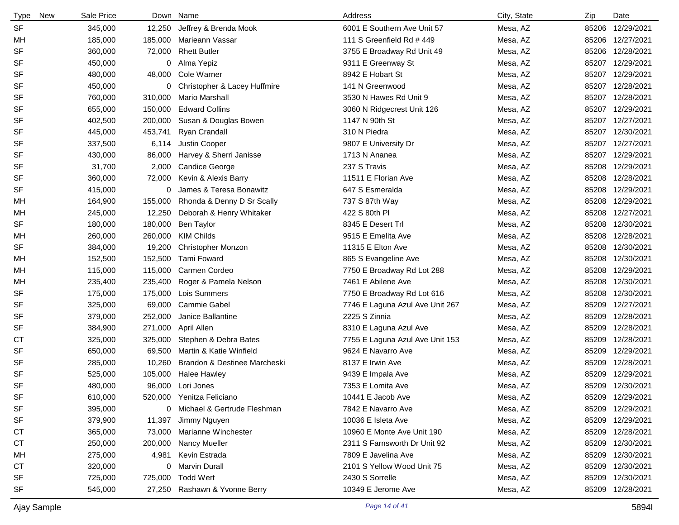| <b>Type</b> | New | Sale Price | Down    | Name                          | Address                         | City, State | Zip   | Date             |
|-------------|-----|------------|---------|-------------------------------|---------------------------------|-------------|-------|------------------|
| <b>SF</b>   |     | 345,000    | 12,250  | Jeffrey & Brenda Mook         | 6001 E Southern Ave Unit 57     | Mesa, AZ    | 85206 | 12/29/2021       |
| МH          |     | 185,000    | 185,000 | Marieann Vassar               | 111 S Greenfield Rd # 449       | Mesa, AZ    | 85206 | 12/27/2021       |
| SF          |     | 360,000    | 72,000  | <b>Rhett Butler</b>           | 3755 E Broadway Rd Unit 49      | Mesa, AZ    | 85206 | 12/28/2021       |
| SF          |     | 450,000    | 0       | Alma Yepiz                    | 9311 E Greenway St              | Mesa, AZ    | 85207 | 12/29/2021       |
| SF          |     | 480,000    | 48,000  | Cole Warner                   | 8942 E Hobart St                | Mesa, AZ    | 85207 | 12/29/2021       |
| SF          |     | 450,000    | 0       | Christopher & Lacey Huffmire  | 141 N Greenwood                 | Mesa, AZ    | 85207 | 12/28/2021       |
| SF          |     | 760,000    | 310,000 | Mario Marshall                | 3530 N Hawes Rd Unit 9          | Mesa, AZ    | 85207 | 12/28/2021       |
| SF          |     | 655,000    | 150,000 | <b>Edward Collins</b>         | 3060 N Ridgecrest Unit 126      | Mesa, AZ    | 85207 | 12/29/2021       |
| SF          |     | 402,500    | 200,000 | Susan & Douglas Bowen         | 1147 N 90th St                  | Mesa, AZ    | 85207 | 12/27/2021       |
| SF          |     | 445,000    | 453,741 | Ryan Crandall                 | 310 N Piedra                    | Mesa, AZ    | 85207 | 12/30/2021       |
| SF          |     | 337,500    | 6,114   | Justin Cooper                 | 9807 E University Dr            | Mesa, AZ    | 85207 | 12/27/2021       |
| SF          |     | 430,000    | 86,000  | Harvey & Sherri Janisse       | 1713 N Ananea                   | Mesa, AZ    | 85207 | 12/29/2021       |
| SF          |     | 31,700     | 2,000   | <b>Candice George</b>         | 237 S Travis                    | Mesa, AZ    | 85208 | 12/29/2021       |
| SF          |     | 360,000    | 72,000  | Kevin & Alexis Barry          | 11511 E Florian Ave             | Mesa, AZ    | 85208 | 12/28/2021       |
| SF          |     | 415,000    | 0       | James & Teresa Bonawitz       | 647 S Esmeralda                 | Mesa, AZ    | 85208 | 12/29/2021       |
| МH          |     | 164,900    | 155,000 | Rhonda & Denny D Sr Scally    | 737 S 87th Way                  | Mesa, AZ    | 85208 | 12/29/2021       |
| МH          |     | 245,000    | 12,250  | Deborah & Henry Whitaker      | 422 S 80th PI                   | Mesa, AZ    | 85208 | 12/27/2021       |
| SF          |     | 180,000    | 180,000 | Ben Taylor                    | 8345 E Desert Trl               | Mesa, AZ    | 85208 | 12/30/2021       |
| МH          |     | 260,000    | 260,000 | <b>KIM Childs</b>             | 9515 E Emelita Ave              | Mesa, AZ    | 85208 | 12/28/2021       |
| SF          |     | 384,000    | 19,200  | Christopher Monzon            | 11315 E Elton Ave               | Mesa, AZ    | 85208 | 12/30/2021       |
| МH          |     | 152,500    | 152,500 | <b>Tami Foward</b>            | 865 S Evangeline Ave            | Mesa, AZ    | 85208 | 12/30/2021       |
| МH          |     | 115,000    | 115,000 | Carmen Cordeo                 | 7750 E Broadway Rd Lot 288      | Mesa, AZ    | 85208 | 12/29/2021       |
| МH          |     | 235,400    | 235,400 | Roger & Pamela Nelson         | 7461 E Abilene Ave              | Mesa, AZ    | 85208 | 12/30/2021       |
| SF          |     | 175,000    | 175,000 | Lois Summers                  | 7750 E Broadway Rd Lot 616      | Mesa, AZ    | 85208 | 12/30/2021       |
| SF          |     | 325,000    | 69,000  | <b>Cammie Gabel</b>           | 7746 E Laguna Azul Ave Unit 267 | Mesa, AZ    | 85209 | 12/27/2021       |
| SF          |     | 379,000    | 252,000 | Janice Ballantine             | 2225 S Zinnia                   | Mesa, AZ    | 85209 | 12/28/2021       |
| SF          |     | 384,900    | 271,000 | April Allen                   | 8310 E Laguna Azul Ave          | Mesa, AZ    | 85209 | 12/28/2021       |
| СT          |     | 325,000    | 325,000 | Stephen & Debra Bates         | 7755 E Laguna Azul Ave Unit 153 | Mesa, AZ    | 85209 | 12/28/2021       |
| SF          |     | 650,000    | 69,500  | Martin & Katie Winfield       | 9624 E Navarro Ave              | Mesa, AZ    | 85209 | 12/29/2021       |
| SF          |     | 285,000    | 10,260  | Brandon & Destinee Marcheski  | 8137 E Irwin Ave                | Mesa, AZ    | 85209 | 12/28/2021       |
| SF          |     | 525,000    | 105,000 | <b>Halee Hawley</b>           | 9439 E Impala Ave               | Mesa, AZ    | 85209 | 12/29/2021       |
| SF          |     | 480,000    |         | 96,000 Lori Jones             | 7353 E Lomita Ave               | Mesa, AZ    | 85209 | 12/30/2021       |
| SF          |     | 610,000    |         | 520,000 Yenitza Feliciano     | 10441 E Jacob Ave               | Mesa, AZ    |       | 85209 12/29/2021 |
| SF          |     | 395,000    | 0       | Michael & Gertrude Fleshman   | 7842 E Navarro Ave              | Mesa, AZ    | 85209 | 12/29/2021       |
| SF          |     | 379,900    | 11,397  | Jimmy Nguyen                  | 10036 E Isleta Ave              | Mesa, AZ    |       | 85209 12/29/2021 |
| <b>CT</b>   |     | 365,000    | 73,000  | Marianne Winchester           | 10960 E Monte Ave Unit 190      | Mesa, AZ    |       | 85209 12/28/2021 |
| СT          |     | 250,000    | 200,000 | <b>Nancy Mueller</b>          | 2311 S Farnsworth Dr Unit 92    | Mesa, AZ    |       | 85209 12/30/2021 |
| MН          |     | 275,000    | 4,981   | Kevin Estrada                 | 7809 E Javelina Ave             | Mesa, AZ    | 85209 | 12/30/2021       |
| <b>CT</b>   |     | 320,000    | 0       | <b>Marvin Durall</b>          | 2101 S Yellow Wood Unit 75      | Mesa, AZ    | 85209 | 12/30/2021       |
| SF          |     | 725,000    | 725,000 | <b>Todd Wert</b>              | 2430 S Sorrelle                 | Mesa, AZ    |       | 85209 12/30/2021 |
| SF          |     | 545,000    |         | 27,250 Rashawn & Yvonne Berry | 10349 E Jerome Ave              | Mesa, AZ    |       | 85209 12/28/2021 |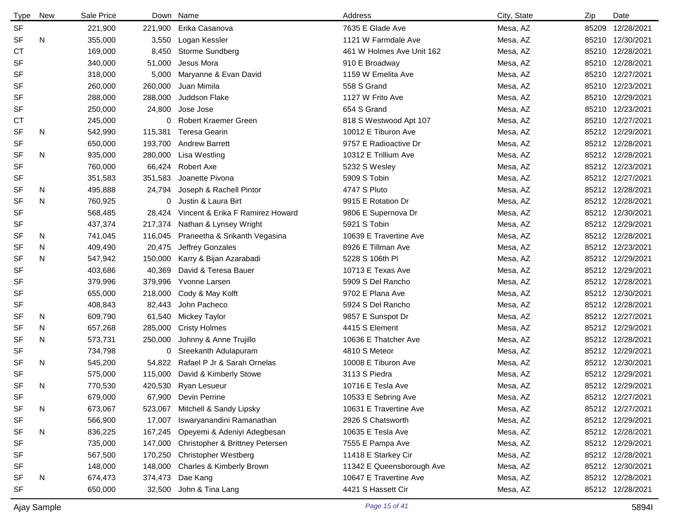| <b>Type</b> | <b>New</b> | Sale Price |         | Down Name                          | Address                   | City, State | Zip   | Date             |
|-------------|------------|------------|---------|------------------------------------|---------------------------|-------------|-------|------------------|
| <b>SF</b>   |            | 221,900    | 221,900 | Erika Casanova                     | 7635 E Glade Ave          | Mesa, AZ    | 85209 | 12/28/2021       |
| <b>SF</b>   | N          | 355,000    | 3,550   | Logan Kessler                      | 1121 W Farmdale Ave       | Mesa, AZ    |       | 85210 12/30/2021 |
| <b>CT</b>   |            | 169,000    | 8,450   | Storme Sundberg                    | 461 W Holmes Ave Unit 162 | Mesa, AZ    |       | 85210 12/28/2021 |
| <b>SF</b>   |            | 340,000    | 51,000  | Jesus Mora                         | 910 E Broadway            | Mesa, AZ    |       | 85210 12/28/2021 |
| <b>SF</b>   |            | 318,000    | 5,000   | Maryanne & Evan David              | 1159 W Emelita Ave        | Mesa, AZ    |       | 85210 12/27/2021 |
| <b>SF</b>   |            | 260,000    | 260,000 | Juan Mimila                        | 558 S Grand               | Mesa, AZ    |       | 85210 12/23/2021 |
| <b>SF</b>   |            | 288,000    | 288,000 | Juddson Flake                      | 1127 W Frito Ave          | Mesa, AZ    |       | 85210 12/29/2021 |
| <b>SF</b>   |            | 250,000    | 24,800  | Jose Jose                          | 654 S Grand               | Mesa, AZ    |       | 85210 12/23/2021 |
| СT          |            | 245,000    |         | 0 Robert Kraemer Green             | 818 S Westwood Apt 107    | Mesa, AZ    |       | 85210 12/27/2021 |
| <b>SF</b>   | N          | 542,990    | 115,381 | Teresa Gearin                      | 10012 E Tiburon Ave       | Mesa, AZ    |       | 85212 12/29/2021 |
| <b>SF</b>   |            | 650,000    | 193,700 | <b>Andrew Barrett</b>              | 9757 E Radioactive Dr     | Mesa, AZ    |       | 85212 12/28/2021 |
| <b>SF</b>   | N          | 935,000    | 280,000 | Lisa Westling                      | 10312 E Trillium Ave      | Mesa, AZ    |       | 85212 12/28/2021 |
| <b>SF</b>   |            | 760,000    | 66,424  | <b>Robert Axe</b>                  | 5232 S Wesley             | Mesa, AZ    |       | 85212 12/23/2021 |
| SF          |            | 351,583    | 351,583 | Joanette Pivona                    | 5909 S Tobin              | Mesa, AZ    |       | 85212 12/27/2021 |
| <b>SF</b>   | N          | 495,888    | 24,794  | Joseph & Rachell Pintor            | 4747 S Pluto              | Mesa, AZ    |       | 85212 12/28/2021 |
| <b>SF</b>   | N          | 760,925    | 0       | Justin & Laura Birt                | 9915 E Rotation Dr        | Mesa, AZ    |       | 85212 12/28/2021 |
| <b>SF</b>   |            | 568,485    | 28,424  | Vincent & Erika F Ramirez Howard   | 9806 E Supernova Dr       | Mesa, AZ    |       | 85212 12/30/2021 |
| <b>SF</b>   |            | 437,374    | 217,374 | Nathan & Lynsey Wright             | 5921 S Tobin              | Mesa, AZ    |       | 85212 12/29/2021 |
| SF          | N          | 741,045    | 116,045 | Praneetha & Srikanth Vegasina      | 10639 E Travertine Ave    | Mesa, AZ    |       | 85212 12/28/2021 |
| SF          | N          | 409,490    | 20,475  | Jeffrey Gonzales                   | 8926 E Tillman Ave        | Mesa, AZ    |       | 85212 12/23/2021 |
| <b>SF</b>   | N          | 547,942    | 150,000 | Karry & Bijan Azarabadi            | 5228 S 106th PI           | Mesa, AZ    |       | 85212 12/29/2021 |
| <b>SF</b>   |            | 403,686    | 40,369  | David & Teresa Bauer               | 10713 E Texas Ave         | Mesa, AZ    |       | 85212 12/29/2021 |
| <b>SF</b>   |            | 379,996    | 379,996 | Yvonne Larsen                      | 5909 S Del Rancho         | Mesa, AZ    |       | 85212 12/28/2021 |
| SF          |            | 655,000    | 218,000 | Cody & May Kolft                   | 9702 E Plana Ave          | Mesa, AZ    |       | 85212 12/30/2021 |
| SF          |            | 408,843    | 82,443  | John Pacheco                       | 5924 S Del Rancho         | Mesa, AZ    |       | 85212 12/28/2021 |
| SF          | N.         | 609,790    | 61,540  | Mickey Taylor                      | 9857 E Sunspot Dr         | Mesa, AZ    |       | 85212 12/27/2021 |
| <b>SF</b>   | N          | 657,268    | 285,000 | <b>Cristy Holmes</b>               | 4415 S Element            | Mesa, AZ    |       | 85212 12/29/2021 |
| <b>SF</b>   | N          | 573,731    | 250,000 | Johnny & Anne Trujillo             | 10636 E Thatcher Ave      | Mesa, AZ    |       | 85212 12/28/2021 |
| <b>SF</b>   |            | 734,798    |         | 0 Sreekanth Adulapuram             | 4810 S Meteor             | Mesa, AZ    |       | 85212 12/29/2021 |
| <b>SF</b>   | N          | 545,200    |         | 54,822 Rafael P Jr & Sarah Ornelas | 10008 E Tiburon Ave       | Mesa, AZ    |       | 85212 12/30/2021 |
| <b>SF</b>   |            | 575,000    | 115,000 | David & Kimberly Stowe             | 3113 S Piedra             | Mesa, AZ    |       | 85212 12/29/2021 |
| <b>SF</b>   | N          | 770,530    |         | 420,530 Ryan Lesueur               | 10716 E Tesla Ave         | Mesa, AZ    |       | 85212 12/29/2021 |
| <b>SF</b>   |            | 679,000    |         | 67,900 Devin Perrine               | 10533 E Sebring Ave       | Mesa, AZ    |       | 85212 12/27/2021 |
| <b>SF</b>   | N          | 673,067    | 523,067 | Mitchell & Sandy Lipsky            | 10631 E Travertine Ave    | Mesa, AZ    |       | 85212 12/27/2021 |
| SF          |            | 566,900    | 17,007  | Iswaryanandini Ramanathan          | 2926 S Chatsworth         | Mesa, AZ    |       | 85212 12/29/2021 |
| <b>SF</b>   | N          | 836,225    | 167,245 | Opeyemi & Adeniyi Adegbesan        | 10635 E Tesla Ave         | Mesa, AZ    |       | 85212 12/28/2021 |
| SF          |            | 735,000    | 147,000 | Christopher & Brittney Petersen    | 7555 E Pampa Ave          | Mesa, AZ    |       | 85212 12/29/2021 |
| SF          |            | 567,500    | 170,250 | <b>Christopher Westberg</b>        | 11418 E Starkey Cir       | Mesa, AZ    |       | 85212 12/28/2021 |
| SF          |            | 148,000    | 148,000 | Charles & Kimberly Brown           | 11342 E Queensborough Ave | Mesa, AZ    |       | 85212 12/30/2021 |
| SF          | N          | 674,473    | 374,473 | Dae Kang                           | 10647 E Travertine Ave    | Mesa, AZ    |       | 85212 12/28/2021 |
| SF          |            | 650,000    | 32,500  | John & Tina Lang                   | 4421 S Hassett Cir        | Mesa, AZ    |       | 85212 12/28/2021 |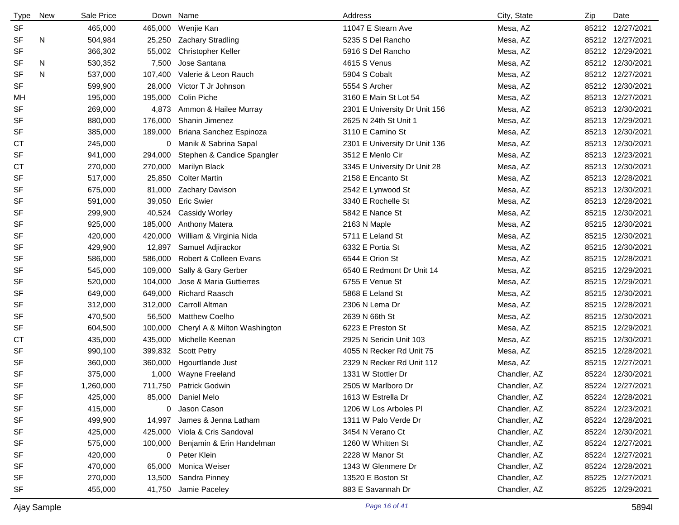| <b>Type</b> | New | Sale Price |         | Down Name                     | Address                       | City, State  | Zip | Date             |
|-------------|-----|------------|---------|-------------------------------|-------------------------------|--------------|-----|------------------|
| <b>SF</b>   |     | 465,000    |         | 465,000 Wenjie Kan            | 11047 E Stearn Ave            | Mesa, AZ     |     | 85212 12/27/2021 |
| <b>SF</b>   | N   | 504,984    | 25,250  | <b>Zachary Stradling</b>      | 5235 S Del Rancho             | Mesa, AZ     |     | 85212 12/27/2021 |
| <b>SF</b>   |     | 366,302    | 55,002  | <b>Christopher Keller</b>     | 5916 S Del Rancho             | Mesa, AZ     |     | 85212 12/29/2021 |
| SF          | N   | 530,352    | 7,500   | Jose Santana                  | 4615 S Venus                  | Mesa, AZ     |     | 85212 12/30/2021 |
| SF          | N   | 537,000    | 107,400 | Valerie & Leon Rauch          | 5904 S Cobalt                 | Mesa, AZ     |     | 85212 12/27/2021 |
| <b>SF</b>   |     | 599,900    | 28,000  | Victor T Jr Johnson           | 5554 S Archer                 | Mesa, AZ     |     | 85212 12/30/2021 |
| МH          |     | 195,000    | 195,000 | Colin Piche                   | 3160 E Main St Lot 54         | Mesa, AZ     |     | 85213 12/27/2021 |
| <b>SF</b>   |     | 269,000    | 4,873   | Ammon & Hailee Murray         | 2301 E University Dr Unit 156 | Mesa, AZ     |     | 85213 12/30/2021 |
| SF          |     | 880,000    | 176,000 | Shanin Jimenez                | 2625 N 24th St Unit 1         | Mesa, AZ     |     | 85213 12/29/2021 |
| <b>SF</b>   |     | 385,000    | 189,000 | Briana Sanchez Espinoza       | 3110 E Camino St              | Mesa, AZ     |     | 85213 12/30/2021 |
| СT          |     | 245,000    |         | 0 Manik & Sabrina Sapal       | 2301 E University Dr Unit 136 | Mesa, AZ     |     | 85213 12/30/2021 |
| <b>SF</b>   |     | 941,000    | 294,000 | Stephen & Candice Spangler    | 3512 E Menlo Cir              | Mesa, AZ     |     | 85213 12/23/2021 |
| СT          |     | 270,000    | 270,000 | Marilyn Black                 | 3345 E University Dr Unit 28  | Mesa, AZ     |     | 85213 12/30/2021 |
| <b>SF</b>   |     | 517,000    | 25,850  | <b>Colter Martin</b>          | 2158 E Encanto St             | Mesa, AZ     |     | 85213 12/28/2021 |
| <b>SF</b>   |     | 675,000    | 81,000  | Zachary Davison               | 2542 E Lynwood St             | Mesa, AZ     |     | 85213 12/30/2021 |
| <b>SF</b>   |     | 591,000    | 39,050  | <b>Eric Swier</b>             | 3340 E Rochelle St            | Mesa, AZ     |     | 85213 12/28/2021 |
| SF          |     | 299,900    | 40,524  | <b>Cassidy Worley</b>         | 5842 E Nance St               | Mesa, AZ     |     | 85215 12/30/2021 |
| <b>SF</b>   |     | 925,000    | 185,000 | <b>Anthony Matera</b>         | 2163 N Maple                  | Mesa, AZ     |     | 85215 12/30/2021 |
| <b>SF</b>   |     | 420,000    | 420,000 | William & Virginia Nida       | 5711 E Leland St              | Mesa, AZ     |     | 85215 12/30/2021 |
| SF          |     | 429,900    | 12,897  | Samuel Adjirackor             | 6332 E Portia St              | Mesa, AZ     |     | 85215 12/30/2021 |
| SF          |     | 586,000    | 586,000 | Robert & Colleen Evans        | 6544 E Orion St               | Mesa, AZ     |     | 85215 12/28/2021 |
| SF          |     | 545,000    | 109,000 | Sally & Gary Gerber           | 6540 E Redmont Dr Unit 14     | Mesa, AZ     |     | 85215 12/29/2021 |
| SF          |     | 520,000    | 104,000 | Jose & Maria Guttierres       | 6755 E Venue St               | Mesa, AZ     |     | 85215 12/29/2021 |
| SF          |     | 649,000    | 649,000 | <b>Richard Raasch</b>         | 5868 E Leland St              | Mesa, AZ     |     | 85215 12/30/2021 |
| SF          |     | 312,000    | 312,000 | Carroll Altman                | 2306 N Lema Dr                | Mesa, AZ     |     | 85215 12/28/2021 |
| SF          |     | 470,500    | 56,500  | <b>Matthew Coelho</b>         | 2639 N 66th St                | Mesa, AZ     |     | 85215 12/30/2021 |
| <b>SF</b>   |     | 604,500    | 100,000 | Cheryl A & Milton Washington  | 6223 E Preston St             | Mesa, AZ     |     | 85215 12/29/2021 |
| <b>CT</b>   |     | 435,000    | 435,000 | Michelle Keenan               | 2925 N Sericin Unit 103       | Mesa, AZ     |     | 85215 12/30/2021 |
| <b>SF</b>   |     | 990,100    | 399,832 | <b>Scott Petry</b>            | 4055 N Recker Rd Unit 75      | Mesa, AZ     |     | 85215 12/28/2021 |
| SF          |     | 360,000    | 360,000 | <b>Hgourtlande Just</b>       | 2329 N Recker Rd Unit 112     | Mesa, AZ     |     | 85215 12/27/2021 |
| <b>SF</b>   |     | 375,000    | 1,000   | Wayne Freeland                | 1331 W Stottler Dr            | Chandler, AZ |     | 85224 12/30/2021 |
| <b>SF</b>   |     | 1,260,000  | 711,750 | <b>Patrick Godwin</b>         | 2505 W Marlboro Dr            | Chandler, AZ |     | 85224 12/27/2021 |
| SF          |     | 425,000    |         | 85,000 Daniel Melo            | 1613 W Estrella Dr            | Chandler, AZ |     | 85224 12/28/2021 |
| SF          |     | 415,000    |         | 0 Jason Cason                 | 1206 W Los Arboles PI         | Chandler, AZ |     | 85224 12/23/2021 |
| <b>SF</b>   |     | 499,900    | 14,997  | James & Jenna Latham          | 1311 W Palo Verde Dr          | Chandler, AZ |     | 85224 12/28/2021 |
| <b>SF</b>   |     | 425,000    |         | 425,000 Viola & Cris Sandoval | 3454 N Verano Ct              | Chandler, AZ |     | 85224 12/30/2021 |
| SF          |     | 575,000    | 100,000 | Benjamin & Erin Handelman     | 1260 W Whitten St             | Chandler, AZ |     | 85224 12/27/2021 |
| SF          |     | 420,000    |         | 0 Peter Klein                 | 2228 W Manor St               | Chandler, AZ |     | 85224 12/27/2021 |
| <b>SF</b>   |     | 470,000    | 65,000  | Monica Weiser                 | 1343 W Glenmere Dr            | Chandler, AZ |     | 85224 12/28/2021 |
| SF          |     | 270,000    |         | 13,500 Sandra Pinney          | 13520 E Boston St             | Chandler, AZ |     | 85225 12/27/2021 |
| <b>SF</b>   |     | 455,000    | 41,750  | Jamie Paceley                 | 883 E Savannah Dr             | Chandler, AZ |     | 85225 12/29/2021 |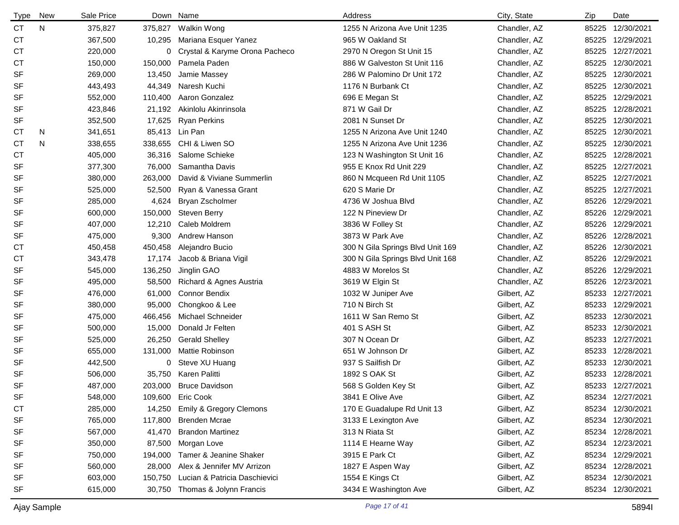| <b>Type</b> | <b>New</b> | Sale Price |         | Down Name                          | Address                          | City, State  | Zip   | Date             |
|-------------|------------|------------|---------|------------------------------------|----------------------------------|--------------|-------|------------------|
| <b>CT</b>   | N          | 375,827    | 375,827 | Walkin Wong                        | 1255 N Arizona Ave Unit 1235     | Chandler, AZ | 85225 | 12/30/2021       |
| <b>CT</b>   |            | 367,500    | 10,295  | Mariana Esquer Yanez               | 965 W Oakland St                 | Chandler, AZ |       | 85225 12/29/2021 |
| <b>CT</b>   |            | 220,000    |         | 0 Crystal & Karyme Orona Pacheco   | 2970 N Oregon St Unit 15         | Chandler, AZ | 85225 | 12/27/2021       |
| <b>CT</b>   |            | 150,000    | 150,000 | Pamela Paden                       | 886 W Galveston St Unit 116      | Chandler, AZ | 85225 | 12/30/2021       |
| <b>SF</b>   |            | 269,000    | 13,450  | Jamie Massey                       | 286 W Palomino Dr Unit 172       | Chandler, AZ | 85225 | 12/30/2021       |
| <b>SF</b>   |            | 443,493    | 44,349  | Naresh Kuchi                       | 1176 N Burbank Ct                | Chandler, AZ | 85225 | 12/30/2021       |
| <b>SF</b>   |            | 552,000    | 110,400 | Aaron Gonzalez                     | 696 E Megan St                   | Chandler, AZ | 85225 | 12/29/2021       |
| <b>SF</b>   |            | 423,846    | 21,192  | Akinlolu Akinrinsola               | 871 W Gail Dr                    | Chandler, AZ | 85225 | 12/28/2021       |
| <b>SF</b>   |            | 352,500    | 17,625  | <b>Ryan Perkins</b>                | 2081 N Sunset Dr                 | Chandler, AZ | 85225 | 12/30/2021       |
| СT          | N          | 341,651    | 85,413  | Lin Pan                            | 1255 N Arizona Ave Unit 1240     | Chandler, AZ | 85225 | 12/30/2021       |
| <b>CT</b>   | N          | 338,655    | 338,655 | CHI & Liwen SO                     | 1255 N Arizona Ave Unit 1236     | Chandler, AZ | 85225 | 12/30/2021       |
| <b>CT</b>   |            | 405,000    | 36,316  | Salome Schieke                     | 123 N Washington St Unit 16      | Chandler, AZ | 85225 | 12/28/2021       |
| SF          |            | 377,300    | 76,000  | Samantha Davis                     | 955 E Knox Rd Unit 229           | Chandler, AZ | 85225 | 12/27/2021       |
| <b>SF</b>   |            | 380,000    | 263,000 | David & Viviane Summerlin          | 860 N Mcqueen Rd Unit 1105       | Chandler, AZ |       | 85225 12/27/2021 |
| <b>SF</b>   |            | 525,000    | 52,500  | Ryan & Vanessa Grant               | 620 S Marie Dr                   | Chandler, AZ | 85225 | 12/27/2021       |
| <b>SF</b>   |            | 285,000    | 4,624   | Bryan Zscholmer                    | 4736 W Joshua Blvd               | Chandler, AZ | 85226 | 12/29/2021       |
| <b>SF</b>   |            | 600,000    | 150,000 | <b>Steven Berry</b>                | 122 N Pineview Dr                | Chandler, AZ | 85226 | 12/29/2021       |
| <b>SF</b>   |            | 407,000    | 12,210  | Caleb Moldrem                      | 3836 W Folley St                 | Chandler, AZ | 85226 | 12/29/2021       |
| <b>SF</b>   |            | 475,000    | 9,300   | <b>Andrew Hanson</b>               | 3873 W Park Ave                  | Chandler, AZ | 85226 | 12/28/2021       |
| СT          |            | 450,458    | 450,458 | Alejandro Bucio                    | 300 N Gila Springs Blvd Unit 169 | Chandler, AZ | 85226 | 12/30/2021       |
| СT          |            | 343,478    | 17,174  | Jacob & Briana Vigil               | 300 N Gila Springs Blvd Unit 168 | Chandler, AZ | 85226 | 12/29/2021       |
| <b>SF</b>   |            | 545,000    | 136,250 | Jinglin GAO                        | 4883 W Morelos St                | Chandler, AZ | 85226 | 12/29/2021       |
| <b>SF</b>   |            | 495,000    | 58,500  | Richard & Agnes Austria            | 3619 W Elgin St                  | Chandler, AZ | 85226 | 12/23/2021       |
| <b>SF</b>   |            | 476,000    | 61,000  | <b>Connor Bendix</b>               | 1032 W Juniper Ave               | Gilbert, AZ  | 85233 | 12/27/2021       |
| <b>SF</b>   |            | 380,000    | 95,000  | Chongkoo & Lee                     | 710 N Birch St                   | Gilbert, AZ  | 85233 | 12/29/2021       |
| <b>SF</b>   |            | 475,000    | 466,456 | Michael Schneider                  | 1611 W San Remo St               | Gilbert, AZ  | 85233 | 12/30/2021       |
| <b>SF</b>   |            | 500,000    | 15,000  | Donald Jr Felten                   | 401 S ASH St                     | Gilbert, AZ  |       | 85233 12/30/2021 |
| SF          |            | 525,000    | 26,250  | <b>Gerald Shelley</b>              | 307 N Ocean Dr                   | Gilbert, AZ  | 85233 | 12/27/2021       |
| SF          |            | 655,000    | 131,000 | Mattie Robinson                    | 651 W Johnson Dr                 | Gilbert, AZ  | 85233 | 12/28/2021       |
| SF          |            | 442,500    | 0       | Steve XU Huang                     | 937 S Sailfish Dr                | Gilbert, AZ  | 85233 | 12/30/2021       |
| <b>SF</b>   |            | 506,000    | 35,750  | Karen Palitti                      | 1892 S OAK St                    | Gilbert, AZ  |       | 85233 12/28/2021 |
| <b>SF</b>   |            | 487,000    | 203,000 | <b>Bruce Davidson</b>              | 568 S Golden Key St              | Gilbert, AZ  |       | 85233 12/27/2021 |
| SF          |            | 548,000    |         | 109,600 Eric Cook                  | 3841 E Olive Ave                 | Gilbert, AZ  |       | 85234 12/27/2021 |
| <b>CT</b>   |            | 285,000    | 14,250  | <b>Emily &amp; Gregory Clemons</b> | 170 E Guadalupe Rd Unit 13       | Gilbert, AZ  |       | 85234 12/30/2021 |
| <b>SF</b>   |            | 765,000    | 117,800 | Brenden Mcrae                      | 3133 E Lexington Ave             | Gilbert, AZ  |       | 85234 12/30/2021 |
| <b>SF</b>   |            | 567,000    | 41,470  | <b>Brandon Martinez</b>            | 313 N Riata St                   | Gilbert, AZ  |       | 85234 12/28/2021 |
| <b>SF</b>   |            | 350,000    | 87,500  | Morgan Love                        | 1114 E Hearne Way                | Gilbert, AZ  |       | 85234 12/23/2021 |
| <b>SF</b>   |            | 750,000    | 194,000 | Tamer & Jeanine Shaker             | 3915 E Park Ct                   | Gilbert, AZ  |       | 85234 12/29/2021 |
| <b>SF</b>   |            | 560,000    | 28,000  | Alex & Jennifer MV Arrizon         | 1827 E Aspen Way                 | Gilbert, AZ  |       | 85234 12/28/2021 |
| <b>SF</b>   |            | 603,000    | 150,750 | Lucian & Patricia Daschievici      | 1554 E Kings Ct                  | Gilbert, AZ  |       | 85234 12/30/2021 |
| <b>SF</b>   |            | 615,000    | 30,750  | Thomas & Jolynn Francis            | 3434 E Washington Ave            | Gilbert, AZ  |       | 85234 12/30/2021 |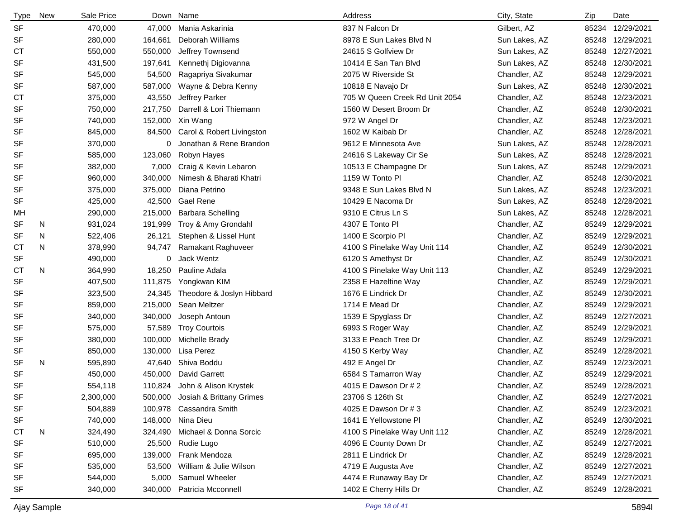| Type      | <b>New</b> | Sale Price |         | Down Name                      | Address                        | City, State   | Zip   | Date             |
|-----------|------------|------------|---------|--------------------------------|--------------------------------|---------------|-------|------------------|
| <b>SF</b> |            | 470,000    | 47,000  | Mania Askarinia                | 837 N Falcon Dr                | Gilbert, AZ   | 85234 | 12/29/2021       |
| <b>SF</b> |            | 280,000    | 164,661 | Deborah Williams               | 8978 E Sun Lakes Blvd N        | Sun Lakes, AZ | 85248 | 12/29/2021       |
| <b>CT</b> |            | 550,000    | 550,000 | Jeffrey Townsend               | 24615 S Golfview Dr            | Sun Lakes, AZ | 85248 | 12/27/2021       |
| <b>SF</b> |            | 431,500    | 197,641 | Kennethj Digiovanna            | 10414 E San Tan Blvd           | Sun Lakes, AZ | 85248 | 12/30/2021       |
| <b>SF</b> |            | 545,000    | 54,500  | Ragapriya Sivakumar            | 2075 W Riverside St            | Chandler, AZ  | 85248 | 12/29/2021       |
| <b>SF</b> |            | 587,000    | 587,000 | Wayne & Debra Kenny            | 10818 E Navajo Dr              | Sun Lakes, AZ | 85248 | 12/30/2021       |
| <b>CT</b> |            | 375,000    | 43,550  | Jeffrey Parker                 | 705 W Queen Creek Rd Unit 2054 | Chandler, AZ  | 85248 | 12/23/2021       |
| <b>SF</b> |            | 750,000    | 217,750 | Darrell & Lori Thiemann        | 1560 W Desert Broom Dr         | Chandler, AZ  | 85248 | 12/30/2021       |
| <b>SF</b> |            | 740,000    | 152,000 | Xin Wang                       | 972 W Angel Dr                 | Chandler, AZ  | 85248 | 12/23/2021       |
| <b>SF</b> |            | 845,000    | 84,500  | Carol & Robert Livingston      | 1602 W Kaibab Dr               | Chandler, AZ  | 85248 | 12/28/2021       |
| <b>SF</b> |            | 370,000    | 0       | Jonathan & Rene Brandon        | 9612 E Minnesota Ave           | Sun Lakes, AZ | 85248 | 12/28/2021       |
| <b>SF</b> |            | 585,000    | 123,060 | Robyn Hayes                    | 24616 S Lakeway Cir Se         | Sun Lakes, AZ | 85248 | 12/28/2021       |
| <b>SF</b> |            | 382,000    | 7,000   | Craig & Kevin Lebaron          | 10513 E Champagne Dr           | Sun Lakes, AZ | 85248 | 12/29/2021       |
| <b>SF</b> |            | 960,000    | 340,000 | Nimesh & Bharati Khatri        | 1159 W Tonto PI                | Chandler, AZ  | 85248 | 12/30/2021       |
| <b>SF</b> |            | 375,000    | 375,000 | Diana Petrino                  | 9348 E Sun Lakes Blvd N        | Sun Lakes, AZ | 85248 | 12/23/2021       |
| <b>SF</b> |            | 425,000    | 42,500  | <b>Gael Rene</b>               | 10429 E Nacoma Dr              | Sun Lakes, AZ | 85248 | 12/28/2021       |
| МH        |            | 290,000    | 215,000 | Barbara Schelling              | 9310 E Citrus Ln S             | Sun Lakes, AZ | 85248 | 12/28/2021       |
| <b>SF</b> | N          | 931,024    | 191,999 | Troy & Amy Grondahl            | 4307 E Tonto Pl                | Chandler, AZ  | 85249 | 12/29/2021       |
| SF        | N          | 522,406    | 26,121  | Stephen & Lissel Hunt          | 1400 E Scorpio Pl              | Chandler, AZ  | 85249 | 12/29/2021       |
| <b>CT</b> | N          | 378,990    | 94,747  | Ramakant Raghuveer             | 4100 S Pinelake Way Unit 114   | Chandler, AZ  | 85249 | 12/30/2021       |
| <b>SF</b> |            | 490,000    | 0       | Jack Wentz                     | 6120 S Amethyst Dr             | Chandler, AZ  | 85249 | 12/30/2021       |
| <b>CT</b> | N          | 364,990    | 18,250  | Pauline Adala                  | 4100 S Pinelake Way Unit 113   | Chandler, AZ  | 85249 | 12/29/2021       |
| <b>SF</b> |            | 407,500    | 111,875 | Yongkwan KIM                   | 2358 E Hazeltine Way           | Chandler, AZ  | 85249 | 12/29/2021       |
| <b>SF</b> |            | 323,500    | 24,345  | Theodore & Joslyn Hibbard      | 1676 E Lindrick Dr             | Chandler, AZ  | 85249 | 12/30/2021       |
| SF        |            | 859,000    | 215,000 | Sean Meltzer                   | 1714 E Mead Dr                 | Chandler, AZ  | 85249 | 12/29/2021       |
| <b>SF</b> |            | 340,000    | 340,000 | Joseph Antoun                  | 1539 E Spyglass Dr             | Chandler, AZ  | 85249 | 12/27/2021       |
| <b>SF</b> |            | 575,000    | 57,589  | <b>Troy Courtois</b>           | 6993 S Roger Way               | Chandler, AZ  | 85249 | 12/29/2021       |
| <b>SF</b> |            | 380,000    | 100,000 | Michelle Brady                 | 3133 E Peach Tree Dr           | Chandler, AZ  | 85249 | 12/29/2021       |
| <b>SF</b> |            | 850,000    | 130,000 | Lisa Perez                     | 4150 S Kerby Way               | Chandler, AZ  | 85249 | 12/28/2021       |
| <b>SF</b> | N          | 595,890    | 47,640  | Shiva Boddu                    | 492 E Angel Dr                 | Chandler, AZ  | 85249 | 12/23/2021       |
| <b>SF</b> |            | 450,000    | 450,000 | <b>David Garrett</b>           | 6584 S Tamarron Way            | Chandler, AZ  | 85249 | 12/29/2021       |
| <b>SF</b> |            | 554,118    | 110,824 | John & Alison Krystek          | 4015 E Dawson Dr # 2           | Chandler, AZ  |       | 85249 12/28/2021 |
| SF        |            | 2,300,000  | 500,000 | Josiah & Brittany Grimes       | 23706 S 126th St               | Chandler, AZ  |       | 85249 12/27/2021 |
| <b>SF</b> |            | 504,889    |         | 100,978 Cassandra Smith        | 4025 E Dawson Dr # 3           | Chandler, AZ  |       | 85249 12/23/2021 |
| <b>SF</b> |            | 740,000    | 148,000 | Nina Dieu                      | 1641 E Yellowstone PI          | Chandler, AZ  |       | 85249 12/30/2021 |
| <b>CT</b> | N          | 324,490    |         | 324,490 Michael & Donna Sorcic | 4100 S Pinelake Way Unit 112   | Chandler, AZ  |       | 85249 12/28/2021 |
| <b>SF</b> |            | 510,000    | 25,500  | Rudie Lugo                     | 4096 E County Down Dr          | Chandler, AZ  |       | 85249 12/27/2021 |
| SF        |            | 695,000    | 139,000 | Frank Mendoza                  | 2811 E Lindrick Dr             | Chandler, AZ  |       | 85249 12/28/2021 |
| <b>SF</b> |            | 535,000    | 53,500  | William & Julie Wilson         | 4719 E Augusta Ave             | Chandler, AZ  |       | 85249 12/27/2021 |
| <b>SF</b> |            | 544,000    | 5,000   | Samuel Wheeler                 | 4474 E Runaway Bay Dr          | Chandler, AZ  |       | 85249 12/27/2021 |
| <b>SF</b> |            | 340,000    | 340,000 | Patricia Mcconnell             | 1402 E Cherry Hills Dr         | Chandler, AZ  |       | 85249 12/28/2021 |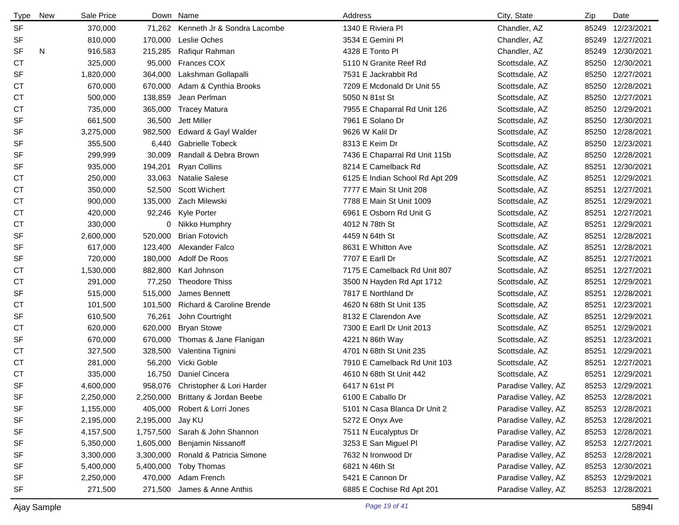| <b>Type</b> | <b>New</b> | Sale Price | Down      | Name                               | Address                         | City, State         | Zip   | Date             |
|-------------|------------|------------|-----------|------------------------------------|---------------------------------|---------------------|-------|------------------|
| <b>SF</b>   |            | 370,000    | 71,262    | Kenneth Jr & Sondra Lacombe        | 1340 E Riviera Pl               | Chandler, AZ        |       | 85249 12/23/2021 |
| SF          |            | 810,000    | 170,000   | Leslie Oches                       | 3534 E Gemini Pl                | Chandler, AZ        |       | 85249 12/27/2021 |
| <b>SF</b>   | N          | 916,583    | 215,285   | Rafiqur Rahman                     | 4328 E Tonto PI                 | Chandler, AZ        |       | 85249 12/30/2021 |
| <b>CT</b>   |            | 325,000    | 95,000    | <b>Frances COX</b>                 | 5110 N Granite Reef Rd          | Scottsdale, AZ      |       | 85250 12/30/2021 |
| <b>SF</b>   |            | 1,820,000  | 364,000   | Lakshman Gollapalli                | 7531 E Jackrabbit Rd            | Scottsdale, AZ      |       | 85250 12/27/2021 |
| СT          |            | 670,000    | 670,000   | Adam & Cynthia Brooks              | 7209 E Mcdonald Dr Unit 55      | Scottsdale, AZ      |       | 85250 12/28/2021 |
| СT          |            | 500,000    | 138,859   | Jean Perlman                       | 5050 N 81st St                  | Scottsdale, AZ      |       | 85250 12/27/2021 |
| <b>CT</b>   |            | 735,000    | 365,000   | <b>Tracey Matura</b>               | 7955 E Chaparral Rd Unit 126    | Scottsdale, AZ      |       | 85250 12/29/2021 |
| <b>SF</b>   |            | 661,500    | 36,500    | Jett Miller                        | 7961 E Solano Dr                | Scottsdale, AZ      |       | 85250 12/30/2021 |
| <b>SF</b>   |            | 3,275,000  | 982,500   | Edward & Gayl Walder               | 9626 W Kalil Dr                 | Scottsdale, AZ      |       | 85250 12/28/2021 |
| <b>SF</b>   |            | 355,500    | 6,440     | <b>Gabrielle Tobeck</b>            | 8313 E Keim Dr                  | Scottsdale, AZ      |       | 85250 12/23/2021 |
| <b>SF</b>   |            | 299,999    | 30,009    | Randall & Debra Brown              | 7436 E Chaparral Rd Unit 115b   | Scottsdale, AZ      |       | 85250 12/28/2021 |
| SF          |            | 935,000    | 194,201   | <b>Ryan Collins</b>                | 8214 E Camelback Rd             | Scottsdale, AZ      |       | 85251 12/30/2021 |
| СT          |            | 250,000    | 33,063    | <b>Natalie Salese</b>              | 6125 E Indian School Rd Apt 209 | Scottsdale, AZ      |       | 85251 12/29/2021 |
| СT          |            | 350,000    |           | 52,500 Scott Wichert               | 7777 E Main St Unit 208         | Scottsdale, AZ      |       | 85251 12/27/2021 |
| СT          |            | 900,000    | 135,000   | Zach Milewski                      | 7788 E Main St Unit 1009        | Scottsdale, AZ      |       | 85251 12/29/2021 |
| СT          |            | 420,000    | 92,246    | Kyle Porter                        | 6961 E Osborn Rd Unit G         | Scottsdale, AZ      |       | 85251 12/27/2021 |
| СT          |            | 330,000    |           | 0 Nikko Humphry                    | 4012 N 78th St                  | Scottsdale, AZ      |       | 85251 12/29/2021 |
| SF          |            | 2,600,000  | 520,000   | <b>Brian Fotovich</b>              | 4459 N 64th St                  | Scottsdale, AZ      |       | 85251 12/28/2021 |
| <b>SF</b>   |            | 617,000    | 123,400   | Alexander Falco                    | 8631 E Whitton Ave              | Scottsdale, AZ      | 85251 | 12/28/2021       |
| <b>SF</b>   |            | 720,000    | 180,000   | Adolf De Roos                      | 7707 E Earll Dr                 | Scottsdale, AZ      | 85251 | 12/27/2021       |
| СT          |            | 1,530,000  | 882,800   | Karl Johnson                       | 7175 E Camelback Rd Unit 807    | Scottsdale, AZ      | 85251 | 12/27/2021       |
| <b>CT</b>   |            | 291,000    | 77,250    | <b>Theodore Thiss</b>              | 3500 N Hayden Rd Apt 1712       | Scottsdale, AZ      |       | 85251 12/29/2021 |
| <b>SF</b>   |            | 515,000    | 515,000   | James Bennett                      | 7817 E Northland Dr             | Scottsdale, AZ      | 85251 | 12/28/2021       |
| СT          |            | 101,500    | 101,500   | Richard & Caroline Brende          | 4620 N 68th St Unit 135         | Scottsdale, AZ      | 85251 | 12/23/2021       |
| <b>SF</b>   |            | 610,500    | 76,261    | John Courtright                    | 8132 E Clarendon Ave            | Scottsdale, AZ      | 85251 | 12/29/2021       |
| <b>CT</b>   |            | 620,000    | 620,000   | <b>Bryan Stowe</b>                 | 7300 E Earll Dr Unit 2013       | Scottsdale, AZ      |       | 85251 12/29/2021 |
| SF          |            | 670,000    | 670,000   | Thomas & Jane Flanigan             | 4221 N 86th Way                 | Scottsdale, AZ      |       | 85251 12/23/2021 |
| СT          |            | 327,500    | 328,500   | Valentina Tignini                  | 4701 N 68th St Unit 235         | Scottsdale, AZ      | 85251 | 12/29/2021       |
| СT          |            | 281,000    | 56,200    | Vicki Goble                        | 7910 E Camelback Rd Unit 103    | Scottsdale, AZ      | 85251 | 12/27/2021       |
| <b>CT</b>   |            | 335,000    | 16,750    | Daniel Cincera                     | 4610 N 68th St Unit 442         | Scottsdale, AZ      |       | 85251 12/29/2021 |
| <b>SF</b>   |            | 4,600,000  | 958,076   | Christopher & Lori Harder          | 6417 N 61st Pl                  | Paradise Valley, AZ |       | 85253 12/29/2021 |
| SF          |            | 2,250,000  |           | 2,250,000 Brittany & Jordan Beebe  | 6100 E Caballo Dr               | Paradise Valley, AZ |       | 85253 12/28/2021 |
| SF          |            | 1,155,000  | 405,000   | Robert & Lorri Jones               | 5101 N Casa Blanca Dr Unit 2    | Paradise Valley, AZ |       | 85253 12/28/2021 |
| SF          |            | 2,195,000  | 2,195,000 | Jay KU                             | 5272 E Onyx Ave                 | Paradise Valley, AZ |       | 85253 12/28/2021 |
| SF          |            | 4,157,500  |           | 1,757,500 Sarah & John Shannon     | 7511 N Eucalyptus Dr            | Paradise Valley, AZ |       | 85253 12/28/2021 |
| SF          |            | 5,350,000  | 1,605,000 | <b>Benjamin Nissanoff</b>          | 3253 E San Miguel Pl            | Paradise Valley, AZ |       | 85253 12/27/2021 |
| SF          |            | 3,300,000  |           | 3,300,000 Ronald & Patricia Simone | 7632 N Ironwood Dr              | Paradise Valley, AZ |       | 85253 12/28/2021 |
| SF          |            | 5,400,000  | 5,400,000 | Toby Thomas                        | 6821 N 46th St                  | Paradise Valley, AZ |       | 85253 12/30/2021 |
| SF          |            | 2,250,000  | 470,000   | Adam French                        | 5421 E Cannon Dr                | Paradise Valley, AZ |       | 85253 12/29/2021 |
| SF          |            | 271,500    | 271,500   | James & Anne Anthis                | 6885 E Cochise Rd Apt 201       | Paradise Valley, AZ |       | 85253 12/28/2021 |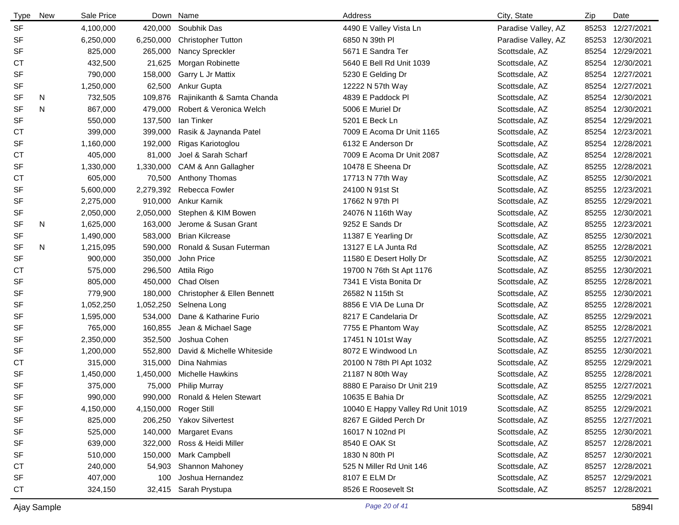| <b>Type</b> | <b>New</b> | Sale Price |           | Down Name                      | Address                           | City, State         | Zip   | Date             |
|-------------|------------|------------|-----------|--------------------------------|-----------------------------------|---------------------|-------|------------------|
| <b>SF</b>   |            | 4,100,000  | 420,000   | Soubhik Das                    | 4490 E Valley Vista Ln            | Paradise Valley, AZ | 85253 | 12/27/2021       |
| <b>SF</b>   |            | 6,250,000  | 6,250,000 | <b>Christopher Tutton</b>      | 6850 N 39th PI                    | Paradise Valley, AZ | 85253 | 12/30/2021       |
| <b>SF</b>   |            | 825,000    | 265,000   | Nancy Spreckler                | 5671 E Sandra Ter                 | Scottsdale, AZ      |       | 85254 12/29/2021 |
| <b>CT</b>   |            | 432,500    | 21,625    | Morgan Robinette               | 5640 E Bell Rd Unit 1039          | Scottsdale, AZ      |       | 85254 12/30/2021 |
| SF          |            | 790,000    | 158,000   | Garry L Jr Mattix              | 5230 E Gelding Dr                 | Scottsdale, AZ      |       | 85254 12/27/2021 |
| <b>SF</b>   |            | 1,250,000  | 62,500    | Ankur Gupta                    | 12222 N 57th Way                  | Scottsdale, AZ      |       | 85254 12/27/2021 |
| SF          | N          | 732,505    | 109,876   | Rajinikanth & Samta Chanda     | 4839 E Paddock Pl                 | Scottsdale, AZ      |       | 85254 12/30/2021 |
| <b>SF</b>   | N          | 867,000    | 479,000   | Robert & Veronica Welch        | 5006 E Muriel Dr                  | Scottsdale, AZ      |       | 85254 12/30/2021 |
| <b>SF</b>   |            | 550,000    | 137,500   | lan Tinker                     | 5201 E Beck Ln                    | Scottsdale, AZ      |       | 85254 12/29/2021 |
| <b>CT</b>   |            | 399,000    | 399,000   | Rasik & Jaynanda Patel         | 7009 E Acoma Dr Unit 1165         | Scottsdale, AZ      |       | 85254 12/23/2021 |
| <b>SF</b>   |            | 1,160,000  | 192,000   | Rigas Kariotoglou              | 6132 E Anderson Dr                | Scottsdale, AZ      |       | 85254 12/28/2021 |
| <b>CT</b>   |            | 405,000    | 81,000    | Joel & Sarah Scharf            | 7009 E Acoma Dr Unit 2087         | Scottsdale, AZ      |       | 85254 12/28/2021 |
| <b>SF</b>   |            | 1,330,000  | 1,330,000 | CAM & Ann Gallagher            | 10478 E Sheena Dr                 | Scottsdale, AZ      | 85255 | 12/28/2021       |
| <b>CT</b>   |            | 605,000    | 70,500    | Anthony Thomas                 | 17713 N 77th Way                  | Scottsdale, AZ      | 85255 | 12/30/2021       |
| <b>SF</b>   |            | 5,600,000  | 2,279,392 | Rebecca Fowler                 | 24100 N 91st St                   | Scottsdale, AZ      | 85255 | 12/23/2021       |
| <b>SF</b>   |            | 2,275,000  | 910,000   | Ankur Karnik                   | 17662 N 97th PI                   | Scottsdale, AZ      | 85255 | 12/29/2021       |
| SF          |            | 2,050,000  | 2,050,000 | Stephen & KIM Bowen            | 24076 N 116th Way                 | Scottsdale, AZ      | 85255 | 12/30/2021       |
| <b>SF</b>   | N          | 1,625,000  | 163,000   | Jerome & Susan Grant           | 9252 E Sands Dr                   | Scottsdale, AZ      | 85255 | 12/23/2021       |
| <b>SF</b>   |            | 1,490,000  | 583,000   | <b>Brian Kilcrease</b>         | 11387 E Yearling Dr               | Scottsdale, AZ      | 85255 | 12/30/2021       |
| SF          | N          | 1,215,095  | 590,000   | Ronald & Susan Futerman        | 13127 E LA Junta Rd               | Scottsdale, AZ      | 85255 | 12/28/2021       |
| <b>SF</b>   |            | 900,000    | 350,000   | John Price                     | 11580 E Desert Holly Dr           | Scottsdale, AZ      | 85255 | 12/30/2021       |
| <b>CT</b>   |            | 575,000    | 296,500   | Attila Rigo                    | 19700 N 76th St Apt 1176          | Scottsdale, AZ      | 85255 | 12/30/2021       |
| <b>SF</b>   |            | 805,000    | 450,000   | <b>Chad Olsen</b>              | 7341 E Vista Bonita Dr            | Scottsdale, AZ      | 85255 | 12/28/2021       |
| <b>SF</b>   |            | 779,900    | 180,000   | Christopher & Ellen Bennett    | 26582 N 115th St                  | Scottsdale, AZ      | 85255 | 12/30/2021       |
| <b>SF</b>   |            | 1,052,250  | 1,052,250 | Selnena Long                   | 8856 E VIA De Luna Dr             | Scottsdale, AZ      | 85255 | 12/28/2021       |
| SF          |            | 1,595,000  | 534,000   | Dane & Katharine Furio         | 8217 E Candelaria Dr              | Scottsdale, AZ      | 85255 | 12/29/2021       |
| <b>SF</b>   |            | 765,000    | 160,855   | Jean & Michael Sage            | 7755 E Phantom Way                | Scottsdale, AZ      | 85255 | 12/28/2021       |
| <b>SF</b>   |            | 2,350,000  | 352,500   | Joshua Cohen                   | 17451 N 101st Way                 | Scottsdale, AZ      | 85255 | 12/27/2021       |
| <b>SF</b>   |            | 1,200,000  | 552,800   | David & Michelle Whiteside     | 8072 E Windwood Ln                | Scottsdale, AZ      | 85255 | 12/30/2021       |
| <b>CT</b>   |            | 315,000    | 315,000   | Dina Nahmias                   | 20100 N 78th PI Apt 1032          | Scottsdale, AZ      | 85255 | 12/29/2021       |
| <b>SF</b>   |            | 1,450,000  | 1,450,000 | <b>Michelle Hawkins</b>        | 21187 N 80th Way                  | Scottsdale, AZ      | 85255 | 12/28/2021       |
| <b>SF</b>   |            | 375,000    | 75,000    | <b>Philip Murray</b>           | 8880 E Paraiso Dr Unit 219        | Scottsdale, AZ      |       | 85255 12/27/2021 |
| SF          |            | 990,000    |           | 990,000 Ronald & Helen Stewart | 10635 E Bahia Dr                  | Scottsdale, AZ      | 85255 | 12/29/2021       |
| <b>SF</b>   |            | 4,150,000  | 4,150,000 | <b>Roger Still</b>             | 10040 E Happy Valley Rd Unit 1019 | Scottsdale, AZ      |       | 85255 12/29/2021 |
| <b>SF</b>   |            | 825,000    | 206,250   | <b>Yakov Silvertest</b>        | 8267 E Gilded Perch Dr            | Scottsdale, AZ      | 85255 | 12/27/2021       |
| <b>SF</b>   |            | 525,000    | 140,000   | <b>Margaret Evans</b>          | 16017 N 102nd Pl                  | Scottsdale, AZ      |       | 85255 12/30/2021 |
| <b>SF</b>   |            | 639,000    | 322,000   | Ross & Heidi Miller            | 8540 E OAK St                     | Scottsdale, AZ      |       | 85257 12/28/2021 |
| SF          |            | 510,000    | 150,000   | Mark Campbell                  | 1830 N 80th PI                    | Scottsdale, AZ      |       | 85257 12/30/2021 |
| СT          |            | 240,000    | 54,903    | Shannon Mahoney                | 525 N Miller Rd Unit 146          | Scottsdale, AZ      |       | 85257 12/28/2021 |
| <b>SF</b>   |            | 407,000    | 100       | Joshua Hernandez               | 8107 E ELM Dr                     | Scottsdale, AZ      |       | 85257 12/29/2021 |
| <b>CT</b>   |            | 324,150    | 32,415    | Sarah Prystupa                 | 8526 E Roosevelt St               | Scottsdale, AZ      |       | 85257 12/28/2021 |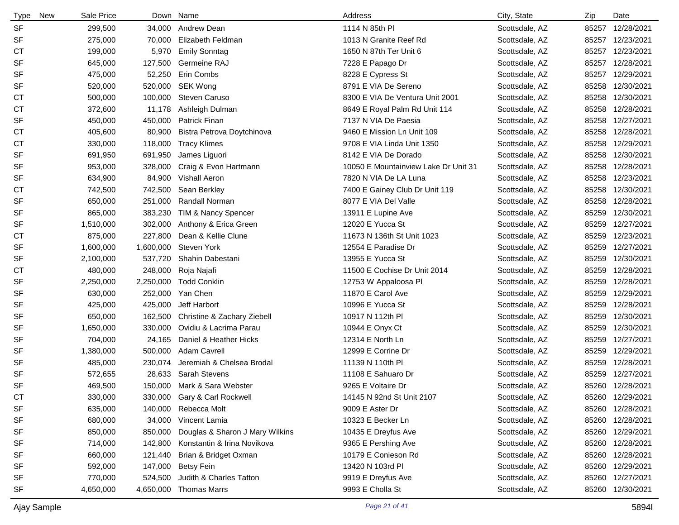| <b>Type</b><br>New | Sale Price |           | Down Name                       | Address                              | City, State    | Zip   | Date             |
|--------------------|------------|-----------|---------------------------------|--------------------------------------|----------------|-------|------------------|
| <b>SF</b>          | 299,500    | 34,000    | Andrew Dean                     | 1114 N 85th PI                       | Scottsdale, AZ | 85257 | 12/28/2021       |
| <b>SF</b>          | 275,000    | 70,000    | Elizabeth Feldman               | 1013 N Granite Reef Rd               | Scottsdale, AZ | 85257 | 12/23/2021       |
| СT                 | 199,000    | 5,970     | <b>Emily Sonntag</b>            | 1650 N 87th Ter Unit 6               | Scottsdale, AZ |       | 85257 12/23/2021 |
| <b>SF</b>          | 645,000    | 127,500   | Germeine RAJ                    | 7228 E Papago Dr                     | Scottsdale, AZ | 85257 | 12/28/2021       |
| <b>SF</b>          | 475,000    | 52,250    | Erin Combs                      | 8228 E Cypress St                    | Scottsdale, AZ | 85257 | 12/29/2021       |
| <b>SF</b>          | 520,000    | 520,000   | SEK Wong                        | 8791 E VIA De Sereno                 | Scottsdale, AZ | 85258 | 12/30/2021       |
| <b>CT</b>          | 500,000    | 100,000   | Steven Caruso                   | 8300 E VIA De Ventura Unit 2001      | Scottsdale, AZ | 85258 | 12/30/2021       |
| СT                 | 372,600    | 11,178    | Ashleigh Dulman                 | 8649 E Royal Palm Rd Unit 114        | Scottsdale, AZ |       | 85258 12/28/2021 |
| <b>SF</b>          | 450,000    | 450,000   | <b>Patrick Finan</b>            | 7137 N VIA De Paesia                 | Scottsdale, AZ | 85258 | 12/27/2021       |
| СT                 | 405,600    | 80,900    | Bistra Petrova Doytchinova      | 9460 E Mission Ln Unit 109           | Scottsdale, AZ | 85258 | 12/28/2021       |
| СT                 | 330,000    | 118,000   | <b>Tracy Klimes</b>             | 9708 E VIA Linda Unit 1350           | Scottsdale, AZ | 85258 | 12/29/2021       |
| <b>SF</b>          | 691,950    | 691,950   | James Liguori                   | 8142 E VIA De Dorado                 | Scottsdale, AZ | 85258 | 12/30/2021       |
| SF                 | 953,000    | 328,000   | Craig & Evon Hartmann           | 10050 E Mountainview Lake Dr Unit 31 | Scottsdale, AZ | 85258 | 12/28/2021       |
| <b>SF</b>          | 634,900    | 84,900    | <b>Vishall Aeron</b>            | 7820 N VIA De LA Luna                | Scottsdale, AZ | 85258 | 12/23/2021       |
| <b>CT</b>          | 742,500    | 742,500   | Sean Berkley                    | 7400 E Gainey Club Dr Unit 119       | Scottsdale, AZ | 85258 | 12/30/2021       |
| <b>SF</b>          | 650,000    | 251,000   | Randall Norman                  | 8077 E VIA Del Valle                 | Scottsdale, AZ | 85258 | 12/28/2021       |
| SF                 | 865,000    | 383,230   | TIM & Nancy Spencer             | 13911 E Lupine Ave                   | Scottsdale, AZ | 85259 | 12/30/2021       |
| <b>SF</b>          | 1,510,000  | 302,000   | Anthony & Erica Green           | 12020 E Yucca St                     | Scottsdale, AZ | 85259 | 12/27/2021       |
| <b>CT</b>          | 875,000    | 227,800   | Dean & Kellie Clune             | 11673 N 136th St Unit 1023           | Scottsdale, AZ |       | 85259 12/23/2021 |
| SF                 | 1,600,000  | 1,600,000 | Steven York                     | 12554 E Paradise Dr                  | Scottsdale, AZ |       | 85259 12/27/2021 |
| SF                 | 2,100,000  | 537,720   | Shahin Dabestani                | 13955 E Yucca St                     | Scottsdale, AZ | 85259 | 12/30/2021       |
| <b>CT</b>          | 480,000    | 248,000   | Roja Najafi                     | 11500 E Cochise Dr Unit 2014         | Scottsdale, AZ | 85259 | 12/28/2021       |
| SF                 | 2,250,000  | 2,250,000 | <b>Todd Conklin</b>             | 12753 W Appaloosa Pl                 | Scottsdale, AZ |       | 85259 12/28/2021 |
| <b>SF</b>          | 630,000    | 252,000   | Yan Chen                        | 11870 E Carol Ave                    | Scottsdale, AZ | 85259 | 12/29/2021       |
| <b>SF</b>          | 425,000    | 425,000   | Jeff Harbort                    | 10996 E Yucca St                     | Scottsdale, AZ | 85259 | 12/28/2021       |
| SF                 | 650,000    | 162,500   | Christine & Zachary Ziebell     | 10917 N 112th PI                     | Scottsdale, AZ | 85259 | 12/30/2021       |
| <b>SF</b>          | 1,650,000  | 330,000   | Ovidiu & Lacrima Parau          | 10944 E Onyx Ct                      | Scottsdale, AZ | 85259 | 12/30/2021       |
| SF                 | 704,000    | 24,165    | Daniel & Heather Hicks          | 12314 E North Ln                     | Scottsdale, AZ | 85259 | 12/27/2021       |
| <b>SF</b>          | 1,380,000  | 500,000   | Adam Cavrell                    | 12999 E Corrine Dr                   | Scottsdale, AZ | 85259 | 12/29/2021       |
| <b>SF</b>          | 485,000    | 230,074   | Jeremiah & Chelsea Brodal       | 11139 N 110th PI                     | Scottsdale, AZ | 85259 | 12/28/2021       |
| <b>SF</b>          | 572,655    | 28,633    | <b>Sarah Stevens</b>            | 11108 E Sahuaro Dr                   | Scottsdale, AZ | 85259 | 12/27/2021       |
| <b>SF</b>          | 469,500    |           | 150,000 Mark & Sara Webster     | 9265 E Voltaire Dr                   | Scottsdale, AZ |       | 85260 12/28/2021 |
| C <sub>T</sub>     | 330,000    |           | 330,000 Gary & Carl Rockwell    | 14145 N 92nd St Unit 2107            | Scottsdale, AZ |       | 85260 12/29/2021 |
| SF                 | 635,000    |           | 140,000 Rebecca Molt            | 9009 E Aster Dr                      | Scottsdale, AZ |       | 85260 12/28/2021 |
| SF                 | 680,000    | 34,000    | Vincent Lamia                   | 10323 E Becker Ln                    | Scottsdale, AZ |       | 85260 12/28/2021 |
| SF                 | 850,000    | 850,000   | Douglas & Sharon J Mary Wilkins | 10435 E Dreyfus Ave                  | Scottsdale, AZ |       | 85260 12/29/2021 |
| SF                 | 714,000    | 142,800   | Konstantin & Irina Novikova     | 9365 E Pershing Ave                  | Scottsdale, AZ |       | 85260 12/28/2021 |
| SF                 | 660,000    | 121,440   | Brian & Bridget Oxman           | 10179 E Conieson Rd                  | Scottsdale, AZ |       | 85260 12/28/2021 |
| SF                 | 592,000    | 147,000   | <b>Betsy Fein</b>               | 13420 N 103rd PI                     | Scottsdale, AZ |       | 85260 12/29/2021 |
| SF                 | 770,000    | 524,500   | Judith & Charles Tatton         | 9919 E Dreyfus Ave                   | Scottsdale, AZ |       | 85260 12/27/2021 |
| SF                 | 4,650,000  | 4,650,000 | <b>Thomas Marrs</b>             | 9993 E Cholla St                     | Scottsdale, AZ |       | 85260 12/30/2021 |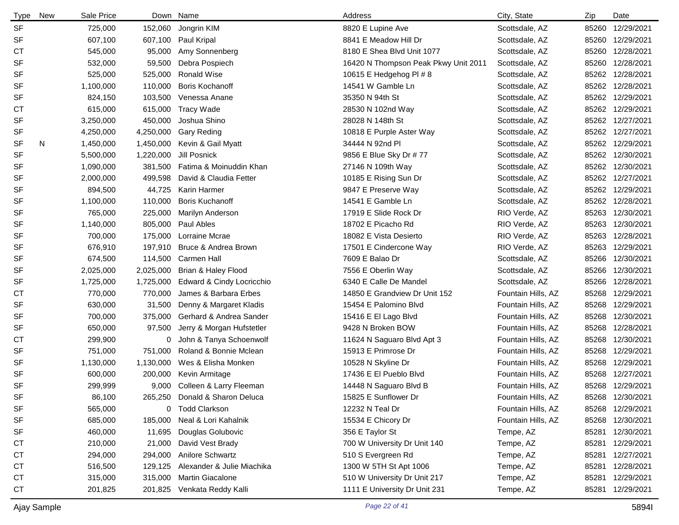| <b>Type</b> | New | Sale Price |           | Down Name                      | Address                              | City, State        | Zip   | Date             |
|-------------|-----|------------|-----------|--------------------------------|--------------------------------------|--------------------|-------|------------------|
| <b>SF</b>   |     | 725,000    |           | 152,060 Jongrin KIM            | 8820 E Lupine Ave                    | Scottsdale, AZ     |       | 85260 12/29/2021 |
| <b>SF</b>   |     | 607,100    | 607,100   | Paul Kripal                    | 8841 E Meadow Hill Dr                | Scottsdale, AZ     | 85260 | 12/29/2021       |
| <b>CT</b>   |     | 545,000    | 95,000    | Amy Sonnenberg                 | 8180 E Shea Blvd Unit 1077           | Scottsdale, AZ     | 85260 | 12/28/2021       |
| <b>SF</b>   |     | 532,000    | 59,500    | Debra Pospiech                 | 16420 N Thompson Peak Pkwy Unit 2011 | Scottsdale, AZ     | 85260 | 12/28/2021       |
| SF          |     | 525,000    | 525,000   | <b>Ronald Wise</b>             | 10615 E Hedgehog PI # 8              | Scottsdale, AZ     | 85262 | 12/28/2021       |
| <b>SF</b>   |     | 1,100,000  | 110,000   | <b>Boris Kochanoff</b>         | 14541 W Gamble Ln                    | Scottsdale, AZ     | 85262 | 12/28/2021       |
| SF          |     | 824,150    | 103,500   | Venessa Anane                  | 35350 N 94th St                      | Scottsdale, AZ     | 85262 | 12/29/2021       |
| СT          |     | 615,000    | 615,000   | <b>Tracy Wade</b>              | 28530 N 102nd Way                    | Scottsdale, AZ     | 85262 | 12/29/2021       |
| SF          |     | 3,250,000  | 450,000   | Joshua Shino                   | 28028 N 148th St                     | Scottsdale, AZ     | 85262 | 12/27/2021       |
| SF          |     | 4,250,000  | 4,250,000 | <b>Gary Reding</b>             | 10818 E Purple Aster Way             | Scottsdale, AZ     | 85262 | 12/27/2021       |
| SF          | N   | 1,450,000  | 1,450,000 | Kevin & Gail Myatt             | 34444 N 92nd Pl                      | Scottsdale, AZ     | 85262 | 12/29/2021       |
| <b>SF</b>   |     | 5,500,000  | 1,220,000 | Jill Posnick                   | 9856 E Blue Sky Dr # 77              | Scottsdale, AZ     | 85262 | 12/30/2021       |
| SF          |     | 1,090,000  | 381,500   | Fatima & Moinuddin Khan        | 27146 N 109th Way                    | Scottsdale, AZ     | 85262 | 12/30/2021       |
| SF          |     | 2,000,000  | 499,598   | David & Claudia Fetter         | 10185 E Rising Sun Dr                | Scottsdale, AZ     | 85262 | 12/27/2021       |
| SF          |     | 894,500    | 44,725    | Karin Harmer                   | 9847 E Preserve Way                  | Scottsdale, AZ     | 85262 | 12/29/2021       |
| SF          |     | 1,100,000  | 110,000   | <b>Boris Kuchanoff</b>         | 14541 E Gamble Ln                    | Scottsdale, AZ     | 85262 | 12/28/2021       |
| <b>SF</b>   |     | 765,000    | 225,000   | Marilyn Anderson               | 17919 E Slide Rock Dr                | RIO Verde, AZ      | 85263 | 12/30/2021       |
| <b>SF</b>   |     | 1,140,000  | 805,000   | Paul Ables                     | 18702 E Picacho Rd                   | RIO Verde, AZ      | 85263 | 12/30/2021       |
| <b>SF</b>   |     | 700,000    | 175,000   | Lorraine Mcrae                 | 18082 E Vista Desierto               | RIO Verde, AZ      | 85263 | 12/28/2021       |
| SF          |     | 676,910    | 197,910   | Bruce & Andrea Brown           | 17501 E Cindercone Way               | RIO Verde, AZ      |       | 85263 12/29/2021 |
| <b>SF</b>   |     | 674,500    | 114,500   | Carmen Hall                    | 7609 E Balao Dr                      | Scottsdale, AZ     | 85266 | 12/30/2021       |
| <b>SF</b>   |     | 2,025,000  | 2,025,000 | Brian & Haley Flood            | 7556 E Oberlin Way                   | Scottsdale, AZ     | 85266 | 12/30/2021       |
| <b>SF</b>   |     | 1,725,000  | 1,725,000 | Edward & Cindy Locricchio      | 6340 E Calle De Mandel               | Scottsdale, AZ     | 85266 | 12/28/2021       |
| <b>CT</b>   |     | 770,000    | 770,000   | James & Barbara Erbes          | 14850 E Grandview Dr Unit 152        | Fountain Hills, AZ |       | 85268 12/29/2021 |
| <b>SF</b>   |     | 630,000    | 31,500    | Denny & Margaret Kladis        | 15454 E Palomino Blvd                | Fountain Hills, AZ |       | 85268 12/29/2021 |
| <b>SF</b>   |     | 700,000    | 375,000   | Gerhard & Andrea Sander        | 15416 E El Lago Blvd                 | Fountain Hills, AZ | 85268 | 12/30/2021       |
| <b>SF</b>   |     | 650,000    | 97,500    | Jerry & Morgan Hufstetler      | 9428 N Broken BOW                    | Fountain Hills, AZ | 85268 | 12/28/2021       |
| <b>CT</b>   |     | 299,900    | 0         | John & Tanya Schoenwolf        | 11624 N Saguaro Blvd Apt 3           | Fountain Hills, AZ |       | 85268 12/30/2021 |
| <b>SF</b>   |     | 751,000    | 751,000   | Roland & Bonnie Mclean         | 15913 E Primrose Dr                  | Fountain Hills, AZ | 85268 | 12/29/2021       |
| SF          |     | 1,130,000  | 1,130,000 | Wes & Elisha Monken            | 10528 N Skyline Dr                   | Fountain Hills, AZ | 85268 | 12/29/2021       |
| <b>SF</b>   |     | 600,000    | 200,000   | Kevin Armitage                 | 17436 E El Pueblo Blvd               | Fountain Hills, AZ |       | 85268 12/27/2021 |
| <b>SF</b>   |     | 299,999    |           | 9,000 Colleen & Larry Fleeman  | 14448 N Saguaro Blvd B               | Fountain Hills, AZ |       | 85268 12/29/2021 |
| <b>SF</b>   |     | 86,100     |           | 265,250 Donald & Sharon Deluca | 15825 E Sunflower Dr                 | Fountain Hills, AZ |       | 85268 12/30/2021 |
| SF          |     | 565,000    |           | 0 Todd Clarkson                | 12232 N Teal Dr                      | Fountain Hills, AZ |       | 85268 12/29/2021 |
| SF          |     | 685,000    | 185,000   | Neal & Lori Kahalnik           | 15534 E Chicory Dr                   | Fountain Hills, AZ | 85268 | 12/30/2021       |
| SF          |     | 460,000    | 11,695    | Douglas Golubovic              | 356 E Taylor St                      | Tempe, AZ          | 85281 | 12/30/2021       |
| <b>CT</b>   |     | 210,000    | 21,000    | David Vest Brady               | 700 W University Dr Unit 140         | Tempe, AZ          | 85281 | 12/29/2021       |
| СT          |     | 294,000    | 294,000   | Anilore Schwartz               | 510 S Evergreen Rd                   | Tempe, AZ          | 85281 | 12/27/2021       |
| СT          |     | 516,500    | 129,125   | Alexander & Julie Miachika     | 1300 W 5TH St Apt 1006               | Tempe, AZ          | 85281 | 12/28/2021       |
| <b>CT</b>   |     | 315,000    | 315,000   | Martin Giacalone               | 510 W University Dr Unit 217         | Tempe, AZ          | 85281 | 12/29/2021       |
| CT          |     | 201,825    |           | 201,825 Venkata Reddy Kalli    | 1111 E University Dr Unit 231        | Tempe, AZ          | 85281 | 12/29/2021       |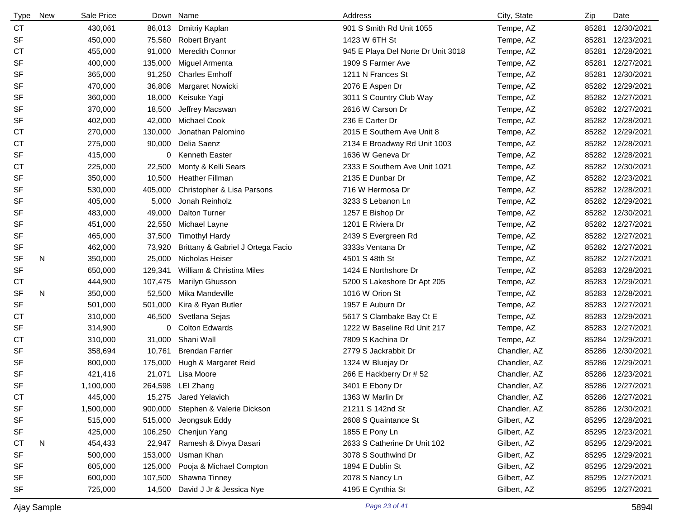| Type      | <b>New</b> | Sale Price |         | Down Name                         | Address                            | City, State  | Zip   | Date             |
|-----------|------------|------------|---------|-----------------------------------|------------------------------------|--------------|-------|------------------|
| <b>CT</b> |            | 430,061    | 86,013  | Dmitriy Kaplan                    | 901 S Smith Rd Unit 1055           | Tempe, AZ    | 85281 | 12/30/2021       |
| <b>SF</b> |            | 450,000    | 75,560  | <b>Robert Bryant</b>              | 1423 W 6TH St                      | Tempe, AZ    | 85281 | 12/23/2021       |
| <b>CT</b> |            | 455,000    | 91,000  | <b>Meredith Connor</b>            | 945 E Playa Del Norte Dr Unit 3018 | Tempe, AZ    | 85281 | 12/28/2021       |
| <b>SF</b> |            | 400,000    | 135,000 | Miguel Armenta                    | 1909 S Farmer Ave                  | Tempe, AZ    | 85281 | 12/27/2021       |
| <b>SF</b> |            | 365,000    | 91,250  | <b>Charles Emhoff</b>             | 1211 N Frances St                  | Tempe, AZ    | 85281 | 12/30/2021       |
| <b>SF</b> |            | 470,000    | 36,808  | Margaret Nowicki                  | 2076 E Aspen Dr                    | Tempe, AZ    |       | 85282 12/29/2021 |
| <b>SF</b> |            | 360,000    | 18,000  | Keisuke Yagi                      | 3011 S Country Club Way            | Tempe, AZ    |       | 85282 12/27/2021 |
| <b>SF</b> |            | 370,000    | 18,500  | Jeffrey Macswan                   | 2616 W Carson Dr                   | Tempe, AZ    |       | 85282 12/27/2021 |
| <b>SF</b> |            | 402,000    | 42,000  | <b>Michael Cook</b>               | 236 E Carter Dr                    | Tempe, AZ    |       | 85282 12/28/2021 |
| <b>CT</b> |            | 270,000    | 130,000 | Jonathan Palomino                 | 2015 E Southern Ave Unit 8         | Tempe, AZ    |       | 85282 12/29/2021 |
| СT        |            | 275,000    | 90,000  | Delia Saenz                       | 2134 E Broadway Rd Unit 1003       | Tempe, AZ    |       | 85282 12/28/2021 |
| <b>SF</b> |            | 415,000    | 0       | <b>Kenneth Easter</b>             | 1636 W Geneva Dr                   | Tempe, AZ    |       | 85282 12/28/2021 |
| <b>CT</b> |            | 225,000    | 22,500  | Monty & Kelli Sears               | 2333 E Southern Ave Unit 1021      | Tempe, AZ    |       | 85282 12/30/2021 |
| <b>SF</b> |            | 350,000    | 10,500  | <b>Heather Fillman</b>            | 2135 E Dunbar Dr                   | Tempe, AZ    |       | 85282 12/23/2021 |
| <b>SF</b> |            | 530,000    | 405,000 | Christopher & Lisa Parsons        | 716 W Hermosa Dr                   | Tempe, AZ    |       | 85282 12/28/2021 |
| <b>SF</b> |            | 405,000    | 5,000   | Jonah Reinholz                    | 3233 S Lebanon Ln                  | Tempe, AZ    |       | 85282 12/29/2021 |
| <b>SF</b> |            | 483,000    | 49,000  | <b>Dalton Turner</b>              | 1257 E Bishop Dr                   | Tempe, AZ    |       | 85282 12/30/2021 |
| <b>SF</b> |            | 451,000    | 22,550  | Michael Layne                     | 1201 E Riviera Dr                  | Tempe, AZ    |       | 85282 12/27/2021 |
| SF        |            | 465,000    | 37,500  | <b>Timothyl Hardy</b>             | 2439 S Evergreen Rd                | Tempe, AZ    |       | 85282 12/27/2021 |
| SF        |            | 462,000    | 73,920  | Brittany & Gabriel J Ortega Facio | 3333s Ventana Dr                   | Tempe, AZ    |       | 85282 12/27/2021 |
| <b>SF</b> | N          | 350,000    | 25,000  | Nicholas Heiser                   | 4501 S 48th St                     | Tempe, AZ    |       | 85282 12/27/2021 |
| SF        |            | 650,000    | 129,341 | William & Christina Miles         | 1424 E Northshore Dr               | Tempe, AZ    | 85283 | 12/28/2021       |
| СT        |            | 444,900    | 107,475 | Marilyn Ghusson                   | 5200 S Lakeshore Dr Apt 205        | Tempe, AZ    | 85283 | 12/29/2021       |
| SF        | N          | 350,000    | 52,500  | Mika Mandeville                   | 1016 W Orion St                    | Tempe, AZ    | 85283 | 12/28/2021       |
| <b>SF</b> |            | 501,000    | 501,000 | Kira & Ryan Butler                | 1957 E Auburn Dr                   | Tempe, AZ    | 85283 | 12/27/2021       |
| CТ        |            | 310,000    | 46,500  | Svetlana Sejas                    | 5617 S Clambake Bay Ct E           | Tempe, AZ    | 85283 | 12/29/2021       |
| <b>SF</b> |            | 314,900    | 0       | <b>Colton Edwards</b>             | 1222 W Baseline Rd Unit 217        | Tempe, AZ    |       | 85283 12/27/2021 |
| <b>CT</b> |            | 310,000    | 31,000  | Shani Wall                        | 7809 S Kachina Dr                  | Tempe, AZ    |       | 85284 12/29/2021 |
| <b>SF</b> |            | 358,694    | 10,761  | <b>Brendan Farrier</b>            | 2779 S Jackrabbit Dr               | Chandler, AZ | 85286 | 12/30/2021       |
| <b>SF</b> |            | 800,000    | 175,000 | Hugh & Margaret Reid              | 1324 W Bluejay Dr                  | Chandler, AZ | 85286 | 12/29/2021       |
| <b>SF</b> |            | 421,416    | 21,071  | Lisa Moore                        | 266 E Hackberry Dr # 52            | Chandler, AZ |       | 85286 12/23/2021 |
| <b>SF</b> |            | 1,100,000  |         | 264,598 LEI Zhang                 | 3401 E Ebony Dr                    | Chandler, AZ |       | 85286 12/27/2021 |
| CT        |            | 445,000    |         | 15,275 Jared Yelavich             | 1363 W Marlin Dr                   | Chandler, AZ |       | 85286 12/27/2021 |
| <b>SF</b> |            | 1,500,000  |         | 900,000 Stephen & Valerie Dickson | 21211 S 142nd St                   | Chandler, AZ |       | 85286 12/30/2021 |
| <b>SF</b> |            | 515,000    | 515,000 | Jeongsuk Eddy                     | 2608 S Quaintance St               | Gilbert, AZ  |       | 85295 12/28/2021 |
| <b>SF</b> |            | 425,000    |         | 106,250 Chenjun Yang              | 1855 E Pony Ln                     | Gilbert, AZ  | 85295 | 12/23/2021       |
| СT        | N          | 454,433    | 22,947  | Ramesh & Divya Dasari             | 2633 S Catherine Dr Unit 102       | Gilbert, AZ  |       | 85295 12/29/2021 |
| <b>SF</b> |            | 500,000    | 153,000 | Usman Khan                        | 3078 S Southwind Dr                | Gilbert, AZ  | 85295 | 12/29/2021       |
| <b>SF</b> |            | 605,000    | 125,000 | Pooja & Michael Compton           | 1894 E Dublin St                   | Gilbert, AZ  |       | 85295 12/29/2021 |
| <b>SF</b> |            | 600,000    | 107,500 | Shawna Tinney                     | 2078 S Nancy Ln                    | Gilbert, AZ  |       | 85295 12/27/2021 |
| <b>SF</b> |            | 725,000    | 14,500  | David J Jr & Jessica Nye          | 4195 E Cynthia St                  | Gilbert, AZ  |       | 85295 12/27/2021 |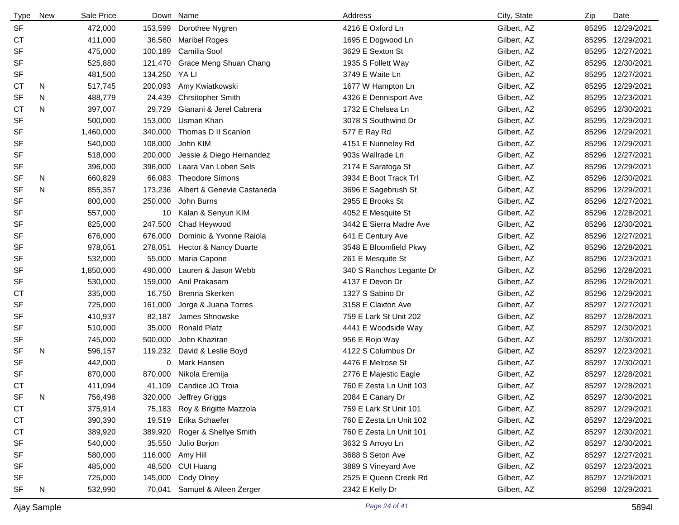| <b>Type</b> | <b>New</b> | Sale Price |         | Down Name                  | Address                  | City, State | Zip   | Date             |
|-------------|------------|------------|---------|----------------------------|--------------------------|-------------|-------|------------------|
| <b>SF</b>   |            | 472,000    | 153,599 | Dorothee Nygren            | 4216 E Oxford Ln         | Gilbert, AZ |       | 85295 12/29/2021 |
| <b>CT</b>   |            | 411,000    | 36,560  | <b>Maribel Roges</b>       | 1695 E Dogwood Ln        | Gilbert, AZ |       | 85295 12/29/2021 |
| <b>SF</b>   |            | 475,000    | 100,189 | Camilia Soof               | 3629 E Sexton St         | Gilbert, AZ |       | 85295 12/27/2021 |
| <b>SF</b>   |            | 525,880    | 121,470 | Grace Meng Shuan Chang     | 1935 S Follett Way       | Gilbert, AZ |       | 85295 12/30/2021 |
| SF          |            | 481,500    | 134,250 | YA LI                      | 3749 E Waite Ln          | Gilbert, AZ |       | 85295 12/27/2021 |
| СT          | N          | 517,745    | 200,093 | Amy Kwiatkowski            | 1677 W Hampton Ln        | Gilbert, AZ |       | 85295 12/29/2021 |
| <b>SF</b>   | N          | 488,779    | 24,439  | <b>Chrsitopher Smith</b>   | 4326 E Dennisport Ave    | Gilbert, AZ |       | 85295 12/23/2021 |
| <b>CT</b>   | N          | 397,007    | 29,729  | Gianani & Jerel Cabrera    | 1732 E Chelsea Ln        | Gilbert, AZ |       | 85295 12/30/2021 |
| <b>SF</b>   |            | 500.000    | 153,000 | Usman Khan                 | 3078 S Southwind Dr      | Gilbert, AZ |       | 85295 12/29/2021 |
| <b>SF</b>   |            | 1,460,000  | 340,000 | Thomas D II Scanlon        | 577 E Ray Rd             | Gilbert, AZ |       | 85296 12/29/2021 |
| SF          |            | 540,000    | 108,000 | John KIM                   | 4151 E Nunneley Rd       | Gilbert, AZ |       | 85296 12/29/2021 |
| <b>SF</b>   |            | 518,000    | 200,000 | Jessie & Diego Hernandez   | 903s Wallrade Ln         | Gilbert, AZ |       | 85296 12/27/2021 |
| SF          |            | 396,000    | 396,000 | Laara Van Loben Sels       | 2174 E Saratoga St       | Gilbert, AZ |       | 85296 12/29/2021 |
| <b>SF</b>   | N          | 660,829    | 66,083  | <b>Theodore Simons</b>     | 3934 E Boot Track Trl    | Gilbert, AZ |       | 85296 12/30/2021 |
| SF          | N          | 855,357    | 173,236 | Albert & Genevie Castaneda | 3696 E Sagebrush St      | Gilbert, AZ |       | 85296 12/29/2021 |
| <b>SF</b>   |            | 800,000    | 250,000 | John Burns                 | 2955 E Brooks St         | Gilbert, AZ |       | 85296 12/27/2021 |
| <b>SF</b>   |            | 557,000    | 10      | Kalan & Senyun KIM         | 4052 E Mesquite St       | Gilbert, AZ | 85296 | 12/28/2021       |
| <b>SF</b>   |            | 825,000    | 247,500 | Chad Heywood               | 3442 E Sierra Madre Ave  | Gilbert, AZ | 85296 | 12/30/2021       |
| <b>SF</b>   |            | 676,000    | 676,000 | Dominic & Yvonne Raiola    | 641 E Century Ave        | Gilbert, AZ |       | 85296 12/27/2021 |
| <b>SF</b>   |            | 978,051    | 278,051 | Hector & Nancy Duarte      | 3548 E Bloomfield Pkwy   | Gilbert, AZ | 85296 | 12/28/2021       |
| <b>SF</b>   |            | 532,000    | 55,000  | Maria Capone               | 261 E Mesquite St        | Gilbert, AZ |       | 85296 12/23/2021 |
| <b>SF</b>   |            | 1,850,000  | 490,000 | Lauren & Jason Webb        | 340 S Ranchos Legante Dr | Gilbert, AZ | 85296 | 12/28/2021       |
| <b>SF</b>   |            | 530,000    | 159,000 | Anil Prakasam              | 4137 E Devon Dr          | Gilbert, AZ |       | 85296 12/29/2021 |
| <b>CT</b>   |            | 335,000    | 16,750  | Brenna Skerken             | 1327 S Sabino Dr         | Gilbert, AZ | 85296 | 12/29/2021       |
| <b>SF</b>   |            | 725,000    | 161,000 | Jorge & Juana Torres       | 3158 E Claxton Ave       | Gilbert, AZ |       | 85297 12/27/2021 |
| <b>SF</b>   |            | 410,937    | 82,187  | James Shnowske             | 759 E Lark St Unit 202   | Gilbert, AZ |       | 85297 12/28/2021 |
| <b>SF</b>   |            | 510,000    | 35,000  | <b>Ronald Platz</b>        | 4441 E Woodside Way      | Gilbert, AZ |       | 85297 12/30/2021 |
| <b>SF</b>   |            | 745,000    | 500,000 | John Khaziran              | 956 E Rojo Way           | Gilbert, AZ |       | 85297 12/30/2021 |
| <b>SF</b>   | N          | 596,157    | 119,232 | David & Leslie Boyd        | 4122 S Columbus Dr       | Gilbert, AZ |       | 85297 12/23/2021 |
| <b>SF</b>   |            | 442,000    |         | 0 Mark Hansen              | 4476 E Melrose St        | Gilbert, AZ |       | 85297 12/30/2021 |
| <b>SF</b>   |            | 870,000    | 870,000 | Nikola Eremija             | 2776 E Majestic Eagle    | Gilbert, AZ |       | 85297 12/28/2021 |
| <b>CT</b>   |            | 411,094    | 41,109  | Candice JO Troia           | 760 E Zesta Ln Unit 103  | Gilbert, AZ |       | 85297 12/28/2021 |
| SF          | N          | 756,498    | 320,000 | Jeffrey Griggs             | 2084 E Canary Dr         | Gilbert, AZ |       | 85297 12/30/2021 |
| <b>CT</b>   |            | 375,914    | 75,183  | Roy & Brigitte Mazzola     | 759 E Lark St Unit 101   | Gilbert, AZ |       | 85297 12/29/2021 |
| <b>CT</b>   |            | 390,390    |         | 19,519 Erika Schaefer      | 760 E Zesta Ln Unit 102  | Gilbert, AZ |       | 85297 12/29/2021 |
| <b>CT</b>   |            | 389,920    | 389,920 | Roger & Shellye Smith      | 760 E Zesta Ln Unit 101  | Gilbert, AZ |       | 85297 12/30/2021 |
| SF          |            | 540,000    | 35,550  | Julio Borjon               | 3632 S Arroyo Ln         | Gilbert, AZ |       | 85297 12/30/2021 |
| SF          |            | 580,000    |         | 116,000 Amy Hill           | 3688 S Seton Ave         | Gilbert, AZ |       | 85297 12/27/2021 |
| SF          |            | 485,000    | 48,500  | CUI Huang                  | 3889 S Vineyard Ave      | Gilbert, AZ |       | 85297 12/23/2021 |
| SF          |            | 725,000    | 145,000 | Cody Olney                 | 2525 E Queen Creek Rd    | Gilbert, AZ |       | 85297 12/29/2021 |
| SF          | N          | 532,990    | 70,041  | Samuel & Aileen Zerger     | 2342 E Kelly Dr          | Gilbert, AZ |       | 85298 12/29/2021 |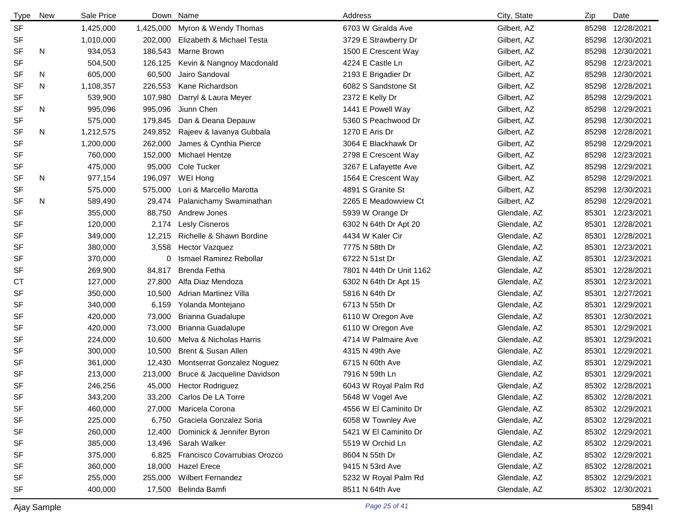| <b>Type</b> | <b>New</b> | Sale Price | Down      | Name                         | Address                  | City, State  | Zip   | Date             |
|-------------|------------|------------|-----------|------------------------------|--------------------------|--------------|-------|------------------|
| <b>SF</b>   |            | 1,425,000  | 1,425,000 | Myron & Wendy Thomas         | 6703 W Giralda Ave       | Gilbert, AZ  | 85298 | 12/28/2021       |
| <b>SF</b>   |            | 1,010,000  | 202,000   | Elizabeth & Michael Testa    | 3729 E Strawberry Dr     | Gilbert, AZ  | 85298 | 12/30/2021       |
| <b>SF</b>   | N          | 934,053    | 186,543   | Marne Brown                  | 1500 E Crescent Way      | Gilbert, AZ  | 85298 | 12/30/2021       |
| <b>SF</b>   |            | 504,500    | 126,125   | Kevin & Nangnoy Macdonald    | 4224 E Castle Ln         | Gilbert, AZ  | 85298 | 12/23/2021       |
| SF          | N          | 605,000    | 60,500    | Jairo Sandoval               | 2193 E Brigadier Dr      | Gilbert, AZ  | 85298 | 12/30/2021       |
| <b>SF</b>   | N          | 1,108,357  | 226,553   | Kane Richardson              | 6082 S Sandstone St      | Gilbert, AZ  | 85298 | 12/28/2021       |
| <b>SF</b>   |            | 539,900    | 107,980   | Darryl & Laura Meyer         | 2372 E Kelly Dr          | Gilbert, AZ  | 85298 | 12/29/2021       |
| <b>SF</b>   | N          | 995,096    | 995,096   | Jiunn Chen                   | 1441 E Powell Way        | Gilbert, AZ  | 85298 | 12/29/2021       |
| <b>SF</b>   |            | 575,000    | 179,845   | Dan & Deana Depauw           | 5360 S Peachwood Dr      | Gilbert, AZ  | 85298 | 12/30/2021       |
| <b>SF</b>   | N          | 1,212,575  | 249,852   | Rajeev & lavanya Gubbala     | 1270 E Aris Dr           | Gilbert, AZ  | 85298 | 12/28/2021       |
| <b>SF</b>   |            | 1,200,000  | 262,000   | James & Cynthia Pierce       | 3064 E Blackhawk Dr      | Gilbert, AZ  | 85298 | 12/29/2021       |
| <b>SF</b>   |            | 760,000    | 152,000   | <b>Michael Hentze</b>        | 2798 E Crescent Way      | Gilbert, AZ  | 85298 | 12/23/2021       |
| SF          |            | 475,000    | 95,000    | Cole Tucker                  | 3267 E Lafayette Ave     | Gilbert, AZ  | 85298 | 12/29/2021       |
| <b>SF</b>   | N          | 977,154    | 196,097   | WEI Hong                     | 1564 E Crescent Way      | Gilbert, AZ  | 85298 | 12/29/2021       |
| <b>SF</b>   |            | 575,000    | 575,000   | Lori & Marcello Marotta      | 4891 S Granite St        | Gilbert, AZ  | 85298 | 12/30/2021       |
| <b>SF</b>   | N          | 589,490    | 29,474    | Palanichamy Swaminathan      | 2265 E Meadowview Ct     | Gilbert, AZ  | 85298 | 12/29/2021       |
| <b>SF</b>   |            | 355,000    | 88,750    | Andrew Jones                 | 5939 W Orange Dr         | Glendale, AZ | 85301 | 12/23/2021       |
| <b>SF</b>   |            | 120,000    | 2,174     | <b>Lesly Cisneros</b>        | 6302 N 64th Dr Apt 20    | Glendale, AZ | 85301 | 12/28/2021       |
| <b>SF</b>   |            | 349,000    | 12,215    | Richelle & Shawn Bordine     | 4434 W Kaler Cir         | Glendale, AZ | 85301 | 12/28/2021       |
| <b>SF</b>   |            | 380,000    | 3,558     | <b>Hector Vazquez</b>        | 7775 N 58th Dr           | Glendale, AZ | 85301 | 12/23/2021       |
| <b>SF</b>   |            | 370,000    | 0         | Ismael Ramirez Rebollar      | 6722 N 51st Dr           | Glendale, AZ | 85301 | 12/23/2021       |
| <b>SF</b>   |            | 269,900    | 84,817    | Brenda Fetha                 | 7801 N 44th Dr Unit 1162 | Glendale, AZ | 85301 | 12/28/2021       |
| <b>CT</b>   |            | 127,000    | 27,800    | Alfa Diaz Mendoza            | 6302 N 64th Dr Apt 15    | Glendale, AZ | 85301 | 12/23/2021       |
| <b>SF</b>   |            | 350,000    | 10,500    | <b>Adrian Martinez Villa</b> | 5816 N 64th Dr           | Glendale, AZ | 85301 | 12/27/2021       |
| <b>SF</b>   |            | 340,000    | 6,159     | Yolanda Montejano            | 6713 N 55th Dr           | Glendale, AZ | 85301 | 12/29/2021       |
| <b>SF</b>   |            | 420,000    | 73,000    | Brianna Guadalupe            | 6110 W Oregon Ave        | Glendale, AZ | 85301 | 12/30/2021       |
| <b>SF</b>   |            | 420,000    | 73,000    | Brianna Guadalupe            | 6110 W Oregon Ave        | Glendale, AZ | 85301 | 12/29/2021       |
| SF          |            | 224,000    | 10,600    | Melva & Nicholas Harris      | 4714 W Palmaire Ave      | Glendale, AZ | 85301 | 12/29/2021       |
| SF          |            | 300,000    | 10,500    | Brent & Susan Allen          | 4315 N 49th Ave          | Glendale, AZ | 85301 | 12/29/2021       |
| SF          |            | 361,000    | 12,430    | Montserrat Gonzalez Noguez   | 6715 N 60th Ave          | Glendale, AZ | 85301 | 12/29/2021       |
| <b>SF</b>   |            | 213,000    | 213,000   | Bruce & Jacqueline Davidson  | 7916 N 59th Ln           | Glendale, AZ | 85301 | 12/29/2021       |
| <b>SF</b>   |            | 246,256    | 45,000    | <b>Hector Rodriguez</b>      | 6043 W Royal Palm Rd     | Glendale, AZ |       | 85302 12/28/2021 |
| SF          |            | 343,200    | 33,200    | Carlos De LA Torre           | 5648 W Vogel Ave         | Glendale, AZ |       | 85302 12/28/2021 |
| <b>SF</b>   |            | 460,000    | 27,000    | Maricela Corona              | 4556 W El Caminito Dr    | Glendale, AZ |       | 85302 12/29/2021 |
| <b>SF</b>   |            | 225,000    | 6,750     | Graciela Gonzalez Soria      | 6058 W Townley Ave       | Glendale, AZ |       | 85302 12/29/2021 |
| SF          |            | 260,000    | 12,400    | Dominick & Jennifer Byron    | 5421 W El Caminito Dr    | Glendale, AZ |       | 85302 12/29/2021 |
| <b>SF</b>   |            | 385,000    | 13,496    | Sarah Walker                 | 5519 W Orchid Ln         | Glendale, AZ |       | 85302 12/29/2021 |
| SF          |            | 375,000    | 6,825     | Francisco Covarrubias Orozco | 8604 N 55th Dr           | Glendale, AZ |       | 85302 12/29/2021 |
| <b>SF</b>   |            | 360,000    | 18,000    | <b>Hazel Erece</b>           | 9415 N 53rd Ave          | Glendale, AZ |       | 85302 12/28/2021 |
| <b>SF</b>   |            | 255,000    | 255,000   | <b>Wilbert Fernandez</b>     | 5232 W Royal Palm Rd     | Glendale, AZ |       | 85302 12/29/2021 |
| <b>SF</b>   |            | 400,000    | 17,500    | Belinda Bamfi                | 8511 N 64th Ave          | Glendale, AZ |       | 85302 12/30/2021 |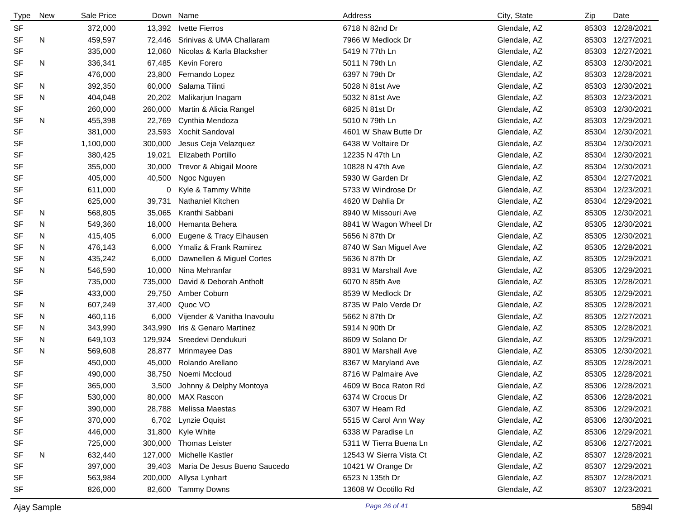| <b>Type</b> | New | Sale Price |         | Down Name                    | Address                 | City, State  | Zip   | Date             |
|-------------|-----|------------|---------|------------------------------|-------------------------|--------------|-------|------------------|
| <b>SF</b>   |     | 372,000    | 13,392  | <b>Ivette Fierros</b>        | 6718 N 82nd Dr          | Glendale, AZ | 85303 | 12/28/2021       |
| <b>SF</b>   | N   | 459,597    | 72,446  | Srinivas & UMA Challaram     | 7966 W Medlock Dr       | Glendale, AZ |       | 85303 12/27/2021 |
| <b>SF</b>   |     | 335,000    | 12,060  | Nicolas & Karla Blacksher    | 5419 N 77th Ln          | Glendale, AZ |       | 85303 12/27/2021 |
| <b>SF</b>   | N   | 336,341    | 67,485  | Kevin Forero                 | 5011 N 79th Ln          | Glendale, AZ |       | 85303 12/30/2021 |
| <b>SF</b>   |     | 476,000    | 23,800  | Fernando Lopez               | 6397 N 79th Dr          | Glendale, AZ |       | 85303 12/28/2021 |
| <b>SF</b>   | N   | 392,350    | 60,000  | Salama Tilinti               | 5028 N 81st Ave         | Glendale, AZ |       | 85303 12/30/2021 |
| <b>SF</b>   | N   | 404,048    | 20,202  | Malikarjun Inagam            | 5032 N 81st Ave         | Glendale, AZ |       | 85303 12/23/2021 |
| <b>SF</b>   |     | 260,000    | 260,000 | Martin & Alicia Rangel       | 6825 N 81st Dr          | Glendale, AZ |       | 85303 12/30/2021 |
| <b>SF</b>   | N   | 455,398    | 22,769  | Cynthia Mendoza              | 5010 N 79th Ln          | Glendale, AZ |       | 85303 12/29/2021 |
| <b>SF</b>   |     | 381,000    | 23,593  | Xochit Sandoval              | 4601 W Shaw Butte Dr    | Glendale, AZ |       | 85304 12/30/2021 |
| SF          |     | 1,100,000  | 300,000 | Jesus Ceja Velazquez         | 6438 W Voltaire Dr      | Glendale, AZ | 85304 | 12/30/2021       |
| <b>SF</b>   |     | 380,425    | 19,021  | Elizabeth Portillo           | 12235 N 47th Ln         | Glendale, AZ |       | 85304 12/30/2021 |
| SF          |     | 355,000    | 30,000  | Trevor & Abigail Moore       | 10828 N 47th Ave        | Glendale, AZ | 85304 | 12/30/2021       |
| <b>SF</b>   |     | 405,000    | 40,500  | Ngoc Nguyen                  | 5930 W Garden Dr        | Glendale, AZ | 85304 | 12/27/2021       |
| SF          |     | 611,000    | 0       | Kyle & Tammy White           | 5733 W Windrose Dr      | Glendale, AZ | 85304 | 12/23/2021       |
| SF          |     | 625,000    | 39,731  | <b>Nathaniel Kitchen</b>     | 4620 W Dahlia Dr        | Glendale, AZ | 85304 | 12/29/2021       |
| <b>SF</b>   | N   | 568,805    | 35,065  | Kranthi Sabbani              | 8940 W Missouri Ave     | Glendale, AZ | 85305 | 12/30/2021       |
| <b>SF</b>   | N   | 549,360    | 18,000  | Hemanta Behera               | 8841 W Wagon Wheel Dr   | Glendale, AZ | 85305 | 12/30/2021       |
| <b>SF</b>   | N   | 415,405    | 6,000   | Eugene & Tracy Eihausen      | 5656 N 87th Dr          | Glendale, AZ | 85305 | 12/30/2021       |
| SF          | N   | 476,143    | 6,000   | Ymaliz & Frank Ramirez       | 8740 W San Miguel Ave   | Glendale, AZ | 85305 | 12/28/2021       |
| <b>SF</b>   | N   | 435,242    | 6,000   | Dawnellen & Miguel Cortes    | 5636 N 87th Dr          | Glendale, AZ | 85305 | 12/29/2021       |
| <b>SF</b>   | N   | 546,590    | 10,000  | Nina Mehranfar               | 8931 W Marshall Ave     | Glendale, AZ | 85305 | 12/29/2021       |
| SF          |     | 735,000    | 735,000 | David & Deborah Antholt      | 6070 N 85th Ave         | Glendale, AZ | 85305 | 12/28/2021       |
| <b>SF</b>   |     | 433,000    | 29,750  | Amber Coburn                 | 8539 W Medlock Dr       | Glendale, AZ | 85305 | 12/29/2021       |
| <b>SF</b>   | N   | 607,249    | 37,400  | Quoc VO                      | 8735 W Palo Verde Dr    | Glendale, AZ | 85305 | 12/28/2021       |
| SF          | N   | 460,116    | 6,000   | Vijender & Vanitha Inavoulu  | 5662 N 87th Dr          | Glendale, AZ | 85305 | 12/27/2021       |
| <b>SF</b>   | N   | 343,990    | 343,990 | Iris & Genaro Martinez       | 5914 N 90th Dr          | Glendale, AZ | 85305 | 12/28/2021       |
| <b>SF</b>   | N   | 649,103    | 129,924 | Sreedevi Dendukuri           | 8609 W Solano Dr        | Glendale, AZ | 85305 | 12/29/2021       |
| <b>SF</b>   | N   | 569,608    | 28,877  | Mrinmayee Das                | 8901 W Marshall Ave     | Glendale, AZ | 85305 | 12/30/2021       |
| <b>SF</b>   |     | 450,000    | 45,000  | Rolando Arellano             | 8367 W Maryland Ave     | Glendale, AZ | 85305 | 12/28/2021       |
| <b>SF</b>   |     | 490,000    | 38,750  | Noemi Mccloud                | 8716 W Palmaire Ave     | Glendale, AZ | 85305 | 12/28/2021       |
| <b>SF</b>   |     | 365,000    | 3,500   | Johnny & Delphy Montoya      | 4609 W Boca Raton Rd    | Glendale, AZ |       | 85306 12/28/2021 |
| SF          |     | 530,000    |         | 80,000 MAX Rascon            | 6374 W Crocus Dr        | Glendale, AZ |       | 85306 12/28/2021 |
| SF          |     | 390,000    | 28,788  | Melissa Maestas              | 6307 W Hearn Rd         | Glendale, AZ |       | 85306 12/29/2021 |
| SF          |     | 370,000    |         | 6,702 Lynzie Oquist          | 5515 W Carol Ann Way    | Glendale, AZ |       | 85306 12/30/2021 |
| SF          |     | 446,000    |         | 31,800 Kyle White            | 6338 W Paradise Ln      | Glendale, AZ |       | 85306 12/29/2021 |
| SF          |     | 725,000    | 300,000 | <b>Thomas Leister</b>        | 5311 W Tierra Buena Ln  | Glendale, AZ |       | 85306 12/27/2021 |
| SF          | N   | 632,440    | 127,000 | Michelle Kastler             | 12543 W Sierra Vista Ct | Glendale, AZ |       | 85307 12/28/2021 |
| <b>SF</b>   |     | 397,000    | 39,403  | Maria De Jesus Bueno Saucedo | 10421 W Orange Dr       | Glendale, AZ |       | 85307 12/29/2021 |
| SF          |     | 563,984    | 200,000 | Allysa Lynhart               | 6523 N 135th Dr         | Glendale, AZ |       | 85307 12/28/2021 |
| SF          |     | 826,000    | 82,600  | <b>Tammy Downs</b>           | 13608 W Ocotillo Rd     | Glendale, AZ |       | 85307 12/23/2021 |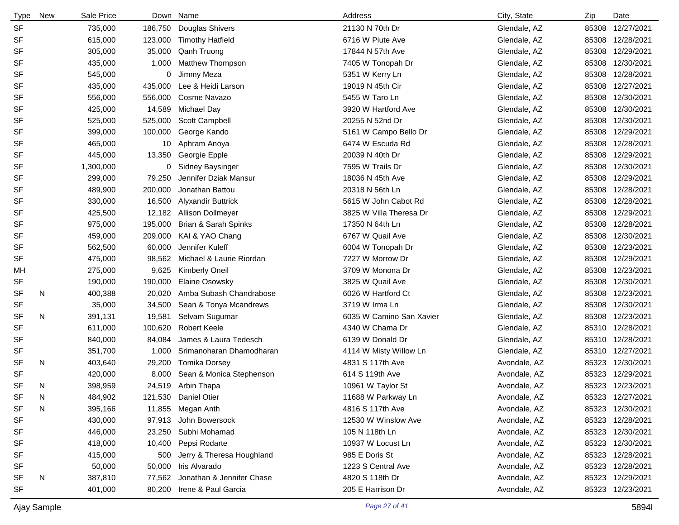| <b>Type</b> | New | Sale Price |         | Down Name                  | Address                  | City, State  | Zip   | Date             |
|-------------|-----|------------|---------|----------------------------|--------------------------|--------------|-------|------------------|
| <b>SF</b>   |     | 735,000    | 186,750 | Douglas Shivers            | 21130 N 70th Dr          | Glendale, AZ |       | 85308 12/27/2021 |
| <b>SF</b>   |     | 615,000    | 123,000 | <b>Timothy Hatfield</b>    | 6716 W Piute Ave         | Glendale, AZ |       | 85308 12/28/2021 |
| SF          |     | 305,000    | 35,000  | Qanh Truong                | 17844 N 57th Ave         | Glendale, AZ |       | 85308 12/29/2021 |
| <b>SF</b>   |     | 435,000    | 1,000   | Matthew Thompson           | 7405 W Tonopah Dr        | Glendale, AZ |       | 85308 12/30/2021 |
| SF          |     | 545,000    | 0       | Jimmy Meza                 | 5351 W Kerry Ln          | Glendale, AZ | 85308 | 12/28/2021       |
| <b>SF</b>   |     | 435,000    | 435,000 | Lee & Heidi Larson         | 19019 N 45th Cir         | Glendale, AZ | 85308 | 12/27/2021       |
| <b>SF</b>   |     | 556,000    | 556,000 | Cosme Navazo               | 5455 W Taro Ln           | Glendale, AZ |       | 85308 12/30/2021 |
| <b>SF</b>   |     | 425,000    | 14,589  | Michael Day                | 3920 W Hartford Ave      | Glendale, AZ | 85308 | 12/30/2021       |
| <b>SF</b>   |     | 525,000    | 525,000 | Scott Campbell             | 20255 N 52nd Dr          | Glendale, AZ |       | 85308 12/30/2021 |
| <b>SF</b>   |     | 399,000    | 100,000 | George Kando               | 5161 W Campo Bello Dr    | Glendale, AZ |       | 85308 12/29/2021 |
| <b>SF</b>   |     | 465,000    | 10      | Aphram Anoya               | 6474 W Escuda Rd         | Glendale, AZ |       | 85308 12/28/2021 |
| <b>SF</b>   |     | 445,000    | 13,350  | Georgie Epple              | 20039 N 40th Dr          | Glendale, AZ |       | 85308 12/29/2021 |
| <b>SF</b>   |     | 1,300,000  |         | 0 Sidney Baysinger         | 7595 W Trails Dr         | Glendale, AZ |       | 85308 12/30/2021 |
| SF          |     | 299,000    | 79,250  | Jennifer Dziak Mansur      | 18036 N 45th Ave         | Glendale, AZ |       | 85308 12/29/2021 |
| <b>SF</b>   |     | 489,900    | 200,000 | Jonathan Battou            | 20318 N 56th Ln          | Glendale, AZ |       | 85308 12/28/2021 |
| <b>SF</b>   |     | 330,000    | 16,500  | <b>Alyxandir Buttrick</b>  | 5615 W John Cabot Rd     | Glendale, AZ |       | 85308 12/28/2021 |
| <b>SF</b>   |     | 425,500    | 12,182  | Allison Dollmeyer          | 3825 W Villa Theresa Dr  | Glendale, AZ |       | 85308 12/29/2021 |
| SF          |     | 975,000    | 195,000 | Brian & Sarah Spinks       | 17350 N 64th Ln          | Glendale, AZ |       | 85308 12/28/2021 |
| <b>SF</b>   |     | 459,000    | 209,000 | KAI & YAO Chang            | 6767 W Quail Ave         | Glendale, AZ |       | 85308 12/30/2021 |
| <b>SF</b>   |     | 562,500    | 60,000  | Jennifer Kuleff            | 6004 W Tonopah Dr        | Glendale, AZ |       | 85308 12/23/2021 |
| <b>SF</b>   |     | 475,000    | 98,562  | Michael & Laurie Riordan   | 7227 W Morrow Dr         | Glendale, AZ |       | 85308 12/29/2021 |
| MН          |     | 275,000    | 9,625   | <b>Kimberly Oneil</b>      | 3709 W Monona Dr         | Glendale, AZ |       | 85308 12/23/2021 |
| <b>SF</b>   |     | 190,000    | 190,000 | <b>Elaine Osowsky</b>      | 3825 W Quail Ave         | Glendale, AZ |       | 85308 12/30/2021 |
| <b>SF</b>   | N   | 400,388    | 20,020  | Amba Subash Chandrabose    | 6026 W Hartford Ct       | Glendale, AZ |       | 85308 12/23/2021 |
| <b>SF</b>   |     | 35,000     | 34,500  | Sean & Tonya Mcandrews     | 3719 W Irma Ln           | Glendale, AZ |       | 85308 12/30/2021 |
| <b>SF</b>   | N   | 391,131    | 19,581  | Selvam Sugumar             | 6035 W Camino San Xavier | Glendale, AZ |       | 85308 12/23/2021 |
| <b>SF</b>   |     | 611,000    | 100,620 | <b>Robert Keele</b>        | 4340 W Chama Dr          | Glendale, AZ |       | 85310 12/28/2021 |
| <b>SF</b>   |     | 840,000    | 84,084  | James & Laura Tedesch      | 6139 W Donald Dr         | Glendale, AZ |       | 85310 12/28/2021 |
| SF          |     | 351,700    | 1,000   | Srimanoharan Dhamodharan   | 4114 W Misty Willow Ln   | Glendale, AZ |       | 85310 12/27/2021 |
| <b>SF</b>   | N   | 403,640    | 29,200  | <b>Tomika Dorsey</b>       | 4831 S 117th Ave         | Avondale, AZ |       | 85323 12/30/2021 |
| <b>SF</b>   |     | 420,000    | 8,000   | Sean & Monica Stephenson   | 614 S 119th Ave          | Avondale, AZ |       | 85323 12/29/2021 |
| <b>SF</b>   | N   | 398,959    |         | 24,519 Arbin Thapa         | 10961 W Taylor St        | Avondale, AZ |       | 85323 12/23/2021 |
| SF          | N   | 484,902    |         | 121,530 Daniel Otier       | 11688 W Parkway Ln       | Avondale, AZ |       | 85323 12/27/2021 |
| <b>SF</b>   | N   | 395,166    |         | 11,855 Megan Anth          | 4816 S 117th Ave         | Avondale, AZ |       | 85323 12/30/2021 |
| SF          |     | 430,000    | 97,913  | John Bowersock             | 12530 W Winslow Ave      | Avondale, AZ |       | 85323 12/28/2021 |
| SF          |     | 446,000    |         | 23,250 Subhi Mohamad       | 105 N 118th Ln           | Avondale, AZ |       | 85323 12/30/2021 |
| SF          |     | 418,000    | 10,400  | Pepsi Rodarte              | 10937 W Locust Ln        | Avondale, AZ |       | 85323 12/30/2021 |
| SF          |     | 415,000    | 500     | Jerry & Theresa Houghland  | 985 E Doris St           | Avondale, AZ |       | 85323 12/28/2021 |
| SF          |     | 50,000     | 50,000  | Iris Alvarado              | 1223 S Central Ave       | Avondale, AZ |       | 85323 12/28/2021 |
| SF          | N   | 387,810    | 77,562  | Jonathan & Jennifer Chase  | 4820 S 118th Dr          | Avondale, AZ |       | 85323 12/29/2021 |
| SF          |     | 401,000    |         | 80,200 Irene & Paul Garcia | 205 E Harrison Dr        | Avondale, AZ |       | 85323 12/23/2021 |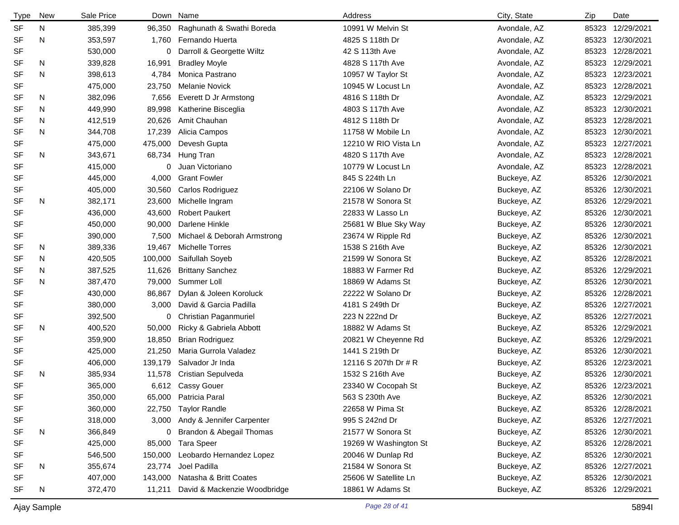| <b>Type</b> | New | Sale Price |         | Down Name                    | Address               | City, State  | Zip   | Date             |
|-------------|-----|------------|---------|------------------------------|-----------------------|--------------|-------|------------------|
| <b>SF</b>   | N   | 385,399    | 96,350  | Raghunath & Swathi Boreda    | 10991 W Melvin St     | Avondale, AZ | 85323 | 12/29/2021       |
| <b>SF</b>   | N   | 353,597    | 1,760   | Fernando Huerta              | 4825 S 118th Dr       | Avondale, AZ | 85323 | 12/30/2021       |
| SF          |     | 530,000    | 0       | Darroll & Georgette Wiltz    | 42 S 113th Ave        | Avondale, AZ |       | 85323 12/28/2021 |
| SF          | N   | 339,828    | 16,991  | <b>Bradley Moyle</b>         | 4828 S 117th Ave      | Avondale, AZ | 85323 | 12/29/2021       |
| <b>SF</b>   | N   | 398,613    | 4,784   | Monica Pastrano              | 10957 W Taylor St     | Avondale, AZ | 85323 | 12/23/2021       |
| SF          |     | 475,000    | 23,750  | <b>Melanie Novick</b>        | 10945 W Locust Ln     | Avondale, AZ | 85323 | 12/28/2021       |
| <b>SF</b>   | N   | 382,096    | 7,656   | Everett D Jr Armstong        | 4816 S 118th Dr       | Avondale, AZ | 85323 | 12/29/2021       |
| SF          | N   | 449,990    | 89,998  | Katherine Bisceglia          | 4803 S 117th Ave      | Avondale, AZ |       | 85323 12/30/2021 |
| SF          | N   | 412,519    | 20,626  | Amit Chauhan                 | 4812 S 118th Dr       | Avondale, AZ | 85323 | 12/28/2021       |
| <b>SF</b>   | N   | 344,708    | 17,239  | Alicia Campos                | 11758 W Mobile Ln     | Avondale, AZ |       | 85323 12/30/2021 |
| SF          |     | 475,000    | 475,000 | Devesh Gupta                 | 12210 W RIO Vista Ln  | Avondale, AZ | 85323 | 12/27/2021       |
| SF          | N   | 343,671    | 68,734  | Hung Tran                    | 4820 S 117th Ave      | Avondale, AZ | 85323 | 12/28/2021       |
| SF          |     | 415,000    | 0       | Juan Victoriano              | 10779 W Locust Ln     | Avondale, AZ | 85323 | 12/28/2021       |
| SF          |     | 445,000    | 4,000   | <b>Grant Fowler</b>          | 845 S 224th Ln        | Buckeye, AZ  | 85326 | 12/30/2021       |
| SF          |     | 405,000    | 30,560  | Carlos Rodriguez             | 22106 W Solano Dr     | Buckeye, AZ  | 85326 | 12/30/2021       |
| SF          | N   | 382,171    | 23,600  | Michelle Ingram              | 21578 W Sonora St     | Buckeye, AZ  | 85326 | 12/29/2021       |
| SF          |     | 436,000    | 43,600  | <b>Robert Paukert</b>        | 22833 W Lasso Ln      | Buckeye, AZ  | 85326 | 12/30/2021       |
| SF          |     | 450,000    | 90,000  | Darlene Hinkle               | 25681 W Blue Sky Way  | Buckeye, AZ  | 85326 | 12/30/2021       |
| SF          |     | 390,000    | 7,500   | Michael & Deborah Armstrong  | 23674 W Ripple Rd     | Buckeye, AZ  | 85326 | 12/30/2021       |
| SF          | N   | 389,336    | 19,467  | <b>Michelle Torres</b>       | 1538 S 216th Ave      | Buckeye, AZ  | 85326 | 12/30/2021       |
| SF          | N   | 420,505    | 100,000 | Saifullah Soyeb              | 21599 W Sonora St     | Buckeye, AZ  | 85326 | 12/28/2021       |
| SF          | N   | 387,525    | 11,626  | <b>Brittany Sanchez</b>      | 18883 W Farmer Rd     | Buckeye, AZ  | 85326 | 12/29/2021       |
| <b>SF</b>   | N   | 387,470    | 79,000  | Summer Loll                  | 18869 W Adams St      | Buckeye, AZ  | 85326 | 12/30/2021       |
| SF          |     | 430,000    | 86,867  | Dylan & Joleen Koroluck      | 22222 W Solano Dr     | Buckeye, AZ  | 85326 | 12/28/2021       |
| SF          |     | 380,000    | 3,000   | David & Garcia Padilla       | 4181 S 249th Dr       | Buckeye, AZ  | 85326 | 12/27/2021       |
| SF          |     | 392,500    | 0       | Christian Paganmuriel        | 223 N 222nd Dr        | Buckeye, AZ  | 85326 | 12/27/2021       |
| SF          | N   | 400,520    | 50,000  | Ricky & Gabriela Abbott      | 18882 W Adams St      | Buckeye, AZ  | 85326 | 12/29/2021       |
| <b>SF</b>   |     | 359,900    | 18,850  | <b>Brian Rodriguez</b>       | 20821 W Cheyenne Rd   | Buckeye, AZ  | 85326 | 12/29/2021       |
| SF          |     | 425,000    | 21,250  | Maria Gurrola Valadez        | 1441 S 219th Dr       | Buckeye, AZ  | 85326 | 12/30/2021       |
| SF          |     | 406,000    | 139,179 | Salvador Jr Inda             | 12116 S 207th Dr # R  | Buckeye, AZ  | 85326 | 12/23/2021       |
| SF          | N   | 385,934    | 11,578  | Cristian Sepulveda           | 1532 S 216th Ave      | Buckeye, AZ  | 85326 | 12/30/2021       |
| SF          |     | 365,000    |         | 6,612 Cassy Gouer            | 23340 W Cocopah St    | Buckeye, AZ  |       | 85326 12/23/2021 |
| <b>SF</b>   |     | 350,000    | 65,000  | Patricia Paral               | 563 S 230th Ave       | Buckeye, AZ  |       | 85326 12/30/2021 |
| SF          |     | 360,000    | 22,750  | <b>Taylor Randle</b>         | 22658 W Pima St       | Buckeye, AZ  |       | 85326 12/28/2021 |
| SF          |     | 318,000    | 3,000   | Andy & Jennifer Carpenter    | 995 S 242nd Dr        | Buckeye, AZ  |       | 85326 12/27/2021 |
| SF          | N   | 366,849    | 0       | Brandon & Abegail Thomas     | 21577 W Sonora St     | Buckeye, AZ  |       | 85326 12/30/2021 |
| SF          |     | 425,000    | 85,000  | <b>Tara Speer</b>            | 19269 W Washington St | Buckeye, AZ  |       | 85326 12/28/2021 |
| SF          |     | 546,500    | 150,000 | Leobardo Hernandez Lopez     | 20046 W Dunlap Rd     | Buckeye, AZ  |       | 85326 12/30/2021 |
| SF          | N   | 355,674    | 23,774  | Joel Padilla                 | 21584 W Sonora St     | Buckeye, AZ  |       | 85326 12/27/2021 |
| SF          |     | 407,000    | 143,000 | Natasha & Britt Coates       | 25606 W Satellite Ln  | Buckeye, AZ  |       | 85326 12/30/2021 |
| SF          | N   | 372,470    | 11,211  | David & Mackenzie Woodbridge | 18861 W Adams St      | Buckeye, AZ  |       | 85326 12/29/2021 |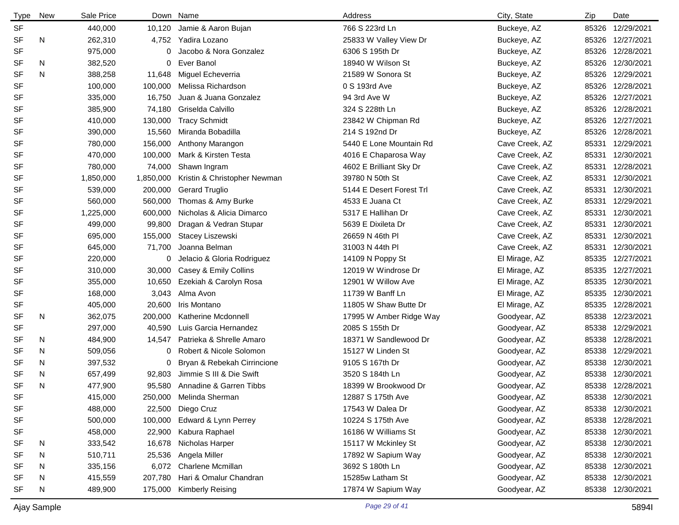| <b>Type</b> | New | Sale Price | Down      | Name                         | Address                  | City, State    | Zip   | Date             |
|-------------|-----|------------|-----------|------------------------------|--------------------------|----------------|-------|------------------|
| <b>SF</b>   |     | 440,000    | 10,120    | Jamie & Aaron Bujan          | 766 S 223rd Ln           | Buckeye, AZ    | 85326 | 12/29/2021       |
| <b>SF</b>   | N   | 262,310    | 4,752     | Yadira Lozano                | 25833 W Valley View Dr   | Buckeye, AZ    |       | 85326 12/27/2021 |
| <b>SF</b>   |     | 975,000    | 0         | Jacobo & Nora Gonzalez       | 6306 S 195th Dr          | Buckeye, AZ    | 85326 | 12/28/2021       |
| <b>SF</b>   | N   | 382,520    | 0         | Ever Banol                   | 18940 W Wilson St        | Buckeye, AZ    | 85326 | 12/30/2021       |
| <b>SF</b>   | N   | 388,258    | 11,648    | Miguel Echeverria            | 21589 W Sonora St        | Buckeye, AZ    | 85326 | 12/29/2021       |
| <b>SF</b>   |     | 100,000    | 100,000   | Melissa Richardson           | 0 S 193rd Ave            | Buckeye, AZ    | 85326 | 12/28/2021       |
| <b>SF</b>   |     | 335,000    | 16,750    | Juan & Juana Gonzalez        | 94 3rd Ave W             | Buckeye, AZ    | 85326 | 12/27/2021       |
| <b>SF</b>   |     | 385,900    | 74,180    | Griselda Calvillo            | 324 S 228th Ln           | Buckeye, AZ    | 85326 | 12/28/2021       |
| <b>SF</b>   |     | 410,000    | 130,000   | <b>Tracy Schmidt</b>         | 23842 W Chipman Rd       | Buckeye, AZ    | 85326 | 12/27/2021       |
| <b>SF</b>   |     | 390,000    | 15,560    | Miranda Bobadilla            | 214 S 192nd Dr           | Buckeye, AZ    | 85326 | 12/28/2021       |
| <b>SF</b>   |     | 780,000    | 156,000   | Anthony Marangon             | 5440 E Lone Mountain Rd  | Cave Creek, AZ | 85331 | 12/29/2021       |
| <b>SF</b>   |     | 470,000    | 100,000   | Mark & Kirsten Testa         | 4016 E Chaparosa Way     | Cave Creek, AZ | 85331 | 12/30/2021       |
| <b>SF</b>   |     | 780,000    | 74,000    | Shawn Ingram                 | 4602 E Brilliant Sky Dr  | Cave Creek, AZ | 85331 | 12/28/2021       |
| <b>SF</b>   |     | 1,850,000  | 1,850,000 | Kristin & Christopher Newman | 39780 N 50th St          | Cave Creek, AZ | 85331 | 12/30/2021       |
| <b>SF</b>   |     | 539,000    | 200,000   | <b>Gerard Truglio</b>        | 5144 E Desert Forest Trl | Cave Creek, AZ | 85331 | 12/30/2021       |
| <b>SF</b>   |     | 560,000    | 560,000   | Thomas & Amy Burke           | 4533 E Juana Ct          | Cave Creek, AZ | 85331 | 12/29/2021       |
| <b>SF</b>   |     | 1,225,000  | 600,000   | Nicholas & Alicia Dimarco    | 5317 E Hallihan Dr       | Cave Creek, AZ | 85331 | 12/30/2021       |
| <b>SF</b>   |     | 499,000    | 99,800    | Dragan & Vedran Stupar       | 5639 E Dixileta Dr       | Cave Creek, AZ | 85331 | 12/30/2021       |
| SF          |     | 695,000    | 155,000   | Stacey Liszewski             | 26659 N 46th PI          | Cave Creek, AZ | 85331 | 12/30/2021       |
| <b>SF</b>   |     | 645,000    | 71,700    | Joanna Belman                | 31003 N 44th PI          | Cave Creek, AZ | 85331 | 12/30/2021       |
| <b>SF</b>   |     | 220,000    | 0         | Jelacio & Gloria Rodriguez   | 14109 N Poppy St         | El Mirage, AZ  | 85335 | 12/27/2021       |
| <b>SF</b>   |     | 310,000    | 30,000    | Casey & Emily Collins        | 12019 W Windrose Dr      | El Mirage, AZ  | 85335 | 12/27/2021       |
| <b>SF</b>   |     | 355,000    | 10,650    | Ezekiah & Carolyn Rosa       | 12901 W Willow Ave       | El Mirage, AZ  | 85335 | 12/30/2021       |
| <b>SF</b>   |     | 168,000    | 3,043     | Alma Avon                    | 11739 W Banff Ln         | El Mirage, AZ  | 85335 | 12/30/2021       |
| SF          |     | 405,000    | 20,600    | Iris Montano                 | 11805 W Shaw Butte Dr    | El Mirage, AZ  | 85335 | 12/28/2021       |
| <b>SF</b>   | N   | 362,075    | 200,000   | Katherine Mcdonnell          | 17995 W Amber Ridge Way  | Goodyear, AZ   | 85338 | 12/23/2021       |
| <b>SF</b>   |     | 297,000    | 40,590    | Luis Garcia Hernandez        | 2085 S 155th Dr          | Goodyear, AZ   | 85338 | 12/29/2021       |
| SF          | N   | 484,900    | 14,547    | Patrieka & Shrelle Amaro     | 18371 W Sandlewood Dr    | Goodyear, AZ   | 85338 | 12/28/2021       |
| <b>SF</b>   | N   | 509,056    | 0         | Robert & Nicole Solomon      | 15127 W Linden St        | Goodyear, AZ   | 85338 | 12/29/2021       |
| SF          | N   | 397,532    | 0         | Bryan & Rebekah Cirrincione  | 9105 S 167th Dr          | Goodyear, AZ   | 85338 | 12/30/2021       |
| SF          | N   | 657,499    | 92,803    | Jimmie S III & Die Swift     | 3520 S 184th Ln          | Goodyear, AZ   | 85338 | 12/30/2021       |
| <b>SF</b>   | N   | 477,900    | 95,580    | Annadine & Garren Tibbs      | 18399 W Brookwood Dr     | Goodyear, AZ   |       | 85338 12/28/2021 |
| SF          |     | 415,000    | 250,000   | Melinda Sherman              | 12887 S 175th Ave        | Goodyear, AZ   |       | 85338 12/30/2021 |
| SF          |     | 488,000    | 22,500    | Diego Cruz                   | 17543 W Dalea Dr         | Goodyear, AZ   | 85338 | 12/30/2021       |
| SF          |     | 500,000    | 100,000   | Edward & Lynn Perrey         | 10224 S 175th Ave        | Goodyear, AZ   |       | 85338 12/28/2021 |
| SF          |     | 458,000    | 22,900    | Kabura Raphael               | 16186 W Williams St      | Goodyear, AZ   | 85338 | 12/30/2021       |
| SF          | N   | 333,542    | 16,678    | Nicholas Harper              | 15117 W Mckinley St      | Goodyear, AZ   | 85338 | 12/30/2021       |
| <b>SF</b>   | N   | 510,711    | 25,536    | Angela Miller                | 17892 W Sapium Way       | Goodyear, AZ   | 85338 | 12/30/2021       |
| <b>SF</b>   | N   | 335,156    | 6,072     | <b>Charlene Mcmillan</b>     | 3692 S 180th Ln          | Goodyear, AZ   | 85338 | 12/30/2021       |
| <b>SF</b>   | N   | 415,559    | 207,780   | Hari & Omalur Chandran       | 15285w Latham St         | Goodyear, AZ   | 85338 | 12/30/2021       |
| <b>SF</b>   | N   | 489,900    | 175,000   | <b>Kimberly Reising</b>      | 17874 W Sapium Way       | Goodyear, AZ   |       | 85338 12/30/2021 |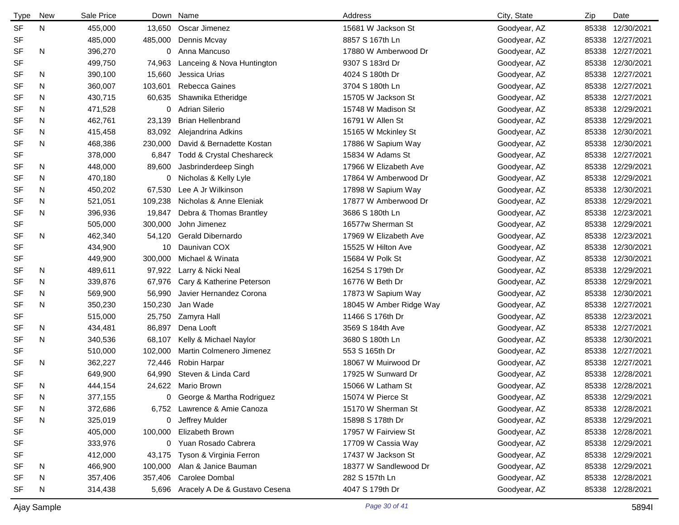| Type      | <b>New</b> | Sale Price |         | Down Name                           | Address                 | City, State  | Zip   | Date             |
|-----------|------------|------------|---------|-------------------------------------|-------------------------|--------------|-------|------------------|
| <b>SF</b> | N          | 455,000    |         | 13,650 Oscar Jimenez                | 15681 W Jackson St      | Goodyear, AZ | 85338 | 12/30/2021       |
| <b>SF</b> |            | 485,000    | 485,000 | Dennis Mcvay                        | 8857 S 167th Ln         | Goodyear, AZ | 85338 | 12/27/2021       |
| SF        | N          | 396,270    | 0       | Anna Mancuso                        | 17880 W Amberwood Dr    | Goodyear, AZ | 85338 | 12/27/2021       |
| <b>SF</b> |            | 499,750    | 74,963  | Lanceing & Nova Huntington          | 9307 S 183rd Dr         | Goodyear, AZ | 85338 | 12/30/2021       |
| SF        | N          | 390,100    | 15,660  | Jessica Urias                       | 4024 S 180th Dr         | Goodyear, AZ | 85338 | 12/27/2021       |
| SF        | N          | 360,007    | 103,601 | Rebecca Gaines                      | 3704 S 180th Ln         | Goodyear, AZ | 85338 | 12/27/2021       |
| SF        | N          | 430,715    | 60,635  | Shawnika Etheridge                  | 15705 W Jackson St      | Goodyear, AZ | 85338 | 12/27/2021       |
| SF        | N          | 471,528    | 0       | <b>Adrian Silerio</b>               | 15748 W Madison St      | Goodyear, AZ | 85338 | 12/29/2021       |
| SF        | N          | 462,761    | 23,139  | <b>Brian Hellenbrand</b>            | 16791 W Allen St        | Goodyear, AZ | 85338 | 12/29/2021       |
| SF        | N          | 415,458    | 83,092  | Alejandrina Adkins                  | 15165 W Mckinley St     | Goodyear, AZ | 85338 | 12/30/2021       |
| <b>SF</b> | N          | 468,386    | 230,000 | David & Bernadette Kostan           | 17886 W Sapium Way      | Goodyear, AZ | 85338 | 12/30/2021       |
| <b>SF</b> |            | 378,000    | 6,847   | Todd & Crystal Cheshareck           | 15834 W Adams St        | Goodyear, AZ | 85338 | 12/27/2021       |
| SF        | N          | 448,000    | 89,600  | Jasbrinderdeep Singh                | 17966 W Elizabeth Ave   | Goodyear, AZ | 85338 | 12/29/2021       |
| SF        | N          | 470,180    |         | 0 Nicholas & Kelly Lyle             | 17864 W Amberwood Dr    | Goodyear, AZ | 85338 | 12/29/2021       |
| SF        | N          | 450,202    | 67,530  | Lee A Jr Wilkinson                  | 17898 W Sapium Way      | Goodyear, AZ | 85338 | 12/30/2021       |
| SF        | N          | 521,051    | 109,238 | Nicholas & Anne Eleniak             | 17877 W Amberwood Dr    | Goodyear, AZ | 85338 | 12/29/2021       |
| <b>SF</b> | N          | 396,936    | 19,847  | Debra & Thomas Brantley             | 3686 S 180th Ln         | Goodyear, AZ | 85338 | 12/23/2021       |
| SF        |            | 505,000    | 300,000 | John Jimenez                        | 16577w Sherman St       | Goodyear, AZ | 85338 | 12/29/2021       |
| <b>SF</b> | N          | 462,340    | 54,120  | Gerald Dibernardo                   | 17969 W Elizabeth Ave   | Goodyear, AZ | 85338 | 12/23/2021       |
| <b>SF</b> |            | 434,900    | 10      | Daunivan COX                        | 15525 W Hilton Ave      | Goodyear, AZ | 85338 | 12/30/2021       |
| <b>SF</b> |            | 449,900    | 300,000 | Michael & Winata                    | 15684 W Polk St         | Goodyear, AZ | 85338 | 12/30/2021       |
| <b>SF</b> | N          | 489,611    | 97,922  | Larry & Nicki Neal                  | 16254 S 179th Dr        | Goodyear, AZ | 85338 | 12/29/2021       |
| <b>SF</b> | N          | 339,876    | 67,976  | Cary & Katherine Peterson           | 16776 W Beth Dr         | Goodyear, AZ | 85338 | 12/29/2021       |
| SF        | N          | 569,900    | 56,990  | Javier Hernandez Corona             | 17873 W Sapium Way      | Goodyear, AZ | 85338 | 12/30/2021       |
| <b>SF</b> | N          | 350,230    | 150,230 | Jan Wade                            | 18045 W Amber Ridge Way | Goodyear, AZ | 85338 | 12/27/2021       |
| <b>SF</b> |            | 515,000    | 25,750  | Zamyra Hall                         | 11466 S 176th Dr        | Goodyear, AZ | 85338 | 12/23/2021       |
| <b>SF</b> | N          | 434,481    | 86,897  | Dena Looft                          | 3569 S 184th Ave        | Goodyear, AZ | 85338 | 12/27/2021       |
| <b>SF</b> | N          | 340,536    | 68,107  | Kelly & Michael Naylor              | 3680 S 180th Ln         | Goodyear, AZ | 85338 | 12/30/2021       |
| <b>SF</b> |            | 510,000    | 102,000 | Martin Colmenero Jimenez            | 553 S 165th Dr          | Goodyear, AZ | 85338 | 12/27/2021       |
| <b>SF</b> | N          | 362,227    | 72,446  | Robin Harpar                        | 18067 W Muirwood Dr     | Goodyear, AZ | 85338 | 12/27/2021       |
| <b>SF</b> |            | 649,900    | 64,990  | Steven & Linda Card                 | 17925 W Sunward Dr      | Goodyear, AZ | 85338 | 12/28/2021       |
| <b>SF</b> | N          | 444,154    |         | 24,622 Mario Brown                  | 15066 W Latham St       | Goodyear, AZ |       | 85338 12/28/2021 |
| <b>SF</b> | N          | 377,155    | 0       | George & Martha Rodriguez           | 15074 W Pierce St       | Goodyear, AZ | 85338 | 12/29/2021       |
| SF        | N          | 372,686    |         | 6,752 Lawrence & Amie Canoza        | 15170 W Sherman St      | Goodyear, AZ | 85338 | 12/28/2021       |
| <b>SF</b> | N          | 325,019    | 0       | Jeffrey Mulder                      | 15898 S 178th Dr        | Goodyear, AZ | 85338 | 12/29/2021       |
| <b>SF</b> |            | 405,000    |         | 100,000 Elizabeth Brown             | 17957 W Fairview St     | Goodyear, AZ | 85338 | 12/28/2021       |
| <b>SF</b> |            | 333,976    |         | 0 Yuan Rosado Cabrera               | 17709 W Cassia Way      | Goodyear, AZ | 85338 | 12/29/2021       |
| SF        |            | 412,000    | 43,175  | Tyson & Virginia Ferron             | 17437 W Jackson St      | Goodyear, AZ | 85338 | 12/29/2021       |
| SF        | N          | 466,900    | 100,000 | Alan & Janice Bauman                | 18377 W Sandlewood Dr   | Goodyear, AZ | 85338 | 12/29/2021       |
| SF        | N          | 357,406    | 357,406 | Carolee Dombal                      | 282 S 157th Ln          | Goodyear, AZ | 85338 | 12/28/2021       |
| <b>SF</b> | N          | 314,438    |         | 5,696 Aracely A De & Gustavo Cesena | 4047 S 179th Dr         | Goodyear, AZ | 85338 | 12/28/2021       |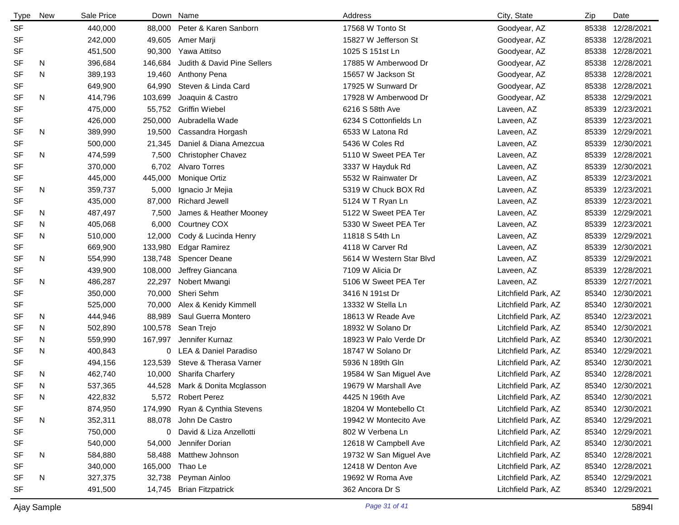| <b>Type</b> | New | Sale Price |         | Down Name                        | Address                  | City, State         | Zip   | Date             |
|-------------|-----|------------|---------|----------------------------------|--------------------------|---------------------|-------|------------------|
| <b>SF</b>   |     | 440,000    | 88,000  | Peter & Karen Sanborn            | 17568 W Tonto St         | Goodyear, AZ        | 85338 | 12/28/2021       |
| <b>SF</b>   |     | 242,000    | 49,605  | Amer Marji                       | 15827 W Jefferson St     | Goodyear, AZ        | 85338 | 12/28/2021       |
| SF          |     | 451,500    | 90,300  | Yawa Attitso                     | 1025 S 151st Ln          | Goodyear, AZ        | 85338 | 12/28/2021       |
| SF          | N   | 396,684    | 146,684 | Judith & David Pine Sellers      | 17885 W Amberwood Dr     | Goodyear, AZ        | 85338 | 12/28/2021       |
| <b>SF</b>   | N   | 389,193    | 19,460  | Anthony Pena                     | 15657 W Jackson St       | Goodyear, AZ        | 85338 | 12/28/2021       |
| <b>SF</b>   |     | 649,900    | 64,990  | Steven & Linda Card              | 17925 W Sunward Dr       | Goodyear, AZ        | 85338 | 12/28/2021       |
| <b>SF</b>   | N   | 414,796    | 103,699 | Joaquin & Castro                 | 17928 W Amberwood Dr     | Goodyear, AZ        | 85338 | 12/29/2021       |
| <b>SF</b>   |     | 475,000    | 55,752  | <b>Griffin Wiebel</b>            | 6216 S 58th Ave          | Laveen, AZ          | 85339 | 12/23/2021       |
| <b>SF</b>   |     | 426,000    | 250,000 | Aubradella Wade                  | 6234 S Cottonfields Ln   | Laveen, AZ          | 85339 | 12/23/2021       |
| <b>SF</b>   | N   | 389,990    | 19,500  | Cassandra Horgash                | 6533 W Latona Rd         | Laveen, AZ          | 85339 | 12/29/2021       |
| <b>SF</b>   |     | 500,000    | 21,345  | Daniel & Diana Amezcua           | 5436 W Coles Rd          | Laveen, AZ          | 85339 | 12/30/2021       |
| <b>SF</b>   | N   | 474,599    | 7,500   | <b>Christopher Chavez</b>        | 5110 W Sweet PEA Ter     | Laveen, AZ          | 85339 | 12/28/2021       |
| <b>SF</b>   |     | 370,000    | 6,702   | <b>Alvaro Torres</b>             | 3337 W Hayduk Rd         | Laveen, AZ          | 85339 | 12/30/2021       |
| SF          |     | 445,000    | 445,000 | Monique Ortiz                    | 5532 W Rainwater Dr      | Laveen, AZ          | 85339 | 12/23/2021       |
| <b>SF</b>   | N   | 359,737    | 5,000   | Ignacio Jr Mejia                 | 5319 W Chuck BOX Rd      | Laveen, AZ          | 85339 | 12/23/2021       |
| SF          |     | 435,000    | 87,000  | <b>Richard Jewell</b>            | 5124 W T Ryan Ln         | Laveen, AZ          | 85339 | 12/23/2021       |
| <b>SF</b>   | N   | 487,497    | 7,500   | James & Heather Mooney           | 5122 W Sweet PEA Ter     | Laveen, AZ          | 85339 | 12/29/2021       |
| SF          | N.  | 405,068    | 6,000   | Courtney COX                     | 5330 W Sweet PEA Ter     | Laveen, AZ          | 85339 | 12/23/2021       |
| <b>SF</b>   | N   | 510,000    | 12,000  | Cody & Lucinda Henry             | 11818 S 54th Ln          | Laveen, AZ          | 85339 | 12/29/2021       |
| <b>SF</b>   |     | 669,900    | 133,980 | <b>Edgar Ramirez</b>             | 4118 W Carver Rd         | Laveen, AZ          | 85339 | 12/30/2021       |
| <b>SF</b>   | N   | 554,990    | 138,748 | <b>Spencer Deane</b>             | 5614 W Western Star Blvd | Laveen, AZ          | 85339 | 12/29/2021       |
| <b>SF</b>   |     | 439,900    | 108,000 | Jeffrey Giancana                 | 7109 W Alicia Dr         | Laveen, AZ          | 85339 | 12/28/2021       |
| <b>SF</b>   | N   | 486,287    | 22,297  | Nobert Mwangi                    | 5106 W Sweet PEA Ter     | Laveen, AZ          | 85339 | 12/27/2021       |
| <b>SF</b>   |     | 350,000    | 70,000  | Sheri Sehm                       | 3416 N 191st Dr          | Litchfield Park, AZ | 85340 | 12/30/2021       |
| SF          |     | 525,000    | 70,000  | Alex & Kenidy Kimmell            | 13332 W Stella Ln        | Litchfield Park, AZ |       | 85340 12/30/2021 |
| <b>SF</b>   | N   | 444,946    | 88,989  | Saul Guerra Montero              | 18613 W Reade Ave        | Litchfield Park, AZ |       | 85340 12/23/2021 |
| <b>SF</b>   | N.  | 502,890    | 100,578 | Sean Trejo                       | 18932 W Solano Dr        | Litchfield Park, AZ | 85340 | 12/30/2021       |
| <b>SF</b>   | N   | 559,990    | 167,997 | Jennifer Kurnaz                  | 18923 W Palo Verde Dr    | Litchfield Park, AZ |       | 85340 12/30/2021 |
| <b>SF</b>   | N   | 400,843    | 0       | <b>LEA &amp; Daniel Paradiso</b> | 18747 W Solano Dr        | Litchfield Park, AZ |       | 85340 12/29/2021 |
| <b>SF</b>   |     | 494,156    | 123,539 | Steve & Therasa Varner           | 5936 N 189th Gln         | Litchfield Park, AZ |       | 85340 12/30/2021 |
| <b>SF</b>   | N.  | 462,740    | 10,000  | Sharifa Charfery                 | 19584 W San Miguel Ave   | Litchfield Park, AZ |       | 85340 12/28/2021 |
| <b>SF</b>   | N   | 537,365    |         | 44,528 Mark & Donita Mcglasson   | 19679 W Marshall Ave     | Litchfield Park, AZ |       | 85340 12/30/2021 |
| SF          | N   | 422,832    |         | 5,572 Robert Perez               | 4425 N 196th Ave         | Litchfield Park, AZ |       | 85340 12/30/2021 |
| SF          |     | 874,950    |         | 174,990 Ryan & Cynthia Stevens   | 18204 W Montebello Ct    | Litchfield Park, AZ |       | 85340 12/30/2021 |
| SF          | N   | 352,311    |         | 88,078 John De Castro            | 19942 W Montecito Ave    | Litchfield Park, AZ |       | 85340 12/29/2021 |
| SF          |     | 750,000    | 0       | David & Liza Anzellotti          | 802 W Verbena Ln         | Litchfield Park, AZ |       | 85340 12/29/2021 |
| <b>SF</b>   |     | 540,000    | 54,000  | Jennifer Dorian                  | 12618 W Campbell Ave     | Litchfield Park, AZ |       | 85340 12/30/2021 |
| <b>SF</b>   | N   | 584,880    | 58,488  | Matthew Johnson                  | 19732 W San Miguel Ave   | Litchfield Park, AZ |       | 85340 12/28/2021 |
| SF          |     | 340,000    | 165,000 | Thao Le                          | 12418 W Denton Ave       | Litchfield Park, AZ |       | 85340 12/28/2021 |
| SF          | N   | 327,375    | 32,738  | Peyman Ainloo                    | 19692 W Roma Ave         | Litchfield Park, AZ |       | 85340 12/29/2021 |
| SF          |     | 491,500    |         | 14,745 Brian Fitzpatrick         | 362 Ancora Dr S          | Litchfield Park, AZ |       | 85340 12/29/2021 |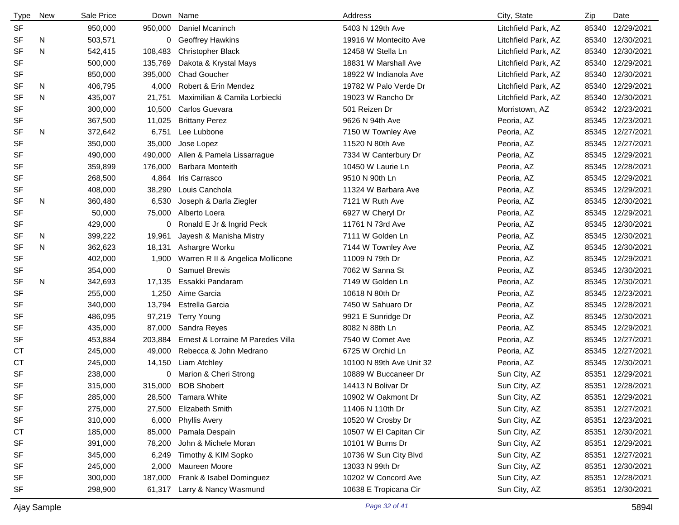| <b>Type</b> | New | Sale Price |         | Down Name                         | Address                  | City, State         | Zip   | Date             |
|-------------|-----|------------|---------|-----------------------------------|--------------------------|---------------------|-------|------------------|
| SF          |     | 950,000    | 950,000 | Daniel Mcaninch                   | 5403 N 129th Ave         | Litchfield Park, AZ |       | 85340 12/29/2021 |
| SF          | N   | 503,571    | 0       | <b>Geoffrey Hawkins</b>           | 19916 W Montecito Ave    | Litchfield Park, AZ |       | 85340 12/30/2021 |
| <b>SF</b>   | N   | 542,415    | 108,483 | <b>Christopher Black</b>          | 12458 W Stella Ln        | Litchfield Park, AZ | 85340 | 12/30/2021       |
| SF          |     | 500,000    | 135,769 | Dakota & Krystal Mays             | 18831 W Marshall Ave     | Litchfield Park, AZ | 85340 | 12/29/2021       |
| SF          |     | 850,000    | 395,000 | <b>Chad Goucher</b>               | 18922 W Indianola Ave    | Litchfield Park, AZ |       | 85340 12/30/2021 |
| SF          | N   | 406,795    | 4,000   | Robert & Erin Mendez              | 19782 W Palo Verde Dr    | Litchfield Park, AZ | 85340 | 12/29/2021       |
| <b>SF</b>   | N   | 435,007    | 21,751  | Maximilian & Camila Lorbiecki     | 19023 W Rancho Dr        | Litchfield Park, AZ |       | 85340 12/30/2021 |
| SF          |     | 300,000    | 10,500  | Carlos Guevara                    | 501 Reizen Dr            | Morristown, AZ      |       | 85342 12/23/2021 |
| SF          |     | 367,500    | 11,025  | <b>Brittany Perez</b>             | 9626 N 94th Ave          | Peoria, AZ          |       | 85345 12/23/2021 |
| <b>SF</b>   | N   | 372,642    | 6,751   | Lee Lubbone                       | 7150 W Townley Ave       | Peoria, AZ          |       | 85345 12/27/2021 |
| <b>SF</b>   |     | 350,000    | 35,000  | Jose Lopez                        | 11520 N 80th Ave         | Peoria, AZ          |       | 85345 12/27/2021 |
| SF          |     | 490,000    | 490,000 | Allen & Pamela Lissarrague        | 7334 W Canterbury Dr     | Peoria, AZ          |       | 85345 12/29/2021 |
| SF          |     | 359,899    | 176,000 | <b>Barbara Monteith</b>           | 10450 W Laurie Ln        | Peoria, AZ          |       | 85345 12/28/2021 |
| SF          |     | 268,500    | 4,864   | Iris Carrasco                     | 9510 N 90th Ln           | Peoria, AZ          |       | 85345 12/29/2021 |
| SF          |     | 408,000    | 38,290  | Louis Canchola                    | 11324 W Barbara Ave      | Peoria, AZ          |       | 85345 12/29/2021 |
| <b>SF</b>   | N   | 360,480    | 6,530   | Joseph & Darla Ziegler            | 7121 W Ruth Ave          | Peoria, AZ          |       | 85345 12/30/2021 |
| SF          |     | 50,000     | 75,000  | Alberto Loera                     | 6927 W Cheryl Dr         | Peoria, AZ          |       | 85345 12/29/2021 |
| SF          |     | 429,000    | 0       | Ronald E Jr & Ingrid Peck         | 11761 N 73rd Ave         | Peoria, AZ          |       | 85345 12/30/2021 |
| <b>SF</b>   | N   | 399,222    | 19,961  | Jayesh & Manisha Mistry           | 7111 W Golden Ln         | Peoria, AZ          |       | 85345 12/30/2021 |
| <b>SF</b>   | N   | 362,623    | 18,131  | Ashargre Worku                    | 7144 W Townley Ave       | Peoria, AZ          |       | 85345 12/30/2021 |
| SF          |     | 402,000    | 1,900   | Warren R II & Angelica Mollicone  | 11009 N 79th Dr          | Peoria, AZ          |       | 85345 12/29/2021 |
| SF          |     | 354,000    | 0       | <b>Samuel Brewis</b>              | 7062 W Sanna St          | Peoria, AZ          |       | 85345 12/30/2021 |
| <b>SF</b>   | N   | 342,693    | 17,135  | Essakki Pandaram                  | 7149 W Golden Ln         | Peoria, AZ          |       | 85345 12/30/2021 |
| <b>SF</b>   |     | 255,000    | 1,250   | Aime Garcia                       | 10618 N 80th Dr          | Peoria, AZ          |       | 85345 12/23/2021 |
| SF          |     | 340,000    | 13,794  | Estrella Garcia                   | 7450 W Sahuaro Dr        | Peoria, AZ          |       | 85345 12/28/2021 |
| SF          |     | 486,095    | 97,219  | <b>Terry Young</b>                | 9921 E Sunridge Dr       | Peoria, AZ          |       | 85345 12/30/2021 |
| SF          |     | 435,000    | 87,000  | Sandra Reyes                      | 8082 N 88th Ln           | Peoria, AZ          |       | 85345 12/29/2021 |
| SF          |     | 453,884    | 203,884 | Ernest & Lorraine M Paredes Villa | 7540 W Comet Ave         | Peoria, AZ          |       | 85345 12/27/2021 |
| СT          |     | 245,000    | 49,000  | Rebecca & John Medrano            | 6725 W Orchid Ln         | Peoria, AZ          |       | 85345 12/27/2021 |
| <b>CT</b>   |     | 245,000    | 14,150  | Liam Atchley                      | 10100 N 89th Ave Unit 32 | Peoria, AZ          |       | 85345 12/30/2021 |
| <b>SF</b>   |     | 238,000    | 0       | Marion & Cheri Strong             | 10889 W Buccaneer Dr     | Sun City, AZ        |       | 85351 12/29/2021 |
| SF          |     | 315,000    | 315,000 | <b>BOB Shobert</b>                | 14413 N Bolivar Dr       | Sun City, AZ        |       | 85351 12/28/2021 |
| SF          |     | 285,000    | 28,500  | <b>Tamara White</b>               | 10902 W Oakmont Dr       | Sun City, AZ        | 85351 | 12/29/2021       |
| SF          |     | 275,000    | 27,500  | <b>Elizabeth Smith</b>            | 11406 N 110th Dr         | Sun City, AZ        |       | 85351 12/27/2021 |
| SF          |     | 310,000    | 6,000   | <b>Phyllis Avery</b>              | 10520 W Crosby Dr        | Sun City, AZ        | 85351 | 12/23/2021       |
| CT          |     | 185,000    | 85,000  | Pamala Despain                    | 10507 W El Capitan Cir   | Sun City, AZ        |       | 85351 12/30/2021 |
| SF          |     | 391,000    | 78,200  | John & Michele Moran              | 10101 W Burns Dr         | Sun City, AZ        |       | 85351 12/29/2021 |
| SF          |     | 345,000    | 6,249   | Timothy & KIM Sopko               | 10736 W Sun City Blvd    | Sun City, AZ        |       | 85351 12/27/2021 |
| SF          |     | 245,000    | 2,000   | Maureen Moore                     | 13033 N 99th Dr          | Sun City, AZ        | 85351 | 12/30/2021       |
| SF          |     | 300,000    | 187,000 | Frank & Isabel Dominguez          | 10202 W Concord Ave      | Sun City, AZ        |       | 85351 12/28/2021 |
| SF          |     | 298,900    | 61,317  | Larry & Nancy Wasmund             | 10638 E Tropicana Cir    | Sun City, AZ        |       | 85351 12/30/2021 |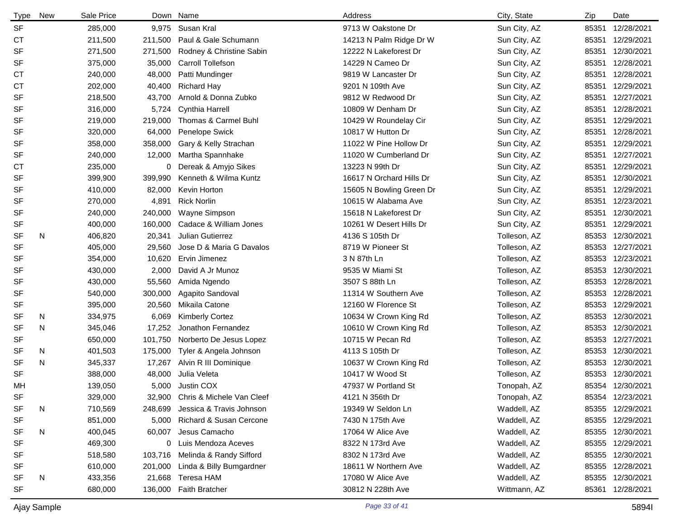| <b>Type</b> | New | Sale Price |         | Down Name                        | Address                  | City, State  | Zip   | Date             |
|-------------|-----|------------|---------|----------------------------------|--------------------------|--------------|-------|------------------|
| <b>SF</b>   |     | 285,000    | 9,975   | Susan Kral                       | 9713 W Oakstone Dr       | Sun City, AZ | 85351 | 12/28/2021       |
| <b>CT</b>   |     | 211,500    | 211,500 | Paul & Gale Schumann             | 14213 N Palm Ridge Dr W  | Sun City, AZ | 85351 | 12/29/2021       |
| <b>SF</b>   |     | 271,500    | 271,500 | Rodney & Christine Sabin         | 12222 N Lakeforest Dr    | Sun City, AZ | 85351 | 12/30/2021       |
| <b>SF</b>   |     | 375,000    | 35,000  | <b>Carroll Tollefson</b>         | 14229 N Cameo Dr         | Sun City, AZ | 85351 | 12/28/2021       |
| <b>CT</b>   |     | 240,000    | 48,000  | Patti Mundinger                  | 9819 W Lancaster Dr      | Sun City, AZ | 85351 | 12/28/2021       |
| СT          |     | 202,000    | 40,400  | <b>Richard Hay</b>               | 9201 N 109th Ave         | Sun City, AZ | 85351 | 12/29/2021       |
| <b>SF</b>   |     | 218,500    | 43,700  | Arnold & Donna Zubko             | 9812 W Redwood Dr        | Sun City, AZ | 85351 | 12/27/2021       |
| <b>SF</b>   |     | 316,000    | 5,724   | <b>Cynthia Harrell</b>           | 10809 W Denham Dr        | Sun City, AZ | 85351 | 12/28/2021       |
| <b>SF</b>   |     | 219,000    | 219,000 | Thomas & Carmel Buhl             | 10429 W Roundelay Cir    | Sun City, AZ | 85351 | 12/29/2021       |
| <b>SF</b>   |     | 320,000    | 64,000  | Penelope Swick                   | 10817 W Hutton Dr        | Sun City, AZ | 85351 | 12/28/2021       |
| <b>SF</b>   |     | 358,000    | 358,000 | Gary & Kelly Strachan            | 11022 W Pine Hollow Dr   | Sun City, AZ | 85351 | 12/29/2021       |
| <b>SF</b>   |     | 240,000    | 12,000  | Martha Spannhake                 | 11020 W Cumberland Dr    | Sun City, AZ | 85351 | 12/27/2021       |
| <b>CT</b>   |     | 235,000    | 0       | Dereak & Amyjo Sikes             | 13223 N 99th Dr          | Sun City, AZ | 85351 | 12/29/2021       |
| <b>SF</b>   |     | 399,900    | 399,990 | Kenneth & Wilma Kuntz            | 16617 N Orchard Hills Dr | Sun City, AZ | 85351 | 12/30/2021       |
| <b>SF</b>   |     | 410,000    | 82,000  | Kevin Horton                     | 15605 N Bowling Green Dr | Sun City, AZ | 85351 | 12/29/2021       |
| <b>SF</b>   |     | 270,000    | 4,891   | <b>Rick Norlin</b>               | 10615 W Alabama Ave      | Sun City, AZ | 85351 | 12/23/2021       |
| <b>SF</b>   |     | 240,000    | 240,000 | Wayne Simpson                    | 15618 N Lakeforest Dr    | Sun City, AZ | 85351 | 12/30/2021       |
| SF          |     | 400,000    | 160,000 | Cadace & William Jones           | 10261 W Desert Hills Dr  | Sun City, AZ | 85351 | 12/29/2021       |
| SF          | N   | 406,820    | 20,341  | Julian Gutierrez                 | 4136 S 105th Dr          | Tolleson, AZ |       | 85353 12/30/2021 |
| <b>SF</b>   |     | 405,000    | 29,560  | Jose D & Maria G Davalos         | 8719 W Pioneer St        | Tolleson, AZ | 85353 | 12/27/2021       |
| <b>SF</b>   |     | 354,000    | 10,620  | Ervin Jimenez                    | 3 N 87th Ln              | Tolleson, AZ |       | 85353 12/23/2021 |
| SF          |     | 430,000    | 2,000   | David A Jr Munoz                 | 9535 W Miami St          | Tolleson, AZ | 85353 | 12/30/2021       |
| <b>SF</b>   |     | 430,000    | 55,560  | Amida Ngendo                     | 3507 S 88th Ln           | Tolleson, AZ |       | 85353 12/28/2021 |
| SF          |     | 540,000    | 300,000 | Agapito Sandoval                 | 11314 W Southern Ave     | Tolleson, AZ | 85353 | 12/28/2021       |
| SF          |     | 395,000    | 20,560  | Mikaila Catone                   | 12160 W Florence St      | Tolleson, AZ |       | 85353 12/29/2021 |
| SF          | N   | 334,975    | 6,069   | <b>Kimberly Cortez</b>           | 10634 W Crown King Rd    | Tolleson, AZ | 85353 | 12/30/2021       |
| <b>SF</b>   | N   | 345,046    | 17,252  | Jonathon Fernandez               | 10610 W Crown King Rd    | Tolleson, AZ |       | 85353 12/30/2021 |
| <b>SF</b>   |     | 650,000    | 101,750 | Norberto De Jesus Lopez          | 10715 W Pecan Rd         | Tolleson, AZ | 85353 | 12/27/2021       |
| <b>SF</b>   | N   | 401,503    | 175,000 | Tyler & Angela Johnson           | 4113 S 105th Dr          | Tolleson, AZ |       | 85353 12/30/2021 |
| <b>SF</b>   | N   | 345,337    | 17,267  | Alvin R III Dominique            | 10637 W Crown King Rd    | Tolleson, AZ | 85353 | 12/30/2021       |
| <b>SF</b>   |     | 388,000    | 48,000  | Julia Veleta                     | 10417 W Wood St          | Tolleson, AZ |       | 85353 12/30/2021 |
| МH          |     | 139,050    | 5,000   | Justin COX                       | 47937 W Portland St      | Tonopah, AZ  |       | 85354 12/30/2021 |
| SF          |     | 329,000    |         | 32,900 Chris & Michele Van Cleef | 4121 N 356th Dr          | Tonopah, AZ  |       | 85354 12/23/2021 |
| <b>SF</b>   | N   | 710,569    | 248,699 | Jessica & Travis Johnson         | 19349 W Seldon Ln        | Waddell, AZ  |       | 85355 12/29/2021 |
| <b>SF</b>   |     | 851,000    | 5,000   | Richard & Susan Cercone          | 7430 N 175th Ave         | Waddell, AZ  |       | 85355 12/29/2021 |
| <b>SF</b>   | N   | 400,045    | 60,007  | Jesus Camacho                    | 17064 W Alice Ave        | Waddell, AZ  |       | 85355 12/30/2021 |
| <b>SF</b>   |     | 469,300    |         | 0 Luis Mendoza Aceves            | 8322 N 173rd Ave         | Waddell, AZ  |       | 85355 12/29/2021 |
| SF          |     | 518,580    | 103,716 | Melinda & Randy Sifford          | 8302 N 173rd Ave         | Waddell, AZ  |       | 85355 12/30/2021 |
| SF          |     | 610,000    |         | 201,000 Linda & Billy Bumgardner | 18611 W Northern Ave     | Waddell, AZ  |       | 85355 12/28/2021 |
| SF          | N   | 433,356    |         | 21,668 Teresa HAM                | 17080 W Alice Ave        | Waddell, AZ  |       | 85355 12/30/2021 |
| <b>SF</b>   |     | 680,000    | 136,000 | <b>Faith Bratcher</b>            | 30812 N 228th Ave        | Wittmann, AZ | 85361 | 12/28/2021       |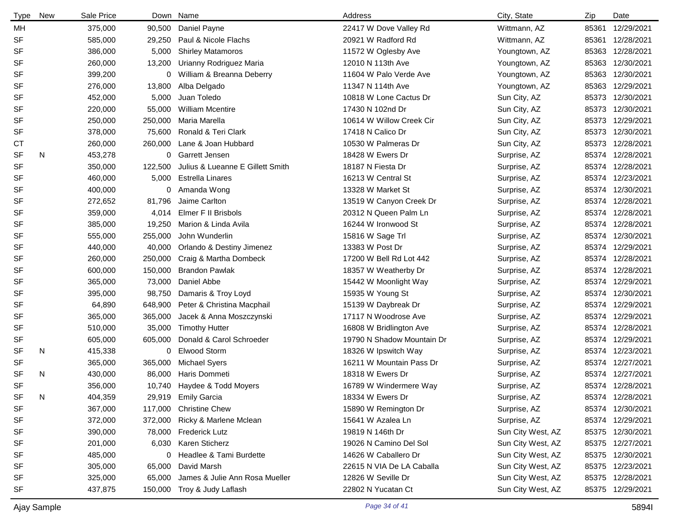| <b>Type</b> | <b>New</b> | Sale Price |         | Down Name                        | Address                    | City, State       | Zip   | Date             |
|-------------|------------|------------|---------|----------------------------------|----------------------------|-------------------|-------|------------------|
| МH          |            | 375,000    | 90,500  | Daniel Payne                     | 22417 W Dove Valley Rd     | Wittmann, AZ      | 85361 | 12/29/2021       |
| <b>SF</b>   |            | 585,000    | 29,250  | Paul & Nicole Flachs             | 20921 W Radford Rd         | Wittmann, AZ      | 85361 | 12/28/2021       |
| <b>SF</b>   |            | 386,000    | 5,000   | <b>Shirley Matamoros</b>         | 11572 W Oglesby Ave        | Youngtown, AZ     | 85363 | 12/28/2021       |
| <b>SF</b>   |            | 260,000    | 13,200  | Urianny Rodriguez Maria          | 12010 N 113th Ave          | Youngtown, AZ     | 85363 | 12/30/2021       |
| SF          |            | 399,200    | 0       | William & Breanna Deberry        | 11604 W Palo Verde Ave     | Youngtown, AZ     | 85363 | 12/30/2021       |
| <b>SF</b>   |            | 276,000    | 13,800  | Alba Delgado                     | 11347 N 114th Ave          | Youngtown, AZ     | 85363 | 12/29/2021       |
| <b>SF</b>   |            | 452,000    | 5,000   | Juan Toledo                      | 10818 W Lone Cactus Dr     | Sun City, AZ      | 85373 | 12/30/2021       |
| <b>SF</b>   |            | 220,000    | 55,000  | <b>William Mcentire</b>          | 17430 N 102nd Dr           | Sun City, AZ      | 85373 | 12/30/2021       |
| SF          |            | 250,000    | 250,000 | Maria Marella                    | 10614 W Willow Creek Cir   | Sun City, AZ      | 85373 | 12/29/2021       |
| <b>SF</b>   |            | 378,000    | 75,600  | Ronald & Teri Clark              | 17418 N Calico Dr          | Sun City, AZ      | 85373 | 12/30/2021       |
| СT          |            | 260,000    | 260,000 | Lane & Joan Hubbard              | 10530 W Palmeras Dr        | Sun City, AZ      |       | 85373 12/28/2021 |
| <b>SF</b>   | N          | 453,278    | 0       | <b>Garrett Jensen</b>            | 18428 W Ewers Dr           | Surprise, AZ      |       | 85374 12/28/2021 |
| <b>SF</b>   |            | 350,000    | 122,500 | Julius & Lueanne E Gillett Smith | 18187 N Fiesta Dr          | Surprise, AZ      | 85374 | 12/28/2021       |
| SF          |            | 460,000    | 5,000   | <b>Estrella Linares</b>          | 16213 W Central St         | Surprise, AZ      | 85374 | 12/23/2021       |
| <b>SF</b>   |            | 400,000    | 0       | Amanda Wong                      | 13328 W Market St          | Surprise, AZ      | 85374 | 12/30/2021       |
| SF          |            | 272,652    | 81,796  | Jaime Carlton                    | 13519 W Canyon Creek Dr    | Surprise, AZ      |       | 85374 12/28/2021 |
| SF          |            | 359,000    | 4,014   | Elmer F II Brisbols              | 20312 N Queen Palm Ln      | Surprise, AZ      | 85374 | 12/28/2021       |
| SF          |            | 385,000    | 19,250  | Marion & Linda Avila             | 16244 W Ironwood St        | Surprise, AZ      | 85374 | 12/28/2021       |
| <b>SF</b>   |            | 555,000    | 255,000 | John Wunderlin                   | 15816 W Sage Trl           | Surprise, AZ      |       | 85374 12/30/2021 |
| <b>SF</b>   |            | 440,000    | 40,000  | Orlando & Destiny Jimenez        | 13383 W Post Dr            | Surprise, AZ      |       | 85374 12/29/2021 |
| <b>SF</b>   |            | 260,000    | 250,000 | Craig & Martha Dombeck           | 17200 W Bell Rd Lot 442    | Surprise, AZ      |       | 85374 12/28/2021 |
| <b>SF</b>   |            | 600,000    | 150,000 | <b>Brandon Pawlak</b>            | 18357 W Weatherby Dr       | Surprise, AZ      | 85374 | 12/28/2021       |
| <b>SF</b>   |            | 365,000    | 73,000  | Daniel Abbe                      | 15442 W Moonlight Way      | Surprise, AZ      | 85374 | 12/29/2021       |
| <b>SF</b>   |            | 395,000    | 98,750  | Damaris & Troy Loyd              | 15935 W Young St           | Surprise, AZ      | 85374 | 12/30/2021       |
| <b>SF</b>   |            | 64,890     | 648,900 | Peter & Christina Macphail       | 15139 W Daybreak Dr        | Surprise, AZ      |       | 85374 12/29/2021 |
| <b>SF</b>   |            | 365,000    | 365,000 | Jacek & Anna Moszczynski         | 17117 N Woodrose Ave       | Surprise, AZ      | 85374 | 12/29/2021       |
| <b>SF</b>   |            | 510,000    | 35,000  | <b>Timothy Hutter</b>            | 16808 W Bridlington Ave    | Surprise, AZ      |       | 85374 12/28/2021 |
| SF          |            | 605,000    | 605,000 | Donald & Carol Schroeder         | 19790 N Shadow Mountain Dr | Surprise, AZ      |       | 85374 12/29/2021 |
| <b>SF</b>   | N          | 415,338    | 0       | <b>Elwood Storm</b>              | 18326 W Ipswitch Way       | Surprise, AZ      |       | 85374 12/23/2021 |
| SF          |            | 365,000    | 365,000 | <b>Michael Syers</b>             | 16211 W Mountain Pass Dr   | Surprise, AZ      | 85374 | 12/27/2021       |
| <b>SF</b>   | N          | 430,000    | 86,000  | Haris Dommeti                    | 18318 W Ewers Dr           | Surprise, AZ      |       | 85374 12/27/2021 |
| <b>SF</b>   |            | 356,000    |         | 10,740 Haydee & Todd Moyers      | 16789 W Windermere Way     | Surprise, AZ      |       | 85374 12/28/2021 |
| <b>SF</b>   | N          | 404,359    |         | 29,919 Emily Garcia              | 18334 W Ewers Dr           | Surprise, AZ      |       | 85374 12/28/2021 |
| SF          |            | 367,000    | 117,000 | <b>Christine Chew</b>            | 15890 W Remington Dr       | Surprise, AZ      |       | 85374 12/30/2021 |
| <b>SF</b>   |            | 372,000    |         | 372,000 Ricky & Marlene Mclean   | 15641 W Azalea Ln          | Surprise, AZ      |       | 85374 12/29/2021 |
| <b>SF</b>   |            | 390,000    |         | 78,000 Frederick Lutz            | 19819 N 146th Dr           | Sun City West, AZ |       | 85375 12/30/2021 |
| <b>SF</b>   |            | 201,000    | 6,030   | Karen Sticherz                   | 19026 N Camino Del Sol     | Sun City West, AZ |       | 85375 12/27/2021 |
| <b>SF</b>   |            | 485,000    |         | 0 Headlee & Tami Burdette        | 14626 W Caballero Dr       | Sun City West, AZ |       | 85375 12/30/2021 |
| SF          |            | 305,000    | 65,000  | David Marsh                      | 22615 N VIA De LA Caballa  | Sun City West, AZ |       | 85375 12/23/2021 |
| <b>SF</b>   |            | 325,000    | 65,000  | James & Julie Ann Rosa Mueller   | 12826 W Seville Dr         | Sun City West, AZ |       | 85375 12/28/2021 |
| <b>SF</b>   |            | 437,875    | 150,000 | Troy & Judy Laflash              | 22802 N Yucatan Ct         | Sun City West, AZ |       | 85375 12/29/2021 |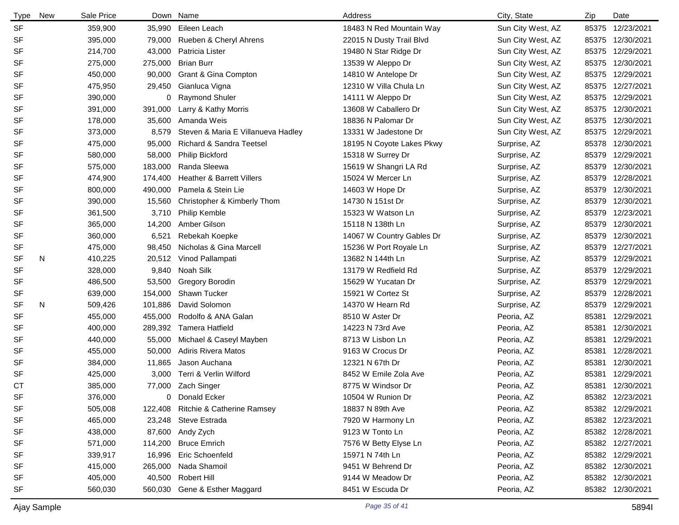| <b>Type</b> | New | Sale Price |         | Down Name                             | Address                   | City, State       | Zip   | Date             |
|-------------|-----|------------|---------|---------------------------------------|---------------------------|-------------------|-------|------------------|
| <b>SF</b>   |     | 359,900    | 35,990  | Eileen Leach                          | 18483 N Red Mountain Way  | Sun City West, AZ |       | 85375 12/23/2021 |
| <b>SF</b>   |     | 395,000    | 79,000  | Rueben & Cheryl Ahrens                | 22015 N Dusty Trail Blvd  | Sun City West, AZ | 85375 | 12/30/2021       |
| <b>SF</b>   |     | 214,700    | 43,000  | Patricia Lister                       | 19480 N Star Ridge Dr     | Sun City West, AZ | 85375 | 12/29/2021       |
| <b>SF</b>   |     | 275,000    | 275,000 | <b>Brian Burr</b>                     | 13539 W Aleppo Dr         | Sun City West, AZ | 85375 | 12/30/2021       |
| <b>SF</b>   |     | 450,000    | 90,000  | Grant & Gina Compton                  | 14810 W Antelope Dr       | Sun City West, AZ | 85375 | 12/29/2021       |
| <b>SF</b>   |     | 475,950    | 29,450  | Gianluca Vigna                        | 12310 W Villa Chula Ln    | Sun City West, AZ | 85375 | 12/27/2021       |
| <b>SF</b>   |     | 390,000    | 0       | <b>Raymond Shuler</b>                 | 14111 W Aleppo Dr         | Sun City West, AZ | 85375 | 12/29/2021       |
| <b>SF</b>   |     | 391,000    | 391,000 | Larry & Kathy Morris                  | 13608 W Caballero Dr      | Sun City West, AZ | 85375 | 12/30/2021       |
| <b>SF</b>   |     | 178,000    | 35,600  | Amanda Weis                           | 18836 N Palomar Dr        | Sun City West, AZ | 85375 | 12/30/2021       |
| <b>SF</b>   |     | 373,000    | 8,579   | Steven & Maria E Villanueva Hadley    | 13331 W Jadestone Dr      | Sun City West, AZ | 85375 | 12/29/2021       |
| <b>SF</b>   |     | 475,000    | 95,000  | <b>Richard &amp; Sandra Teetsel</b>   | 18195 N Coyote Lakes Pkwy | Surprise, AZ      | 85378 | 12/30/2021       |
| <b>SF</b>   |     | 580,000    | 58,000  | Philip Bickford                       | 15318 W Surrey Dr         | Surprise, AZ      | 85379 | 12/29/2021       |
| <b>SF</b>   |     | 575,000    | 183,000 | Randa Sleewa                          | 15619 W Shangri LA Rd     | Surprise, AZ      | 85379 | 12/30/2021       |
| SF          |     | 474,900    | 174,400 | <b>Heather &amp; Barrett Villers</b>  | 15024 W Mercer Ln         | Surprise, AZ      | 85379 | 12/28/2021       |
| <b>SF</b>   |     | 800,000    | 490,000 | Pamela & Stein Lie                    | 14603 W Hope Dr           | Surprise, AZ      | 85379 | 12/30/2021       |
| <b>SF</b>   |     | 390,000    | 15,560  | Christopher & Kimberly Thom           | 14730 N 151st Dr          | Surprise, AZ      | 85379 | 12/30/2021       |
| <b>SF</b>   |     | 361,500    | 3,710   | Philip Kemble                         | 15323 W Watson Ln         | Surprise, AZ      | 85379 | 12/23/2021       |
| SF          |     | 365,000    | 14,200  | Amber Gilson                          | 15118 N 138th Ln          | Surprise, AZ      | 85379 | 12/30/2021       |
| <b>SF</b>   |     | 360,000    | 6,521   | Rebekah Koepke                        | 14067 W Country Gables Dr | Surprise, AZ      | 85379 | 12/30/2021       |
| <b>SF</b>   |     | 475,000    | 98,450  | Nicholas & Gina Marcell               | 15236 W Port Royale Ln    | Surprise, AZ      | 85379 | 12/27/2021       |
| <b>SF</b>   | N   | 410,225    | 20,512  | Vinod Pallampati                      | 13682 N 144th Ln          | Surprise, AZ      | 85379 | 12/29/2021       |
| <b>SF</b>   |     | 328,000    | 9,840   | Noah Silk                             | 13179 W Redfield Rd       | Surprise, AZ      | 85379 | 12/29/2021       |
| <b>SF</b>   |     | 486,500    | 53,500  | <b>Gregory Borodin</b>                | 15629 W Yucatan Dr        | Surprise, AZ      | 85379 | 12/29/2021       |
| <b>SF</b>   |     | 639,000    | 154,000 | Shawn Tucker                          | 15921 W Cortez St         | Surprise, AZ      | 85379 | 12/28/2021       |
| <b>SF</b>   | N   | 509,426    | 101,886 | David Solomon                         | 14370 W Hearn Rd          | Surprise, AZ      | 85379 | 12/29/2021       |
| <b>SF</b>   |     | 455,000    | 455,000 | Rodolfo & ANA Galan                   | 8510 W Aster Dr           | Peoria, AZ        | 85381 | 12/29/2021       |
| <b>SF</b>   |     | 400,000    | 289,392 | Tamera Hatfield                       | 14223 N 73rd Ave          | Peoria, AZ        | 85381 | 12/30/2021       |
| <b>SF</b>   |     | 440,000    | 55,000  | Michael & Caseyl Mayben               | 8713 W Lisbon Ln          | Peoria, AZ        | 85381 | 12/29/2021       |
| <b>SF</b>   |     | 455,000    | 50,000  | <b>Adiris Rivera Matos</b>            | 9163 W Crocus Dr          | Peoria, AZ        | 85381 | 12/28/2021       |
| <b>SF</b>   |     | 384,000    | 11,865  | Jason Auchana                         | 12321 N 67th Dr           | Peoria, AZ        | 85381 | 12/30/2021       |
| <b>SF</b>   |     | 425,000    | 3,000   | Terri & Verlin Wilford                | 8452 W Emile Zola Ave     | Peoria, AZ        |       | 85381 12/29/2021 |
| <b>CT</b>   |     | 385,000    |         | 77,000 Zach Singer                    | 8775 W Windsor Dr         | Peoria, AZ        |       | 85381 12/30/2021 |
| SF          |     | 376,000    | 0       | Donald Ecker                          | 10504 W Runion Dr         | Peoria, AZ        |       | 85382 12/23/2021 |
| SF          |     | 505,008    | 122,408 | <b>Ritchie &amp; Catherine Ramsey</b> | 18837 N 89th Ave          | Peoria, AZ        |       | 85382 12/29/2021 |
| SF          |     | 465,000    |         | 23,248 Steve Estrada                  | 7920 W Harmony Ln         | Peoria, AZ        |       | 85382 12/23/2021 |
| SF          |     | 438,000    |         | 87,600 Andy Zych                      | 9123 W Tonto Ln           | Peoria, AZ        |       | 85382 12/28/2021 |
| SF          |     | 571,000    | 114,200 | <b>Bruce Emrich</b>                   | 7576 W Betty Elyse Ln     | Peoria, AZ        |       | 85382 12/27/2021 |
| SF          |     | 339,917    | 16,996  | Eric Schoenfeld                       | 15971 N 74th Ln           | Peoria, AZ        |       | 85382 12/29/2021 |
| SF          |     | 415,000    | 265,000 | Nada Shamoil                          | 9451 W Behrend Dr         | Peoria, AZ        |       | 85382 12/30/2021 |
| SF          |     | 405,000    | 40,500  | Robert Hill                           | 9144 W Meadow Dr          | Peoria, AZ        |       | 85382 12/30/2021 |
| SF          |     | 560,030    | 560,030 | Gene & Esther Maggard                 | 8451 W Escuda Dr          | Peoria, AZ        |       | 85382 12/30/2021 |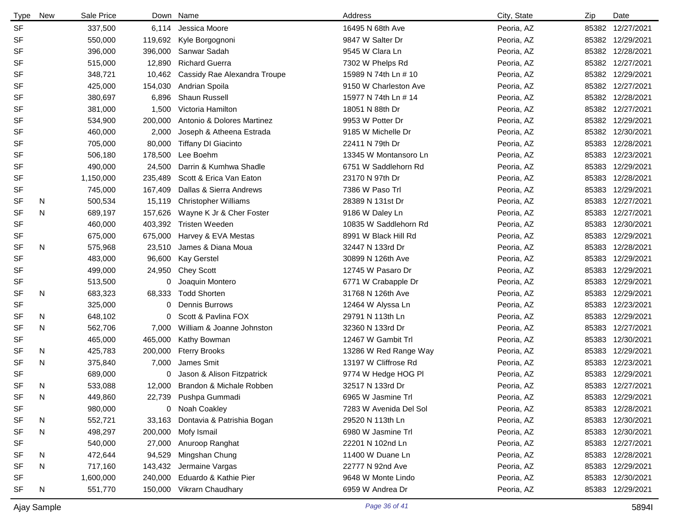| <b>Type</b> | New | Sale Price |         | Down Name                       | Address                | City, State | Zip   | Date             |
|-------------|-----|------------|---------|---------------------------------|------------------------|-------------|-------|------------------|
| <b>SF</b>   |     | 337,500    | 6,114   | Jessica Moore                   | 16495 N 68th Ave       | Peoria, AZ  | 85382 | 12/27/2021       |
| <b>SF</b>   |     | 550,000    | 119,692 | Kyle Borgognoni                 | 9847 W Salter Dr       | Peoria, AZ  | 85382 | 12/29/2021       |
| SF          |     | 396,000    | 396,000 | Sanwar Sadah                    | 9545 W Clara Ln        | Peoria, AZ  | 85382 | 12/28/2021       |
| <b>SF</b>   |     | 515,000    | 12,890  | <b>Richard Guerra</b>           | 7302 W Phelps Rd       | Peoria, AZ  | 85382 | 12/27/2021       |
| <b>SF</b>   |     | 348,721    | 10,462  | Cassidy Rae Alexandra Troupe    | 15989 N 74th Ln # 10   | Peoria, AZ  | 85382 | 12/29/2021       |
| <b>SF</b>   |     | 425,000    | 154,030 | Andrian Spoila                  | 9150 W Charleston Ave  | Peoria, AZ  | 85382 | 12/27/2021       |
| SF          |     | 380,697    | 6,896   | <b>Shaun Russell</b>            | 15977 N 74th Ln # 14   | Peoria, AZ  | 85382 | 12/28/2021       |
| <b>SF</b>   |     | 381,000    | 1,500   | Victoria Hamilton               | 18051 N 88th Dr        | Peoria, AZ  | 85382 | 12/27/2021       |
| <b>SF</b>   |     | 534,900    | 200,000 | Antonio & Dolores Martinez      | 9953 W Potter Dr       | Peoria, AZ  | 85382 | 12/29/2021       |
| <b>SF</b>   |     | 460,000    | 2,000   | Joseph & Atheena Estrada        | 9185 W Michelle Dr     | Peoria, AZ  | 85382 | 12/30/2021       |
| SF          |     | 705,000    | 80,000  | <b>Tiffany DI Giacinto</b>      | 22411 N 79th Dr        | Peoria, AZ  | 85383 | 12/28/2021       |
| <b>SF</b>   |     | 506,180    | 178,500 | Lee Boehm                       | 13345 W Montansoro Ln  | Peoria, AZ  | 85383 | 12/23/2021       |
| SF          |     | 490,000    | 24,500  | Darrin & Kumhwa Shadle          | 6751 W Saddlehorn Rd   | Peoria, AZ  | 85383 | 12/29/2021       |
| <b>SF</b>   |     | 1,150,000  | 235,489 | Scott & Erica Van Eaton         | 23170 N 97th Dr        | Peoria, AZ  | 85383 | 12/28/2021       |
| SF          |     | 745,000    | 167,409 | Dallas & Sierra Andrews         | 7386 W Paso Trl        | Peoria, AZ  | 85383 | 12/29/2021       |
| SF          | N   | 500,534    | 15,119  | <b>Christopher Williams</b>     | 28389 N 131st Dr       | Peoria, AZ  | 85383 | 12/27/2021       |
| <b>SF</b>   | N   | 689,197    | 157,626 | Wayne K Jr & Cher Foster        | 9186 W Daley Ln        | Peoria, AZ  | 85383 | 12/27/2021       |
| <b>SF</b>   |     | 460,000    | 403,392 | <b>Tristen Weeden</b>           | 10835 W Saddlehorn Rd  | Peoria, AZ  | 85383 | 12/30/2021       |
| <b>SF</b>   |     | 675,000    | 675,000 | Harvey & EVA Mestas             | 8991 W Black Hill Rd   | Peoria, AZ  | 85383 | 12/29/2021       |
| <b>SF</b>   | N   | 575,968    | 23,510  | James & Diana Moua              | 32447 N 133rd Dr       | Peoria, AZ  | 85383 | 12/28/2021       |
| <b>SF</b>   |     | 483,000    | 96,600  | <b>Kay Gerstel</b>              | 30899 N 126th Ave      | Peoria, AZ  | 85383 | 12/29/2021       |
| <b>SF</b>   |     | 499,000    | 24,950  | <b>Chey Scott</b>               | 12745 W Pasaro Dr      | Peoria, AZ  | 85383 | 12/29/2021       |
| <b>SF</b>   |     | 513,500    | 0       | Joaquin Montero                 | 6771 W Crabapple Dr    | Peoria, AZ  | 85383 | 12/29/2021       |
| <b>SF</b>   | N   | 683,323    | 68,333  | <b>Todd Shorten</b>             | 31768 N 126th Ave      | Peoria, AZ  | 85383 | 12/29/2021       |
| <b>SF</b>   |     | 325,000    | 0       | <b>Dennis Burrows</b>           | 12464 W Alyssa Ln      | Peoria, AZ  | 85383 | 12/23/2021       |
| SF          | N   | 648,102    |         | 0 Scott & Pavlina FOX           | 29791 N 113th Ln       | Peoria, AZ  | 85383 | 12/29/2021       |
| <b>SF</b>   | N   | 562,706    | 7,000   | William & Joanne Johnston       | 32360 N 133rd Dr       | Peoria, AZ  | 85383 | 12/27/2021       |
| <b>SF</b>   |     | 465,000    | 465,000 | Kathy Bowman                    | 12467 W Gambit Trl     | Peoria, AZ  | 85383 | 12/30/2021       |
| <b>SF</b>   | N   | 425,783    | 200,000 | <b>Fterry Brooks</b>            | 13286 W Red Range Way  | Peoria, AZ  | 85383 | 12/29/2021       |
| <b>SF</b>   | N   | 375,840    | 7,000   | James Smit                      | 13197 W Cliffrose Rd   | Peoria, AZ  | 85383 | 12/23/2021       |
| <b>SF</b>   |     | 689,000    | 0       | Jason & Alison Fitzpatrick      | 9774 W Hedge HOG PI    | Peoria, AZ  | 85383 | 12/29/2021       |
| <b>SF</b>   | N   | 533,088    |         | 12,000 Brandon & Michale Robben | 32517 N 133rd Dr       | Peoria, AZ  |       | 85383 12/27/2021 |
| <b>SF</b>   | N   | 449,860    |         | 22,739 Pushpa Gummadi           | 6965 W Jasmine Trl     | Peoria, AZ  | 85383 | 12/29/2021       |
| SF          |     | 980,000    |         | 0 Noah Coakley                  | 7283 W Avenida Del Sol | Peoria, AZ  |       | 85383 12/28/2021 |
| SF          | N   | 552,721    | 33,163  | Dontavia & Patrishia Bogan      | 29520 N 113th Ln       | Peoria, AZ  | 85383 | 12/30/2021       |
| SF          | N   | 498,297    |         | 200,000 Mofy Ismail             | 6980 W Jasmine Trl     | Peoria, AZ  | 85383 | 12/30/2021       |
| SF          |     | 540,000    | 27,000  | Anuroop Ranghat                 | 22201 N 102nd Ln       | Peoria, AZ  | 85383 | 12/27/2021       |
| SF          | N   | 472,644    | 94,529  | Mingshan Chung                  | 11400 W Duane Ln       | Peoria, AZ  | 85383 | 12/28/2021       |
| SF          | N   | 717,160    | 143,432 | Jermaine Vargas                 | 22777 N 92nd Ave       | Peoria, AZ  | 85383 | 12/29/2021       |
| SF          |     | 1,600,000  | 240,000 | Eduardo & Kathie Pier           | 9648 W Monte Lindo     | Peoria, AZ  | 85383 | 12/30/2021       |
| SF          | N   | 551,770    | 150,000 | Vikrarn Chaudhary               | 6959 W Andrea Dr       | Peoria, AZ  |       | 85383 12/29/2021 |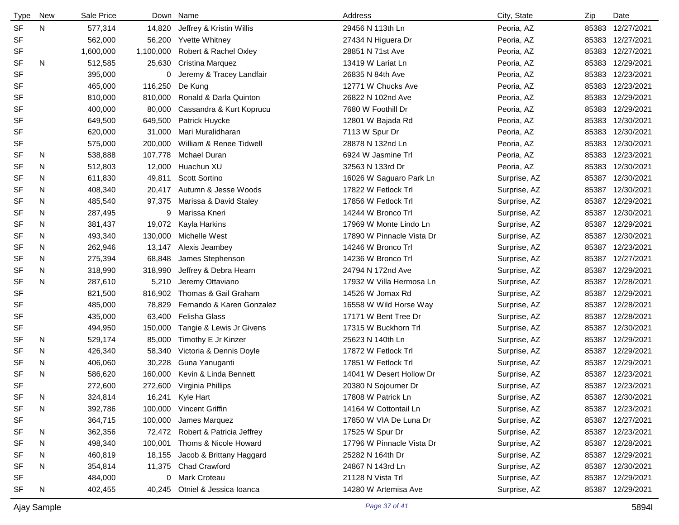| <b>Type</b> | New | Sale Price |           | Down Name                        | Address                   | City, State  | Zip   | Date             |
|-------------|-----|------------|-----------|----------------------------------|---------------------------|--------------|-------|------------------|
| <b>SF</b>   | N   | 577,314    | 14,820    | Jeffrey & Kristin Willis         | 29456 N 113th Ln          | Peoria, AZ   | 85383 | 12/27/2021       |
| <b>SF</b>   |     | 562,000    | 56,200    | <b>Yvette Whitney</b>            | 27434 N Higuera Dr        | Peoria, AZ   | 85383 | 12/27/2021       |
| SF          |     | 1,600,000  | 1,100,000 | Robert & Rachel Oxley            | 28851 N 71st Ave          | Peoria, AZ   | 85383 | 12/27/2021       |
| <b>SF</b>   | N   | 512,585    | 25,630    | Cristina Marquez                 | 13419 W Lariat Ln         | Peoria, AZ   | 85383 | 12/29/2021       |
| <b>SF</b>   |     | 395,000    | 0         | Jeremy & Tracey Landfair         | 26835 N 84th Ave          | Peoria, AZ   | 85383 | 12/23/2021       |
| <b>SF</b>   |     | 465,000    | 116,250   | De Kung                          | 12771 W Chucks Ave        | Peoria, AZ   | 85383 | 12/23/2021       |
| SF          |     | 810,000    | 810,000   | Ronald & Darla Quinton           | 26822 N 102nd Ave         | Peoria, AZ   | 85383 | 12/29/2021       |
| <b>SF</b>   |     | 400,000    | 80,000    | Cassandra & Kurt Koprucu         | 7680 W Foothill Dr        | Peoria, AZ   | 85383 | 12/29/2021       |
| <b>SF</b>   |     | 649,500    | 649,500   | Patrick Huycke                   | 12801 W Bajada Rd         | Peoria, AZ   | 85383 | 12/30/2021       |
| <b>SF</b>   |     | 620,000    | 31,000    | Mari Muralidharan                | 7113 W Spur Dr            | Peoria, AZ   | 85383 | 12/30/2021       |
| SF          |     | 575,000    | 200,000   | William & Renee Tidwell          | 28878 N 132nd Ln          | Peoria, AZ   | 85383 | 12/30/2021       |
| SF          | N   | 538,888    | 107,778   | Mchael Duran                     | 6924 W Jasmine Trl        | Peoria, AZ   | 85383 | 12/23/2021       |
| <b>SF</b>   | N   | 512,803    | 12,000    | Huachun XU                       | 32563 N 133rd Dr          | Peoria, AZ   | 85383 | 12/30/2021       |
| SF          | N   | 611,830    | 49,811    | Scott Sortino                    | 16026 W Saguaro Park Ln   | Surprise, AZ | 85387 | 12/30/2021       |
| <b>SF</b>   | N   | 408,340    | 20,417    | Autumn & Jesse Woods             | 17822 W Fetlock Trl       | Surprise, AZ | 85387 | 12/30/2021       |
| SF          | N   | 485,540    | 97,375    | Marissa & David Staley           | 17856 W Fetlock Trl       | Surprise, AZ | 85387 | 12/29/2021       |
| <b>SF</b>   | N   | 287,495    | 9         | Marissa Kneri                    | 14244 W Bronco Trl        | Surprise, AZ | 85387 | 12/30/2021       |
| SF          | N   | 381,437    | 19,072    | Kayla Harkins                    | 17969 W Monte Lindo Ln    | Surprise, AZ | 85387 | 12/29/2021       |
| <b>SF</b>   | N   | 493,340    | 130,000   | Michelle West                    | 17890 W Pinnacle Vista Dr | Surprise, AZ | 85387 | 12/30/2021       |
| <b>SF</b>   | N   | 262,946    | 13,147    | Alexis Jeambey                   | 14246 W Bronco Trl        | Surprise, AZ | 85387 | 12/23/2021       |
| <b>SF</b>   | N   | 275,394    | 68,848    | James Stephenson                 | 14236 W Bronco Trl        | Surprise, AZ | 85387 | 12/27/2021       |
| <b>SF</b>   | N   | 318,990    | 318,990   | Jeffrey & Debra Hearn            | 24794 N 172nd Ave         | Surprise, AZ | 85387 | 12/29/2021       |
| <b>SF</b>   | N   | 287,610    | 5,210     | Jeremy Ottaviano                 | 17932 W Villa Hermosa Ln  | Surprise, AZ | 85387 | 12/28/2021       |
| <b>SF</b>   |     | 821,500    | 816,902   | Thomas & Gail Graham             | 14526 W Jomax Rd          | Surprise, AZ | 85387 | 12/29/2021       |
| <b>SF</b>   |     | 485,000    | 78,829    | Fernando & Karen Gonzalez        | 16558 W Wild Horse Way    | Surprise, AZ | 85387 | 12/28/2021       |
| <b>SF</b>   |     | 435,000    | 63,400    | Felisha Glass                    | 17171 W Bent Tree Dr      | Surprise, AZ | 85387 | 12/28/2021       |
| SF          |     | 494,950    | 150,000   | Tangie & Lewis Jr Givens         | 17315 W Buckhorn Trl      | Surprise, AZ | 85387 | 12/30/2021       |
| <b>SF</b>   | N   | 529,174    | 85,000    | Timothy E Jr Kinzer              | 25623 N 140th Ln          | Surprise, AZ | 85387 | 12/29/2021       |
| <b>SF</b>   | N   | 426,340    | 58,340    | Victoria & Dennis Doyle          | 17872 W Fetlock Trl       | Surprise, AZ | 85387 | 12/29/2021       |
| <b>SF</b>   | N   | 406,060    | 30,228    | Guna Yanuganti                   | 17851 W Fetlock Trl       | Surprise, AZ | 85387 | 12/29/2021       |
| <b>SF</b>   | N   | 586,620    | 160,000   | Kevin & Linda Bennett            | 14041 W Desert Hollow Dr  | Surprise, AZ | 85387 | 12/23/2021       |
| <b>SF</b>   |     | 272,600    |           | 272,600 Virginia Phillips        | 20380 N Sojourner Dr      | Surprise, AZ |       | 85387 12/23/2021 |
| <b>SF</b>   | N   | 324,814    |           | 16,241 Kyle Hart                 | 17808 W Patrick Ln        | Surprise, AZ |       | 85387 12/30/2021 |
| <b>SF</b>   | N   | 392,786    |           | 100,000 Vincent Griffin          | 14164 W Cottontail Ln     | Surprise, AZ |       | 85387 12/23/2021 |
| SF          |     | 364,715    | 100,000   | James Marquez                    | 17850 W VIA De Luna Dr    | Surprise, AZ | 85387 | 12/27/2021       |
| SF          | N   | 362,356    |           | 72,472 Robert & Patricia Jeffrey | 17525 W Spur Dr           | Surprise, AZ |       | 85387 12/23/2021 |
| SF          | N   | 498,340    | 100,001   | Thoms & Nicole Howard            | 17796 W Pinnacle Vista Dr | Surprise, AZ | 85387 | 12/28/2021       |
| SF          | N   | 460,819    | 18,155    | Jacob & Brittany Haggard         | 25282 N 164th Dr          | Surprise, AZ | 85387 | 12/29/2021       |
| SF          | N   | 354,814    | 11,375    | <b>Chad Crawford</b>             | 24867 N 143rd Ln          | Surprise, AZ | 85387 | 12/30/2021       |
| SF          |     | 484,000    |           | 0 Mark Croteau                   | 21128 N Vista Trl         | Surprise, AZ | 85387 | 12/29/2021       |
| SF          | N   | 402,455    | 40,245    | Otniel & Jessica Ioanca          | 14280 W Artemisa Ave      | Surprise, AZ | 85387 | 12/29/2021       |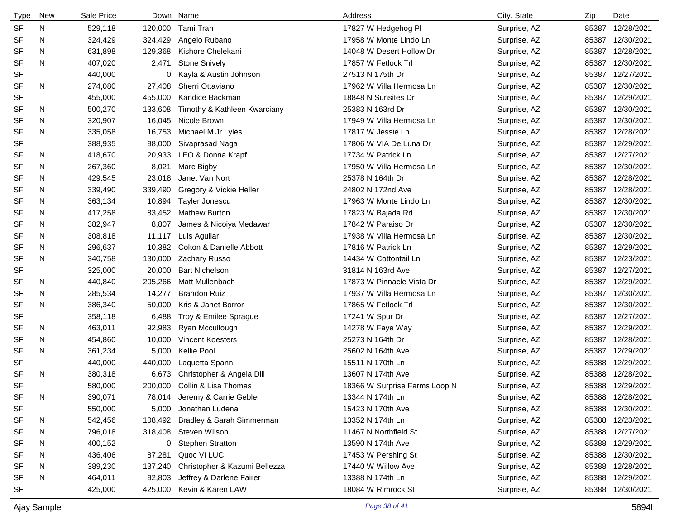| <b>Type</b> | <b>New</b> | Sale Price |         | Down Name                     | Address                       | City, State  | Zip   | Date             |
|-------------|------------|------------|---------|-------------------------------|-------------------------------|--------------|-------|------------------|
| <b>SF</b>   | N          | 529,118    | 120,000 | Tami Tran                     | 17827 W Hedgehog PI           | Surprise, AZ | 85387 | 12/28/2021       |
| <b>SF</b>   | N          | 324,429    | 324,429 | Angelo Rubano                 | 17958 W Monte Lindo Ln        | Surprise, AZ | 85387 | 12/30/2021       |
| SF          | N          | 631,898    | 129,368 | Kishore Chelekani             | 14048 W Desert Hollow Dr      | Surprise, AZ | 85387 | 12/28/2021       |
| <b>SF</b>   | N          | 407,020    | 2,471   | <b>Stone Snively</b>          | 17857 W Fetlock Trl           | Surprise, AZ | 85387 | 12/30/2021       |
| <b>SF</b>   |            | 440,000    | 0       | Kayla & Austin Johnson        | 27513 N 175th Dr              | Surprise, AZ | 85387 | 12/27/2021       |
| <b>SF</b>   | N          | 274,080    | 27,408  | Sherri Ottaviano              | 17962 W Villa Hermosa Ln      | Surprise, AZ | 85387 | 12/30/2021       |
| <b>SF</b>   |            | 455,000    | 455,000 | Kandice Backman               | 18848 N Sunsites Dr           | Surprise, AZ | 85387 | 12/29/2021       |
| <b>SF</b>   | N          | 500,270    | 133,608 | Timothy & Kathleen Kwarciany  | 25383 N 163rd Dr              | Surprise, AZ | 85387 | 12/30/2021       |
| SF          | N          | 320,907    | 16,045  | Nicole Brown                  | 17949 W Villa Hermosa Ln      | Surprise, AZ | 85387 | 12/30/2021       |
| <b>SF</b>   | N          | 335,058    | 16,753  | Michael M Jr Lyles            | 17817 W Jessie Ln             | Surprise, AZ | 85387 | 12/28/2021       |
| <b>SF</b>   |            | 388,935    | 98,000  | Sivaprasad Naga               | 17806 W VIA De Luna Dr        | Surprise, AZ | 85387 | 12/29/2021       |
| SF          | N          | 418,670    | 20,933  | LEO & Donna Krapf             | 17734 W Patrick Ln            | Surprise, AZ | 85387 | 12/27/2021       |
| <b>SF</b>   | N          | 267,360    | 8,021   | Marc Bigby                    | 17950 W Villa Hermosa Ln      | Surprise, AZ | 85387 | 12/30/2021       |
| SF          | N          | 429,545    | 23,018  | Janet Van Nort                | 25378 N 164th Dr              | Surprise, AZ | 85387 | 12/28/2021       |
| SF          | N          | 339,490    | 339,490 | Gregory & Vickie Heller       | 24802 N 172nd Ave             | Surprise, AZ | 85387 | 12/28/2021       |
| SF          | N          | 363,134    | 10,894  | Tayler Jonescu                | 17963 W Monte Lindo Ln        | Surprise, AZ | 85387 | 12/30/2021       |
| SF          | N          | 417,258    | 83,452  | <b>Mathew Burton</b>          | 17823 W Bajada Rd             | Surprise, AZ | 85387 | 12/30/2021       |
| SF          | N          | 382,947    | 8,807   | James & Nicoiya Medawar       | 17842 W Paraiso Dr            | Surprise, AZ | 85387 | 12/30/2021       |
| SF          | N          | 308,818    | 11,117  | Luis Aguilar                  | 17938 W Villa Hermosa Ln      | Surprise, AZ | 85387 | 12/30/2021       |
| SF          | N          | 296,637    | 10,382  | Colton & Danielle Abbott      | 17816 W Patrick Ln            | Surprise, AZ | 85387 | 12/29/2021       |
| <b>SF</b>   | N          | 340,758    | 130,000 | Zachary Russo                 | 14434 W Cottontail Ln         | Surprise, AZ | 85387 | 12/23/2021       |
| SF          |            | 325,000    | 20,000  | <b>Bart Nichelson</b>         | 31814 N 163rd Ave             | Surprise, AZ | 85387 | 12/27/2021       |
| SF          | N          | 440,840    | 205,266 | Matt Mullenbach               | 17873 W Pinnacle Vista Dr     | Surprise, AZ | 85387 | 12/29/2021       |
| SF          | N          | 285,534    | 14,277  | <b>Brandon Ruiz</b>           | 17937 W Villa Hermosa Ln      | Surprise, AZ | 85387 | 12/30/2021       |
| <b>SF</b>   | N          | 386,340    | 50,000  | Kris & Janet Borror           | 17865 W Fetlock Trl           | Surprise, AZ | 85387 | 12/30/2021       |
| SF          |            | 358,118    | 6,488   | Troy & Emilee Sprague         | 17241 W Spur Dr               | Surprise, AZ | 85387 | 12/27/2021       |
| SF          | N          | 463,011    | 92,983  | Ryan Mccullough               | 14278 W Faye Way              | Surprise, AZ | 85387 | 12/29/2021       |
| SF          | N          | 454,860    | 10,000  | <b>Vincent Koesters</b>       | 25273 N 164th Dr              | Surprise, AZ | 85387 | 12/28/2021       |
| <b>SF</b>   | N          | 361,234    | 5,000   | Kellie Pool                   | 25602 N 164th Ave             | Surprise, AZ | 85387 | 12/29/2021       |
| SF          |            | 440,000    | 440,000 | Laquetta Spann                | 15511 N 170th Ln              | Surprise, AZ | 85388 | 12/29/2021       |
| <b>SF</b>   | N          | 380,318    | 6,673   | Christopher & Angela Dill     | 13607 N 174th Ave             | Surprise, AZ | 85388 | 12/28/2021       |
| <b>SF</b>   |            | 580,000    | 200,000 | Collin & Lisa Thomas          | 18366 W Surprise Farms Loop N | Surprise, AZ |       | 85388 12/29/2021 |
| SF          | N          | 390,071    | 78,014  | Jeremy & Carrie Gebler        | 13344 N 174th Ln              | Surprise, AZ |       | 85388 12/28/2021 |
| <b>SF</b>   |            | 550,000    | 5,000   | Jonathan Ludena               | 15423 N 170th Ave             | Surprise, AZ | 85388 | 12/30/2021       |
| <b>SF</b>   | N          | 542,456    | 108,492 | Bradley & Sarah Simmerman     | 13352 N 174th Ln              | Surprise, AZ |       | 85388 12/23/2021 |
| <b>SF</b>   | N          | 796,018    |         | 318,408 Steven Wilson         | 11467 N Northfield St         | Surprise, AZ | 85388 | 12/27/2021       |
| SF          | N          | 400,152    |         | 0 Stephen Stratton            | 13590 N 174th Ave             | Surprise, AZ |       | 85388 12/29/2021 |
| SF          | N          | 436,406    | 87,281  | Quoc VI LUC                   | 17453 W Pershing St           | Surprise, AZ | 85388 | 12/30/2021       |
| SF          | N          | 389,230    | 137,240 | Christopher & Kazumi Bellezza | 17440 W Willow Ave            | Surprise, AZ |       | 85388 12/28/2021 |
| SF          | N          | 464,011    | 92,803  | Jeffrey & Darlene Fairer      | 13388 N 174th Ln              | Surprise, AZ | 85388 | 12/29/2021       |
| <b>SF</b>   |            | 425,000    | 425,000 | Kevin & Karen LAW             | 18084 W Rimrock St            | Surprise, AZ |       | 85388 12/30/2021 |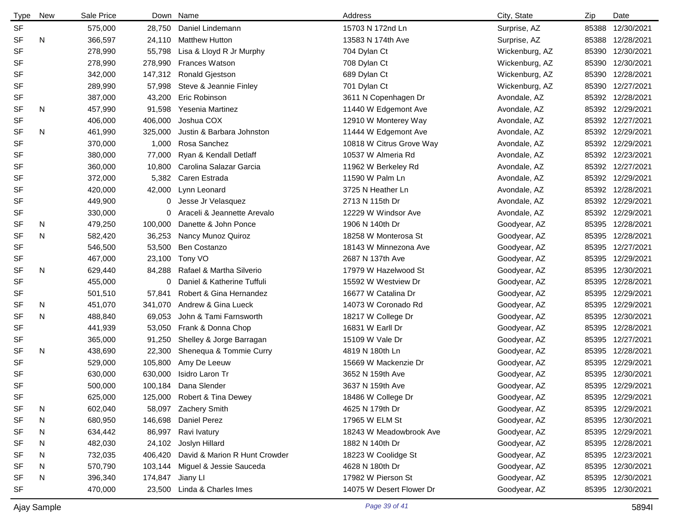| <b>Type</b> | <b>New</b> | Sale Price |         | Down Name                     | Address                  | City, State    | Zip   | Date             |
|-------------|------------|------------|---------|-------------------------------|--------------------------|----------------|-------|------------------|
| <b>SF</b>   |            | 575,000    | 28,750  | Daniel Lindemann              | 15703 N 172nd Ln         | Surprise, AZ   | 85388 | 12/30/2021       |
| <b>SF</b>   | N          | 366,597    | 24,110  | <b>Matthew Hutton</b>         | 13583 N 174th Ave        | Surprise, AZ   | 85388 | 12/28/2021       |
| <b>SF</b>   |            | 278,990    | 55,798  | Lisa & Lloyd R Jr Murphy      | 704 Dylan Ct             | Wickenburg, AZ | 85390 | 12/30/2021       |
| <b>SF</b>   |            | 278,990    | 278,990 | <b>Frances Watson</b>         | 708 Dylan Ct             | Wickenburg, AZ | 85390 | 12/30/2021       |
| SF          |            | 342,000    | 147,312 | Ronald Gjestson               | 689 Dylan Ct             | Wickenburg, AZ | 85390 | 12/28/2021       |
| <b>SF</b>   |            | 289,990    | 57,998  | Steve & Jeannie Finley        | 701 Dylan Ct             | Wickenburg, AZ | 85390 | 12/27/2021       |
| SF          |            | 387,000    | 43,200  | Eric Robinson                 | 3611 N Copenhagen Dr     | Avondale, AZ   | 85392 | 12/28/2021       |
| SF          | N          | 457,990    | 91,598  | Yesenia Martinez              | 11440 W Edgemont Ave     | Avondale, AZ   | 85392 | 12/29/2021       |
| <b>SF</b>   |            | 406,000    | 406,000 | Joshua COX                    | 12910 W Monterey Way     | Avondale, AZ   | 85392 | 12/27/2021       |
| SF          | N          | 461,990    | 325,000 | Justin & Barbara Johnston     | 11444 W Edgemont Ave     | Avondale, AZ   | 85392 | 12/29/2021       |
| <b>SF</b>   |            | 370,000    | 1,000   | Rosa Sanchez                  | 10818 W Citrus Grove Way | Avondale, AZ   |       | 85392 12/29/2021 |
| <b>SF</b>   |            | 380,000    | 77,000  | Ryan & Kendall Detlaff        | 10537 W Almeria Rd       | Avondale, AZ   | 85392 | 12/23/2021       |
| SF          |            | 360,000    | 10,800  | Carolina Salazar Garcia       | 11962 W Berkeley Rd      | Avondale, AZ   | 85392 | 12/27/2021       |
| SF          |            | 372,000    | 5,382   | Caren Estrada                 | 11590 W Palm Ln          | Avondale, AZ   | 85392 | 12/29/2021       |
| SF          |            | 420,000    | 42,000  | Lynn Leonard                  | 3725 N Heather Ln        | Avondale, AZ   | 85392 | 12/28/2021       |
| SF          |            | 449,900    | 0       | Jesse Jr Velasquez            | 2713 N 115th Dr          | Avondale, AZ   | 85392 | 12/29/2021       |
| SF          |            | 330,000    | 0       | Araceli & Jeannette Arevalo   | 12229 W Windsor Ave      | Avondale, AZ   | 85392 | 12/29/2021       |
| SF          | N          | 479,250    | 100,000 | Danette & John Ponce          | 1906 N 140th Dr          | Goodyear, AZ   | 85395 | 12/28/2021       |
| <b>SF</b>   | N          | 582,420    | 36,253  | Nancy Munoz Quiroz            | 18258 W Monterosa St     | Goodyear, AZ   | 85395 | 12/28/2021       |
| <b>SF</b>   |            | 546,500    | 53,500  | Ben Costanzo                  | 18143 W Minnezona Ave    | Goodyear, AZ   | 85395 | 12/27/2021       |
| <b>SF</b>   |            | 467,000    | 23,100  | Tony VO                       | 2687 N 137th Ave         | Goodyear, AZ   | 85395 | 12/29/2021       |
| <b>SF</b>   | N          | 629,440    | 84,288  | Rafael & Martha Silverio      | 17979 W Hazelwood St     | Goodyear, AZ   | 85395 | 12/30/2021       |
| <b>SF</b>   |            | 455,000    | 0       | Daniel & Katherine Tuffuli    | 15592 W Westview Dr      | Goodyear, AZ   | 85395 | 12/28/2021       |
| SF          |            | 501,510    | 57,841  | Robert & Gina Hernandez       | 16677 W Catalina Dr      | Goodyear, AZ   | 85395 | 12/29/2021       |
| <b>SF</b>   | N          | 451,070    | 341,070 | Andrew & Gina Lueck           | 14073 W Coronado Rd      | Goodyear, AZ   | 85395 | 12/29/2021       |
| <b>SF</b>   | N          | 488,840    | 69,053  | John & Tami Farnsworth        | 18217 W College Dr       | Goodyear, AZ   | 85395 | 12/30/2021       |
| <b>SF</b>   |            | 441,939    | 53,050  | Frank & Donna Chop            | 16831 W Earll Dr         | Goodyear, AZ   | 85395 | 12/28/2021       |
| SF          |            | 365,000    | 91,250  | Shelley & Jorge Barragan      | 15109 W Vale Dr          | Goodyear, AZ   | 85395 | 12/27/2021       |
| <b>SF</b>   | N          | 438,690    | 22,300  | Shenequa & Tommie Curry       | 4819 N 180th Ln          | Goodyear, AZ   | 85395 | 12/28/2021       |
| <b>SF</b>   |            | 529,000    | 105,800 | Amy De Leeuw                  | 15669 W Mackenzie Dr     | Goodyear, AZ   | 85395 | 12/29/2021       |
| <b>SF</b>   |            | 630,000    | 630,000 | Isidro Laron Tr               | 3652 N 159th Ave         | Goodyear, AZ   | 85395 | 12/30/2021       |
| <b>SF</b>   |            | 500,000    | 100,184 | Dana Slender                  | 3637 N 159th Ave         | Goodyear, AZ   |       | 85395 12/29/2021 |
| <b>SF</b>   |            | 625,000    |         | 125,000 Robert & Tina Dewey   | 18486 W College Dr       | Goodyear, AZ   | 85395 | 12/29/2021       |
| <b>SF</b>   | N          | 602,040    |         | 58,097 Zachery Smith          | 4625 N 179th Dr          | Goodyear, AZ   |       | 85395 12/29/2021 |
| <b>SF</b>   | N          | 680,950    | 146,698 | Daniel Perez                  | 17965 W ELM St           | Goodyear, AZ   | 85395 | 12/30/2021       |
| SF          | N          | 634,442    | 86,997  | Ravi Ivatury                  | 18243 W Meadowbrook Ave  | Goodyear, AZ   |       | 85395 12/29/2021 |
| SF          | N          | 482,030    | 24,102  | Joslyn Hillard                | 1882 N 140th Dr          | Goodyear, AZ   | 85395 | 12/28/2021       |
| SF          | N          | 732,035    | 406,420 | David & Marion R Hunt Crowder | 18223 W Coolidge St      | Goodyear, AZ   |       | 85395 12/23/2021 |
| SF          | N          | 570,790    | 103,144 | Miguel & Jessie Sauceda       | 4628 N 180th Dr          | Goodyear, AZ   | 85395 | 12/30/2021       |
| SF          | N          | 396,340    | 174,847 | Jiany Ll                      | 17982 W Pierson St       | Goodyear, AZ   | 85395 | 12/30/2021       |
| <b>SF</b>   |            | 470,000    |         | 23,500 Linda & Charles Imes   | 14075 W Desert Flower Dr | Goodyear, AZ   |       | 85395 12/30/2021 |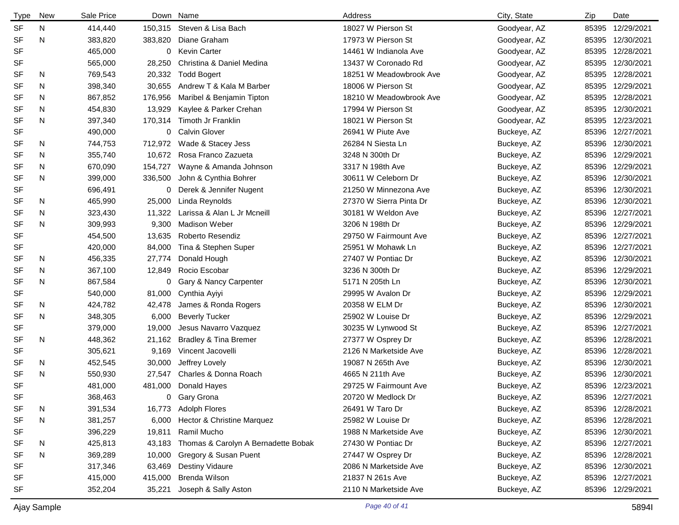| <b>Type</b> | New | Sale Price |         | Down Name                           | Address                 | City, State  | Zip   | Date             |
|-------------|-----|------------|---------|-------------------------------------|-------------------------|--------------|-------|------------------|
| <b>SF</b>   | N   | 414,440    | 150,315 | Steven & Lisa Bach                  | 18027 W Pierson St      | Goodyear, AZ | 85395 | 12/29/2021       |
| <b>SF</b>   | N   | 383,820    | 383,820 | Diane Graham                        | 17973 W Pierson St      | Goodyear, AZ | 85395 | 12/30/2021       |
| <b>SF</b>   |     | 465,000    | 0       | <b>Kevin Carter</b>                 | 14461 W Indianola Ave   | Goodyear, AZ | 85395 | 12/28/2021       |
| <b>SF</b>   |     | 565,000    | 28,250  | Christina & Daniel Medina           | 13437 W Coronado Rd     | Goodyear, AZ | 85395 | 12/30/2021       |
| <b>SF</b>   | N.  | 769,543    | 20,332  | <b>Todd Bogert</b>                  | 18251 W Meadowbrook Ave | Goodyear, AZ | 85395 | 12/28/2021       |
| <b>SF</b>   | N   | 398,340    | 30,655  | Andrew T & Kala M Barber            | 18006 W Pierson St      | Goodyear, AZ | 85395 | 12/29/2021       |
| <b>SF</b>   | N   | 867,852    | 176,956 | Maribel & Benjamin Tipton           | 18210 W Meadowbrook Ave | Goodyear, AZ | 85395 | 12/28/2021       |
| <b>SF</b>   | N   | 454,830    | 13,929  | Kaylee & Parker Crehan              | 17994 W Pierson St      | Goodyear, AZ | 85395 | 12/30/2021       |
| <b>SF</b>   | N   | 397,340    | 170,314 | Timoth Jr Franklin                  | 18021 W Pierson St      | Goodyear, AZ | 85395 | 12/23/2021       |
| <b>SF</b>   |     | 490,000    | 0       | <b>Calvin Glover</b>                | 26941 W Piute Ave       | Buckeye, AZ  | 85396 | 12/27/2021       |
| <b>SF</b>   | N   | 744,753    | 712,972 | Wade & Stacey Jess                  | 26284 N Siesta Ln       | Buckeye, AZ  | 85396 | 12/30/2021       |
| <b>SF</b>   | N   | 355,740    | 10,672  | Rosa Franco Zazueta                 | 3248 N 300th Dr         | Buckeye, AZ  | 85396 | 12/29/2021       |
| <b>SF</b>   | N   | 670,090    | 154,727 | Wayne & Amanda Johnson              | 3317 N 198th Ave        | Buckeye, AZ  | 85396 | 12/29/2021       |
| <b>SF</b>   | N   | 399,000    | 336,500 | John & Cynthia Bohrer               | 30611 W Celeborn Dr     | Buckeye, AZ  | 85396 | 12/30/2021       |
| <b>SF</b>   |     | 696,491    | 0       | Derek & Jennifer Nugent             | 21250 W Minnezona Ave   | Buckeye, AZ  | 85396 | 12/30/2021       |
| SF          | N   | 465,990    | 25,000  | Linda Reynolds                      | 27370 W Sierra Pinta Dr | Buckeye, AZ  | 85396 | 12/30/2021       |
| <b>SF</b>   | N   | 323,430    | 11,322  | Larissa & Alan L Jr Mcneill         | 30181 W Weldon Ave      | Buckeye, AZ  | 85396 | 12/27/2021       |
| <b>SF</b>   | N   | 309,993    | 9,300   | <b>Madison Weber</b>                | 3206 N 198th Dr         | Buckeye, AZ  | 85396 | 12/29/2021       |
| <b>SF</b>   |     | 454,500    | 13,635  | Roberto Resendiz                    | 29750 W Fairmount Ave   | Buckeye, AZ  | 85396 | 12/27/2021       |
| SF          |     | 420,000    | 84,000  | Tina & Stephen Super                | 25951 W Mohawk Ln       | Buckeye, AZ  | 85396 | 12/27/2021       |
| <b>SF</b>   | N   | 456,335    | 27,774  | Donald Hough                        | 27407 W Pontiac Dr      | Buckeye, AZ  | 85396 | 12/30/2021       |
| SF          | N   | 367,100    | 12,849  | Rocio Escobar                       | 3236 N 300th Dr         | Buckeye, AZ  | 85396 | 12/29/2021       |
| <b>SF</b>   | N   | 867,584    | 0       | Gary & Nancy Carpenter              | 5171 N 205th Ln         | Buckeye, AZ  | 85396 | 12/30/2021       |
| <b>SF</b>   |     | 540,000    | 81,000  | Cynthia Ayiyi                       | 29995 W Avalon Dr       | Buckeye, AZ  | 85396 | 12/29/2021       |
| <b>SF</b>   | N   | 424,782    | 42,478  | James & Ronda Rogers                | 20358 W ELM Dr          | Buckeye, AZ  | 85396 | 12/30/2021       |
| <b>SF</b>   | N   | 348,305    | 6,000   | <b>Beverly Tucker</b>               | 25902 W Louise Dr       | Buckeye, AZ  | 85396 | 12/29/2021       |
| <b>SF</b>   |     | 379,000    | 19,000  | Jesus Navarro Vazquez               | 30235 W Lynwood St      | Buckeye, AZ  | 85396 | 12/27/2021       |
| <b>SF</b>   | N   | 448,362    | 21,162  | <b>Bradley &amp; Tina Bremer</b>    | 27377 W Osprey Dr       | Buckeye, AZ  | 85396 | 12/28/2021       |
| <b>SF</b>   |     | 305,621    | 9,169   | Vincent Jacovelli                   | 2126 N Marketside Ave   | Buckeye, AZ  | 85396 | 12/28/2021       |
| SF          | N   | 452,545    | 30,000  | Jeffrey Lovely                      | 19087 N 265th Ave       | Buckeye, AZ  | 85396 | 12/30/2021       |
| <b>SF</b>   | N   | 550,930    | 27,547  | Charles & Donna Roach               | 4665 N 211th Ave        | Buckeye, AZ  | 85396 | 12/30/2021       |
| <b>SF</b>   |     | 481,000    |         | 481,000 Donald Hayes                | 29725 W Fairmount Ave   | Buckeye, AZ  |       | 85396 12/23/2021 |
| SF          |     | 368,463    | 0       | Gary Grona                          | 20720 W Medlock Dr      | Buckeye, AZ  |       | 85396 12/27/2021 |
| <b>SF</b>   | N   | 391,534    | 16,773  | <b>Adolph Flores</b>                | 26491 W Taro Dr         | Buckeye, AZ  |       | 85396 12/28/2021 |
| <b>SF</b>   | N   | 381,257    | 6,000   | Hector & Christine Marquez          | 25982 W Louise Dr       | Buckeye, AZ  |       | 85396 12/28/2021 |
| SF          |     | 396,229    | 19,811  | Ramil Mucho                         | 1988 N Marketside Ave   | Buckeye, AZ  |       | 85396 12/30/2021 |
| SF          | N   | 425,813    | 43,183  | Thomas & Carolyn A Bernadette Bobak | 27430 W Pontiac Dr      | Buckeye, AZ  |       | 85396 12/27/2021 |
| <b>SF</b>   | N   | 369,289    | 10,000  | Gregory & Susan Puent               | 27447 W Osprey Dr       | Buckeye, AZ  |       | 85396 12/28/2021 |
| <b>SF</b>   |     | 317,346    | 63,469  | <b>Destiny Vidaure</b>              | 2086 N Marketside Ave   | Buckeye, AZ  |       | 85396 12/30/2021 |
| SF          |     | 415,000    | 415,000 | Brenda Wilson                       | 21837 N 261s Ave        | Buckeye, AZ  |       | 85396 12/27/2021 |
| SF          |     | 352,204    | 35,221  | Joseph & Sally Aston                | 2110 N Marketside Ave   | Buckeye, AZ  |       | 85396 12/29/2021 |